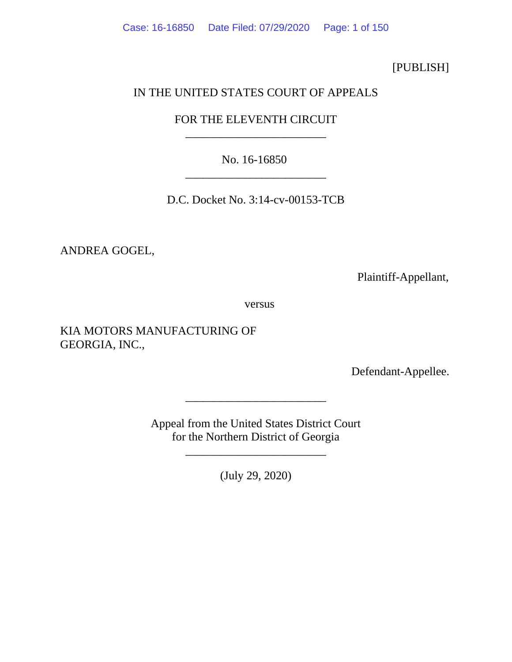Case: 16-16850 Date Filed: 07/29/2020 Page: 1 of 150

[PUBLISH]

# IN THE UNITED STATES COURT OF APPEALS

# FOR THE ELEVENTH CIRCUIT \_\_\_\_\_\_\_\_\_\_\_\_\_\_\_\_\_\_\_\_\_\_\_\_

No. 16-16850 \_\_\_\_\_\_\_\_\_\_\_\_\_\_\_\_\_\_\_\_\_\_\_\_

D.C. Docket No. 3:14-cv-00153-TCB

ANDREA GOGEL,

Plaintiff-Appellant,

versus

KIA MOTORS MANUFACTURING OF GEORGIA, INC.,

Defendant-Appellee.

Appeal from the United States District Court for the Northern District of Georgia

\_\_\_\_\_\_\_\_\_\_\_\_\_\_\_\_\_\_\_\_\_\_\_\_

\_\_\_\_\_\_\_\_\_\_\_\_\_\_\_\_\_\_\_\_\_\_\_\_

(July 29, 2020)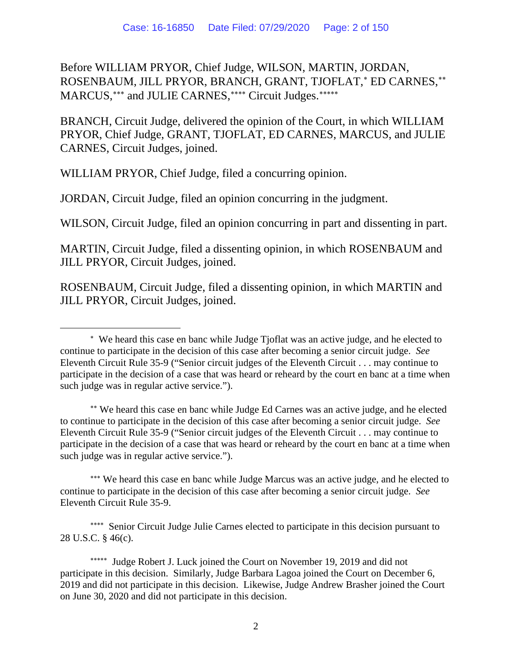Before WILLIAM PRYOR, Chief Judge, WILSON, MARTIN, JORDAN, ROSENBAUM, JILL PRYOR, BRANCH, GRANT, TJOFLAT, [∗](#page-1-0) ED CARNES, [∗∗](#page-1-1) MARCUS,\*\*\* and JULIE CARNES,\*\*\*\* Circuit Judges.\*\*\*\*\*\*

BRANCH, Circuit Judge, delivered the opinion of the Court, in which WILLIAM PRYOR, Chief Judge, GRANT, TJOFLAT, ED CARNES, MARCUS, and JULIE CARNES, Circuit Judges, joined.

WILLIAM PRYOR, Chief Judge, filed a concurring opinion.

JORDAN, Circuit Judge, filed an opinion concurring in the judgment.

WILSON, Circuit Judge, filed an opinion concurring in part and dissenting in part.

MARTIN, Circuit Judge, filed a dissenting opinion, in which ROSENBAUM and JILL PRYOR, Circuit Judges, joined.

ROSENBAUM, Circuit Judge, filed a dissenting opinion, in which MARTIN and JILL PRYOR, Circuit Judges, joined.

<span id="page-1-1"></span>∗∗ We heard this case en banc while Judge Ed Carnes was an active judge, and he elected to continue to participate in the decision of this case after becoming a senior circuit judge. *See* Eleventh Circuit Rule 35-9 ("Senior circuit judges of the Eleventh Circuit . . . may continue to participate in the decision of a case that was heard or reheard by the court en banc at a time when such judge was in regular active service.").

<span id="page-1-2"></span>∗∗∗ We heard this case en banc while Judge Marcus was an active judge, and he elected to continue to participate in the decision of this case after becoming a senior circuit judge. *See* Eleventh Circuit Rule 35-9.

<span id="page-1-3"></span>∗∗∗∗ Senior Circuit Judge Julie Carnes elected to participate in this decision pursuant to 28 U.S.C. § 46(c).

<span id="page-1-4"></span>∗∗∗∗∗ Judge Robert J. Luck joined the Court on November 19, 2019 and did not participate in this decision. Similarly, Judge Barbara Lagoa joined the Court on December 6, 2019 and did not participate in this decision. Likewise, Judge Andrew Brasher joined the Court on June 30, 2020 and did not participate in this decision.

<span id="page-1-0"></span><sup>∗</sup> We heard this case en banc while Judge Tjoflat was an active judge, and he elected to continue to participate in the decision of this case after becoming a senior circuit judge. *See* Eleventh Circuit Rule 35-9 ("Senior circuit judges of the Eleventh Circuit . . . may continue to participate in the decision of a case that was heard or reheard by the court en banc at a time when such judge was in regular active service.").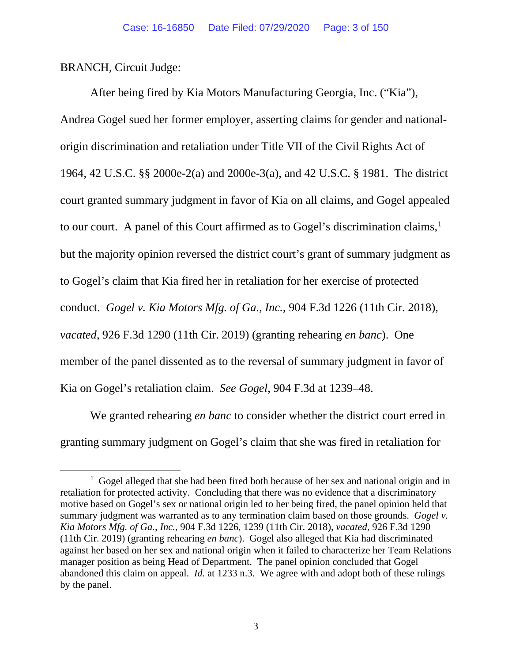BRANCH, Circuit Judge:

After being fired by Kia Motors Manufacturing Georgia, Inc. ("Kia"), Andrea Gogel sued her former employer, asserting claims for gender and nationalorigin discrimination and retaliation under Title VII of the Civil Rights Act of 1964, 42 U.S.C. §§ 2000e-2(a) and 2000e-3(a), and 42 U.S.C. § 1981. The district court granted summary judgment in favor of Kia on all claims, and Gogel appealed to our court. A panel of this Court affirmed as to Gogel's discrimination claims, [1](#page-2-0) but the majority opinion reversed the district court's grant of summary judgment as to Gogel's claim that Kia fired her in retaliation for her exercise of protected conduct. *Gogel v. Kia Motors Mfg. of Ga., Inc.*, 904 F.3d 1226 (11th Cir. 2018), *vacated*, 926 F.3d 1290 (11th Cir. 2019) (granting rehearing *en banc*). One member of the panel dissented as to the reversal of summary judgment in favor of Kia on Gogel's retaliation claim. *See Gogel*, 904 F.3d at 1239–48.

We granted rehearing *en banc* to consider whether the district court erred in granting summary judgment on Gogel's claim that she was fired in retaliation for

<span id="page-2-0"></span><sup>&</sup>lt;sup>1</sup> Gogel alleged that she had been fired both because of her sex and national origin and in retaliation for protected activity. Concluding that there was no evidence that a discriminatory motive based on Gogel's sex or national origin led to her being fired, the panel opinion held that summary judgment was warranted as to any termination claim based on those grounds. *Gogel v. Kia Motors Mfg. of Ga., Inc.*, 904 F.3d 1226, 1239 (11th Cir. 2018), *vacated*, 926 F.3d 1290 (11th Cir. 2019) (granting rehearing *en banc*). Gogel also alleged that Kia had discriminated against her based on her sex and national origin when it failed to characterize her Team Relations manager position as being Head of Department. The panel opinion concluded that Gogel abandoned this claim on appeal. *Id.* at 1233 n.3. We agree with and adopt both of these rulings by the panel.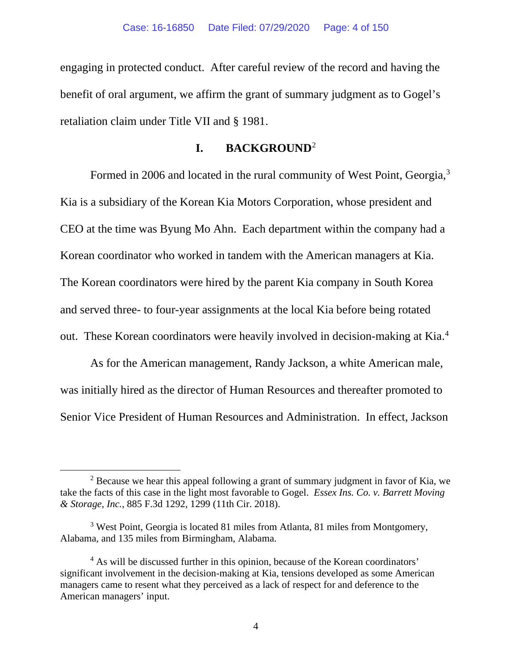engaging in protected conduct. After careful review of the record and having the benefit of oral argument, we affirm the grant of summary judgment as to Gogel's retaliation claim under Title VII and § 1981.

### **I. BACKGROUND**[2](#page-3-0)

Formed in 2006 and located in the rural community of West Point, Georgia,<sup>[3](#page-3-1)</sup> Kia is a subsidiary of the Korean Kia Motors Corporation, whose president and CEO at the time was Byung Mo Ahn. Each department within the company had a Korean coordinator who worked in tandem with the American managers at Kia. The Korean coordinators were hired by the parent Kia company in South Korea and served three- to four-year assignments at the local Kia before being rotated out. These Korean coordinators were heavily involved in decision-making at Kia. [4](#page-3-2)

As for the American management, Randy Jackson, a white American male, was initially hired as the director of Human Resources and thereafter promoted to Senior Vice President of Human Resources and Administration. In effect, Jackson

<span id="page-3-0"></span> $2$  Because we hear this appeal following a grant of summary judgment in favor of Kia, we take the facts of this case in the light most favorable to Gogel. *Essex Ins. Co. v. Barrett Moving & Storage, Inc.*, 885 F.3d 1292, 1299 (11th Cir. 2018).

<span id="page-3-1"></span><sup>&</sup>lt;sup>3</sup> West Point, Georgia is located 81 miles from Atlanta, 81 miles from Montgomery, Alabama, and 135 miles from Birmingham, Alabama.

<span id="page-3-2"></span><sup>&</sup>lt;sup>4</sup> As will be discussed further in this opinion, because of the Korean coordinators' significant involvement in the decision-making at Kia, tensions developed as some American managers came to resent what they perceived as a lack of respect for and deference to the American managers' input.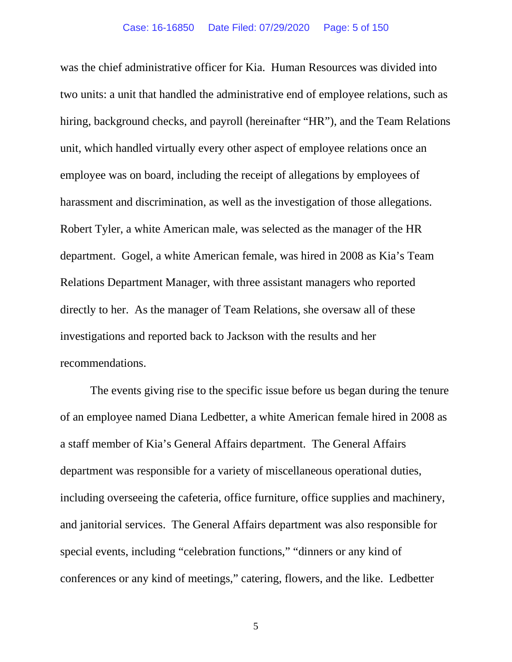was the chief administrative officer for Kia. Human Resources was divided into two units: a unit that handled the administrative end of employee relations, such as hiring, background checks, and payroll (hereinafter "HR"), and the Team Relations unit, which handled virtually every other aspect of employee relations once an employee was on board, including the receipt of allegations by employees of harassment and discrimination, as well as the investigation of those allegations. Robert Tyler, a white American male, was selected as the manager of the HR department. Gogel, a white American female, was hired in 2008 as Kia's Team Relations Department Manager, with three assistant managers who reported directly to her. As the manager of Team Relations, she oversaw all of these investigations and reported back to Jackson with the results and her recommendations.

The events giving rise to the specific issue before us began during the tenure of an employee named Diana Ledbetter, a white American female hired in 2008 as a staff member of Kia's General Affairs department. The General Affairs department was responsible for a variety of miscellaneous operational duties, including overseeing the cafeteria, office furniture, office supplies and machinery, and janitorial services. The General Affairs department was also responsible for special events, including "celebration functions," "dinners or any kind of conferences or any kind of meetings," catering, flowers, and the like. Ledbetter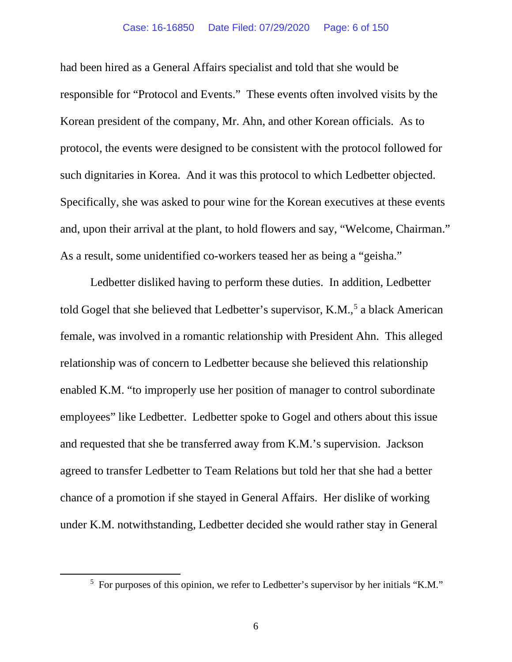#### Case: 16-16850 Date Filed: 07/29/2020 Page: 6 of 150

had been hired as a General Affairs specialist and told that she would be responsible for "Protocol and Events." These events often involved visits by the Korean president of the company, Mr. Ahn, and other Korean officials. As to protocol, the events were designed to be consistent with the protocol followed for such dignitaries in Korea. And it was this protocol to which Ledbetter objected. Specifically, she was asked to pour wine for the Korean executives at these events and, upon their arrival at the plant, to hold flowers and say, "Welcome, Chairman." As a result, some unidentified co-workers teased her as being a "geisha."

Ledbetter disliked having to perform these duties. In addition, Ledbetter told Gogel that she believed that Ledbetter's supervisor, K.M., [5](#page-5-0) a black American female, was involved in a romantic relationship with President Ahn. This alleged relationship was of concern to Ledbetter because she believed this relationship enabled K.M. "to improperly use her position of manager to control subordinate employees" like Ledbetter. Ledbetter spoke to Gogel and others about this issue and requested that she be transferred away from K.M.'s supervision. Jackson agreed to transfer Ledbetter to Team Relations but told her that she had a better chance of a promotion if she stayed in General Affairs. Her dislike of working under K.M. notwithstanding, Ledbetter decided she would rather stay in General

<span id="page-5-0"></span><sup>&</sup>lt;sup>5</sup> For purposes of this opinion, we refer to Ledbetter's supervisor by her initials "K.M."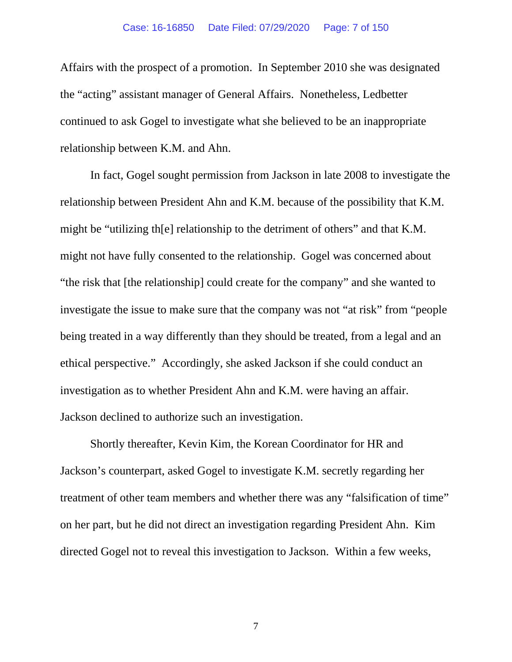#### Case: 16-16850 Date Filed: 07/29/2020 Page: 7 of 150

Affairs with the prospect of a promotion. In September 2010 she was designated the "acting" assistant manager of General Affairs. Nonetheless, Ledbetter continued to ask Gogel to investigate what she believed to be an inappropriate relationship between K.M. and Ahn.

In fact, Gogel sought permission from Jackson in late 2008 to investigate the relationship between President Ahn and K.M. because of the possibility that K.M. might be "utilizing th[e] relationship to the detriment of others" and that K.M. might not have fully consented to the relationship. Gogel was concerned about "the risk that [the relationship] could create for the company" and she wanted to investigate the issue to make sure that the company was not "at risk" from "people being treated in a way differently than they should be treated, from a legal and an ethical perspective." Accordingly, she asked Jackson if she could conduct an investigation as to whether President Ahn and K.M. were having an affair. Jackson declined to authorize such an investigation.

Shortly thereafter, Kevin Kim, the Korean Coordinator for HR and Jackson's counterpart, asked Gogel to investigate K.M. secretly regarding her treatment of other team members and whether there was any "falsification of time" on her part, but he did not direct an investigation regarding President Ahn. Kim directed Gogel not to reveal this investigation to Jackson. Within a few weeks,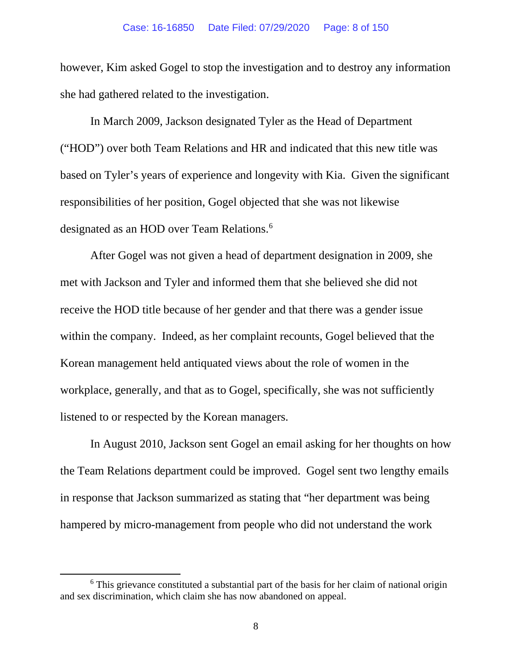however, Kim asked Gogel to stop the investigation and to destroy any information she had gathered related to the investigation.

In March 2009, Jackson designated Tyler as the Head of Department ("HOD") over both Team Relations and HR and indicated that this new title was based on Tyler's years of experience and longevity with Kia. Given the significant responsibilities of her position, Gogel objected that she was not likewise designated as an HOD over Team Relations.<sup>[6](#page-7-0)</sup>

After Gogel was not given a head of department designation in 2009, she met with Jackson and Tyler and informed them that she believed she did not receive the HOD title because of her gender and that there was a gender issue within the company. Indeed, as her complaint recounts, Gogel believed that the Korean management held antiquated views about the role of women in the workplace, generally, and that as to Gogel, specifically, she was not sufficiently listened to or respected by the Korean managers.

In August 2010, Jackson sent Gogel an email asking for her thoughts on how the Team Relations department could be improved. Gogel sent two lengthy emails in response that Jackson summarized as stating that "her department was being hampered by micro-management from people who did not understand the work

<span id="page-7-0"></span><sup>&</sup>lt;sup>6</sup> This grievance constituted a substantial part of the basis for her claim of national origin and sex discrimination, which claim she has now abandoned on appeal.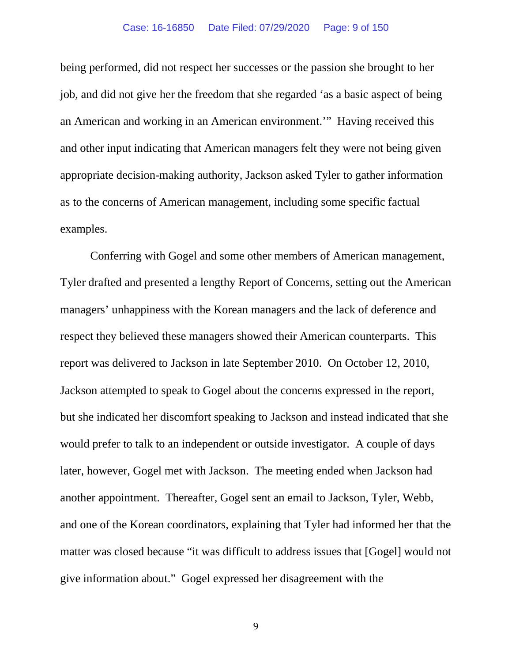#### Case: 16-16850 Date Filed: 07/29/2020 Page: 9 of 150

being performed, did not respect her successes or the passion she brought to her job, and did not give her the freedom that she regarded 'as a basic aspect of being an American and working in an American environment.'" Having received this and other input indicating that American managers felt they were not being given appropriate decision-making authority, Jackson asked Tyler to gather information as to the concerns of American management, including some specific factual examples.

Conferring with Gogel and some other members of American management, Tyler drafted and presented a lengthy Report of Concerns, setting out the American managers' unhappiness with the Korean managers and the lack of deference and respect they believed these managers showed their American counterparts. This report was delivered to Jackson in late September 2010.On October 12, 2010, Jackson attempted to speak to Gogel about the concerns expressed in the report, but she indicated her discomfort speaking to Jackson and instead indicated that she would prefer to talk to an independent or outside investigator. A couple of days later, however, Gogel met with Jackson. The meeting ended when Jackson had another appointment. Thereafter, Gogel sent an email to Jackson, Tyler, Webb, and one of the Korean coordinators, explaining that Tyler had informed her that the matter was closed because "it was difficult to address issues that [Gogel] would not give information about." Gogel expressed her disagreement with the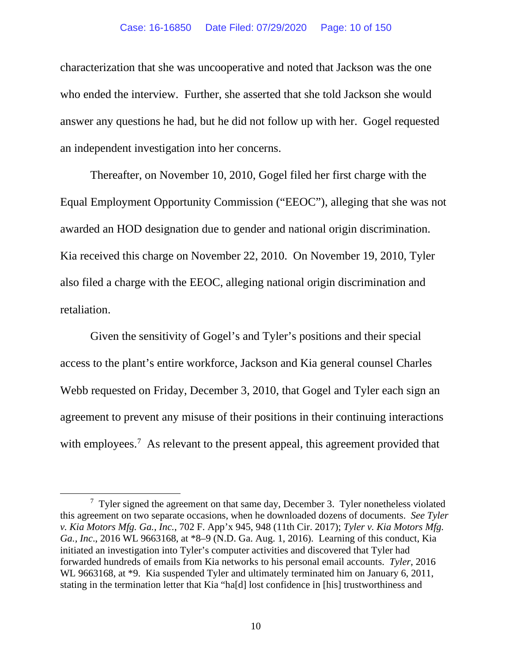#### Case: 16-16850 Date Filed: 07/29/2020 Page: 10 of 150

characterization that she was uncooperative and noted that Jackson was the one who ended the interview. Further, she asserted that she told Jackson she would answer any questions he had, but he did not follow up with her. Gogel requested an independent investigation into her concerns.

Thereafter, on November 10, 2010, Gogel filed her first charge with the Equal Employment Opportunity Commission ("EEOC"), alleging that she was not awarded an HOD designation due to gender and national origin discrimination. Kia received this charge on November 22, 2010. On November 19, 2010, Tyler also filed a charge with the EEOC, alleging national origin discrimination and retaliation.

Given the sensitivity of Gogel's and Tyler's positions and their special access to the plant's entire workforce, Jackson and Kia general counsel Charles Webb requested on Friday, December 3, 2010, that Gogel and Tyler each sign an agreement to prevent any misuse of their positions in their continuing interactions with employees.<sup>[7](#page-9-0)</sup> As relevant to the present appeal, this agreement provided that

<span id="page-9-0"></span><sup>7</sup> Tyler signed the agreement on that same day, December 3.Tyler nonetheless violated this agreement on two separate occasions, when he downloaded dozens of documents. *See Tyler v. Kia Motors Mfg. Ga., Inc.*, 702 F. App'x 945, 948 (11th Cir. 2017); *Tyler v. Kia Motors Mfg. Ga., Inc*., 2016 WL 9663168, at \*8–9 (N.D. Ga. Aug. 1, 2016). Learning of this conduct, Kia initiated an investigation into Tyler's computer activities and discovered that Tyler had forwarded hundreds of emails from Kia networks to his personal email accounts. *Tyler*, 2016 WL 9663168, at \*9. Kia suspended Tyler and ultimately terminated him on January 6, 2011, stating in the termination letter that Kia "ha[d] lost confidence in [his] trustworthiness and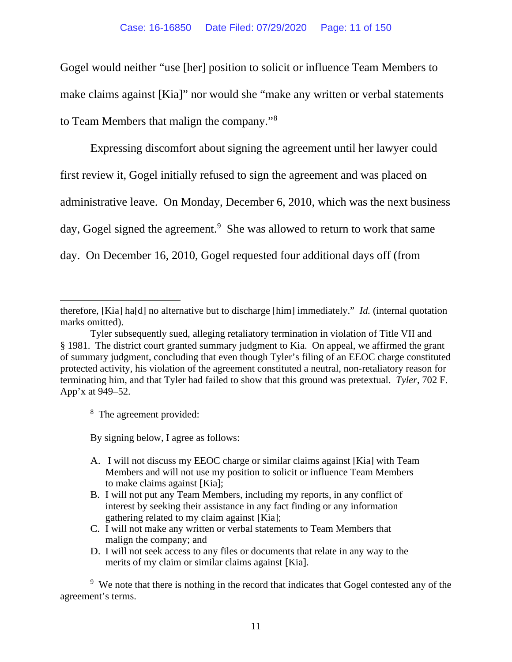Gogel would neither "use [her] position to solicit or influence Team Members to make claims against [Kia]" nor would she "make any written or verbal statements to Team Members that malign the company."[8](#page-10-0)

Expressing discomfort about signing the agreement until her lawyer could first review it, Gogel initially refused to sign the agreement and was placed on administrative leave. On Monday, December 6, 2010, which was the next business day, Gogel signed the agreement.<sup>[9](#page-10-1)</sup> She was allowed to return to work that same day. On December 16, 2010, Gogel requested four additional days off (from

<span id="page-10-0"></span><sup>8</sup> The agreement provided:

By signing below, I agree as follows:

- A. I will not discuss my EEOC charge or similar claims against [Kia] with Team Members and will not use my position to solicit or influence Team Members to make claims against [Kia];
- B. I will not put any Team Members, including my reports, in any conflict of interest by seeking their assistance in any fact finding or any information gathering related to my claim against [Kia];
- C. I will not make any written or verbal statements to Team Members that malign the company; and
- D. I will not seek access to any files or documents that relate in any way to the merits of my claim or similar claims against [Kia].

<span id="page-10-1"></span><sup>9</sup> We note that there is nothing in the record that indicates that Gogel contested any of the agreement's terms.

therefore, [Kia] ha[d] no alternative but to discharge [him] immediately." *Id.* (internal quotation marks omitted).

Tyler subsequently sued, alleging retaliatory termination in violation of Title VII and § 1981. The district court granted summary judgment to Kia. On appeal, we affirmed the grant of summary judgment, concluding that even though Tyler's filing of an EEOC charge constituted protected activity, his violation of the agreement constituted a neutral, non-retaliatory reason for terminating him, and that Tyler had failed to show that this ground was pretextual. *Tyler*, 702 F. App'x at 949–52.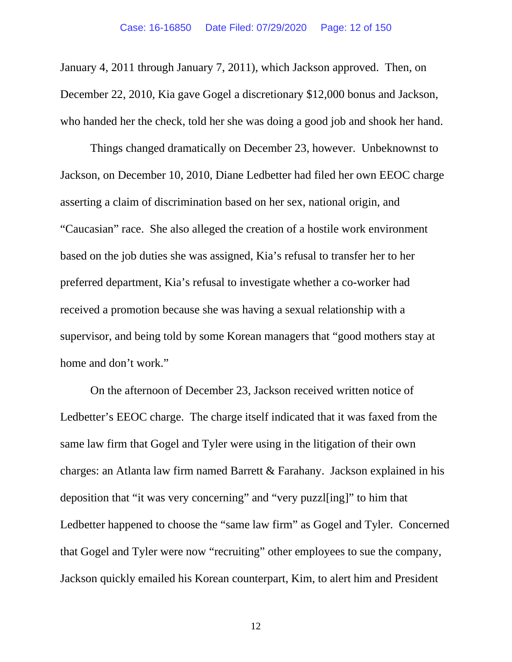January 4, 2011 through January 7, 2011), which Jackson approved.Then, on December 22, 2010, Kia gave Gogel a discretionary \$12,000 bonus and Jackson, who handed her the check, told her she was doing a good job and shook her hand.

Things changed dramatically on December 23, however. Unbeknownst to Jackson, on December 10, 2010, Diane Ledbetter had filed her own EEOC charge asserting a claim of discrimination based on her sex, national origin, and "Caucasian" race. She also alleged the creation of a hostile work environment based on the job duties she was assigned, Kia's refusal to transfer her to her preferred department, Kia's refusal to investigate whether a co-worker had received a promotion because she was having a sexual relationship with a supervisor, and being told by some Korean managers that "good mothers stay at home and don't work."

On the afternoon of December 23, Jackson received written notice of Ledbetter's EEOC charge. The charge itself indicated that it was faxed from the same law firm that Gogel and Tyler were using in the litigation of their own charges: an Atlanta law firm named Barrett & Farahany.Jackson explained in his deposition that "it was very concerning" and "very puzzl[ing]" to him that Ledbetter happened to choose the "same law firm" as Gogel and Tyler.Concerned that Gogel and Tyler were now "recruiting" other employees to sue the company, Jackson quickly emailed his Korean counterpart, Kim, to alert him and President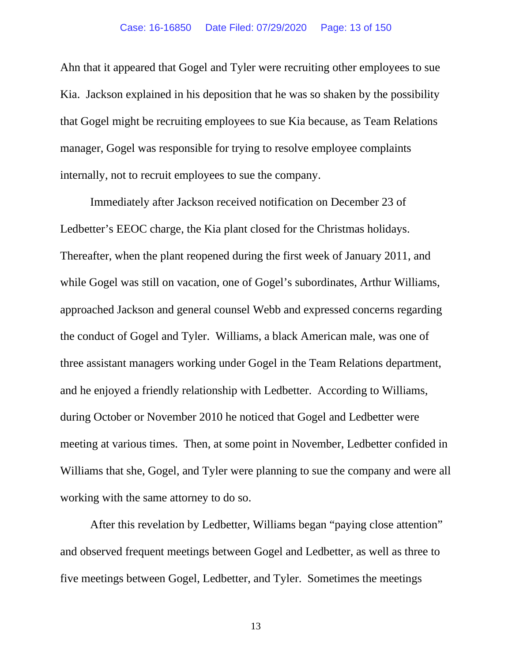Ahn that it appeared that Gogel and Tyler were recruiting other employees to sue Kia. Jackson explained in his deposition that he was so shaken by the possibility that Gogel might be recruiting employees to sue Kia because, as Team Relations manager, Gogel was responsible for trying to resolve employee complaints internally, not to recruit employees to sue the company.

Immediately after Jackson received notification on December 23 of Ledbetter's EEOC charge, the Kia plant closed for the Christmas holidays. Thereafter, when the plant reopened during the first week of January 2011, and while Gogel was still on vacation, one of Gogel's subordinates, Arthur Williams, approached Jackson and general counsel Webb and expressed concerns regarding the conduct of Gogel and Tyler. Williams, a black American male, was one of three assistant managers working under Gogel in the Team Relations department, and he enjoyed a friendly relationship with Ledbetter. According to Williams, during October or November 2010 he noticed that Gogel and Ledbetter were meeting at various times. Then, at some point in November, Ledbetter confided in Williams that she, Gogel, and Tyler were planning to sue the company and were all working with the same attorney to do so.

After this revelation by Ledbetter, Williams began "paying close attention" and observed frequent meetings between Gogel and Ledbetter, as well as three to five meetings between Gogel, Ledbetter, and Tyler. Sometimes the meetings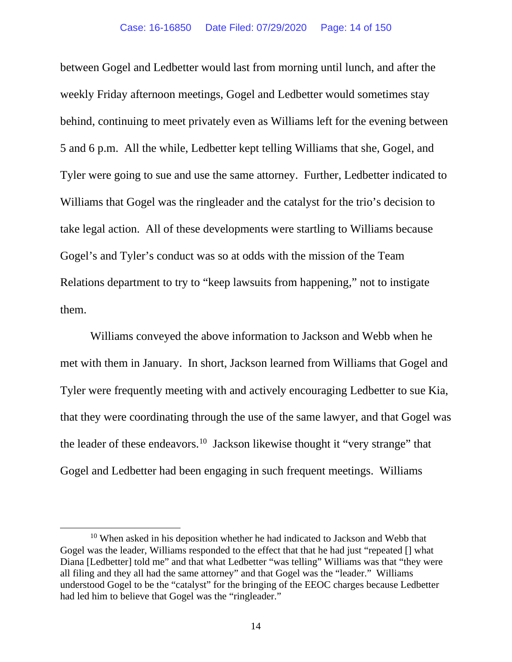between Gogel and Ledbetter would last from morning until lunch, and after the weekly Friday afternoon meetings, Gogel and Ledbetter would sometimes stay behind, continuing to meet privately even as Williams left for the evening between 5 and 6 p.m. All the while, Ledbetter kept telling Williams that she, Gogel, and Tyler were going to sue and use the same attorney. Further, Ledbetter indicated to Williams that Gogel was the ringleader and the catalyst for the trio's decision to take legal action. All of these developments were startling to Williams because Gogel's and Tyler's conduct was so at odds with the mission of the Team Relations department to try to "keep lawsuits from happening," not to instigate them.

Williams conveyed the above information to Jackson and Webb when he met with them in January. In short, Jackson learned from Williams that Gogel and Tyler were frequently meeting with and actively encouraging Ledbetter to sue Kia, that they were coordinating through the use of the same lawyer, and that Gogel was the leader of these endeavors.<sup>10</sup> Jackson likewise thought it "very strange" that Gogel and Ledbetter had been engaging in such frequent meetings.Williams

<span id="page-13-0"></span><sup>10</sup> When asked in his deposition whether he had indicated to Jackson and Webb that Gogel was the leader, Williams responded to the effect that that he had just "repeated [] what Diana [Ledbetter] told me" and that what Ledbetter "was telling" Williams was that "they were all filing and they all had the same attorney" and that Gogel was the "leader." Williams understood Gogel to be the "catalyst" for the bringing of the EEOC charges because Ledbetter had led him to believe that Gogel was the "ringleader."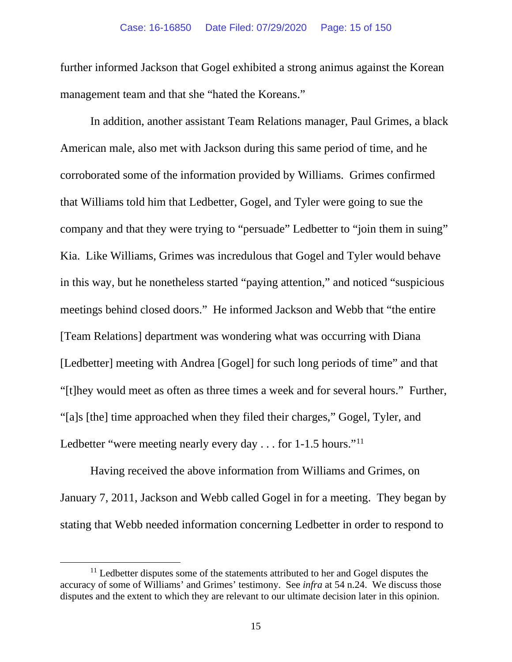further informed Jackson that Gogel exhibited a strong animus against the Korean management team and that she "hated the Koreans."

In addition, another assistant Team Relations manager, Paul Grimes, a black American male, also met with Jackson during this same period of time, and he corroborated some of the information provided by Williams. Grimes confirmed that Williams told him that Ledbetter, Gogel, and Tyler were going to sue the company and that they were trying to "persuade" Ledbetter to "join them in suing" Kia. Like Williams, Grimes was incredulous that Gogel and Tyler would behave in this way, but he nonetheless started "paying attention," and noticed "suspicious meetings behind closed doors." He informed Jackson and Webb that "the entire [Team Relations] department was wondering what was occurring with Diana [Ledbetter] meeting with Andrea [Gogel] for such long periods of time" and that "[t]hey would meet as often as three times a week and for several hours." Further, "[a]s [the] time approached when they filed their charges," Gogel, Tyler, and Ledbetter "were meeting nearly every day . . . for 1-1.5 hours."<sup>[11](#page-14-0)</sup>

Having received the above information from Williams and Grimes, on January 7, 2011, Jackson and Webb called Gogel in for a meeting. They began by stating that Webb needed information concerning Ledbetter in order to respond to

<span id="page-14-0"></span> $11$  Ledbetter disputes some of the statements attributed to her and Gogel disputes the accuracy of some of Williams' and Grimes' testimony. See *infra* at 54 n.24. We discuss those disputes and the extent to which they are relevant to our ultimate decision later in this opinion.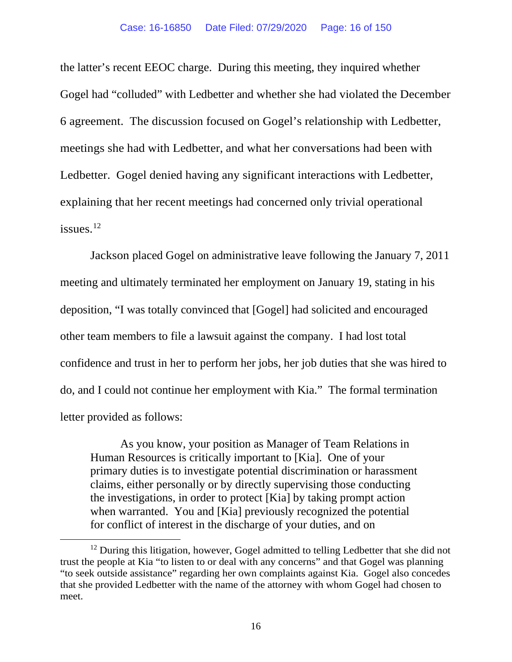the latter's recent EEOC charge. During this meeting, they inquired whether Gogel had "colluded" with Ledbetter and whether she had violated the December 6 agreement. The discussion focused on Gogel's relationship with Ledbetter, meetings she had with Ledbetter, and what her conversations had been with Ledbetter. Gogel denied having any significant interactions with Ledbetter, explaining that her recent meetings had concerned only trivial operational issues.<sup>[12](#page-15-0)</sup>

Jackson placed Gogel on administrative leave following the January 7, 2011 meeting and ultimately terminated her employment on January 19, stating in his deposition, "I was totally convinced that [Gogel] had solicited and encouraged other team members to file a lawsuit against the company. I had lost total confidence and trust in her to perform her jobs, her job duties that she was hired to do, and I could not continue her employment with Kia." The formal termination letter provided as follows:

As you know, your position as Manager of Team Relations in Human Resources is critically important to [Kia]. One of your primary duties is to investigate potential discrimination or harassment claims, either personally or by directly supervising those conducting the investigations, in order to protect [Kia] by taking prompt action when warranted. You and [Kia] previously recognized the potential for conflict of interest in the discharge of your duties, and on

<span id="page-15-0"></span> $12$  During this litigation, however, Gogel admitted to telling Ledbetter that she did not trust the people at Kia "to listen to or deal with any concerns" and that Gogel was planning "to seek outside assistance" regarding her own complaints against Kia. Gogel also concedes that she provided Ledbetter with the name of the attorney with whom Gogel had chosen to meet.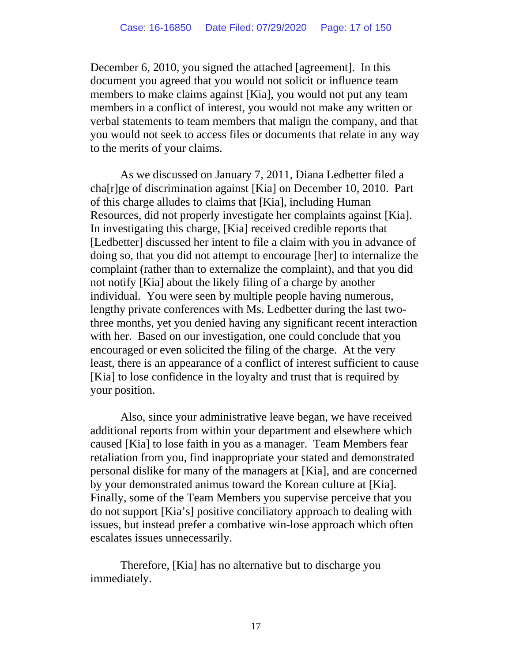December 6, 2010, you signed the attached [agreement]. In this document you agreed that you would not solicit or influence team members to make claims against [Kia], you would not put any team members in a conflict of interest, you would not make any written or verbal statements to team members that malign the company, and that you would not seek to access files or documents that relate in any way to the merits of your claims.

As we discussed on January 7, 2011, Diana Ledbetter filed a cha[r]ge of discrimination against [Kia] on December 10, 2010. Part of this charge alludes to claims that [Kia], including Human Resources, did not properly investigate her complaints against [Kia]. In investigating this charge, [Kia] received credible reports that [Ledbetter] discussed her intent to file a claim with you in advance of doing so, that you did not attempt to encourage [her] to internalize the complaint (rather than to externalize the complaint), and that you did not notify [Kia] about the likely filing of a charge by another individual. You were seen by multiple people having numerous, lengthy private conferences with Ms. Ledbetter during the last twothree months, yet you denied having any significant recent interaction with her. Based on our investigation, one could conclude that you encouraged or even solicited the filing of the charge. At the very least, there is an appearance of a conflict of interest sufficient to cause [Kia] to lose confidence in the loyalty and trust that is required by your position.

Also, since your administrative leave began, we have received additional reports from within your department and elsewhere which caused [Kia] to lose faith in you as a manager. Team Members fear retaliation from you, find inappropriate your stated and demonstrated personal dislike for many of the managers at [Kia], and are concerned by your demonstrated animus toward the Korean culture at [Kia]. Finally, some of the Team Members you supervise perceive that you do not support [Kia's] positive conciliatory approach to dealing with issues, but instead prefer a combative win-lose approach which often escalates issues unnecessarily.

Therefore, [Kia] has no alternative but to discharge you immediately.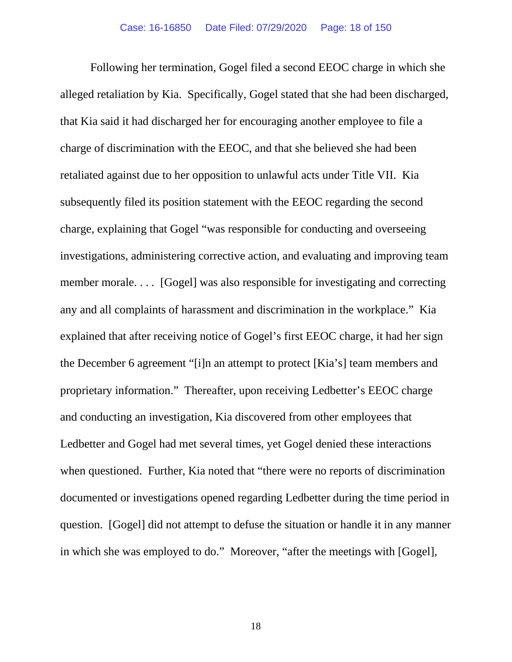Following her termination, Gogel filed a second EEOC charge in which she alleged retaliation by Kia. Specifically, Gogel stated that she had been discharged, that Kia said it had discharged her for encouraging another employee to file a charge of discrimination with the EEOC, and that she believed she had been retaliated against due to her opposition to unlawful acts under Title VII. Kia subsequently filed its position statement with the EEOC regarding the second charge, explaining that Gogel "was responsible for conducting and overseeing investigations, administering corrective action, and evaluating and improving team member morale. . . . [Gogel] was also responsible for investigating and correcting any and all complaints of harassment and discrimination in the workplace." Kia explained that after receiving notice of Gogel's first EEOC charge, it had her sign the December 6 agreement "[i]n an attempt to protect [Kia's] team members and proprietary information." Thereafter, upon receiving Ledbetter's EEOC charge and conducting an investigation, Kia discovered from other employees that Ledbetter and Gogel had met several times, yet Gogel denied these interactions when questioned. Further, Kia noted that "there were no reports of discrimination documented or investigations opened regarding Ledbetter during the time period in question. [Gogel] did not attempt to defuse the situation or handle it in any manner in which she was employed to do." Moreover, "after the meetings with [Gogel],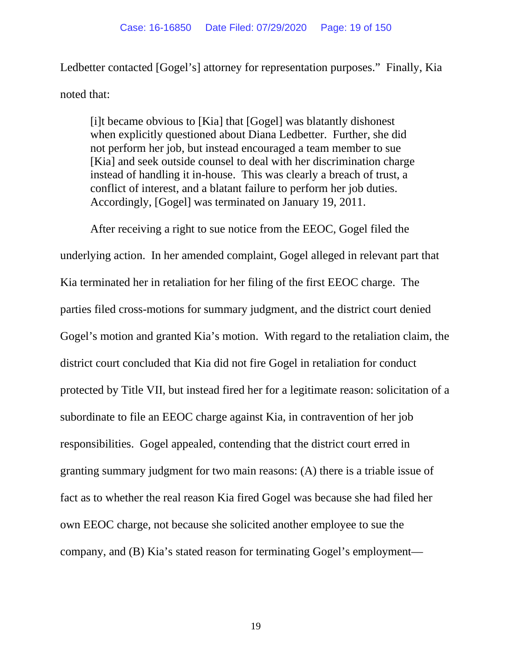Ledbetter contacted [Gogel's] attorney for representation purposes." Finally, Kia noted that:

[i]t became obvious to [Kia] that [Gogel] was blatantly dishonest when explicitly questioned about Diana Ledbetter. Further, she did not perform her job, but instead encouraged a team member to sue [Kia] and seek outside counsel to deal with her discrimination charge instead of handling it in-house. This was clearly a breach of trust, a conflict of interest, and a blatant failure to perform her job duties. Accordingly, [Gogel] was terminated on January 19, 2011.

After receiving a right to sue notice from the EEOC, Gogel filed the underlying action. In her amended complaint, Gogel alleged in relevant part that Kia terminated her in retaliation for her filing of the first EEOC charge. The parties filed cross-motions for summary judgment, and the district court denied Gogel's motion and granted Kia's motion. With regard to the retaliation claim, the district court concluded that Kia did not fire Gogel in retaliation for conduct protected by Title VII, but instead fired her for a legitimate reason: solicitation of a subordinate to file an EEOC charge against Kia, in contravention of her job responsibilities. Gogel appealed, contending that the district court erred in granting summary judgment for two main reasons: (A) there is a triable issue of fact as to whether the real reason Kia fired Gogel was because she had filed her own EEOC charge, not because she solicited another employee to sue the company, and (B) Kia's stated reason for terminating Gogel's employment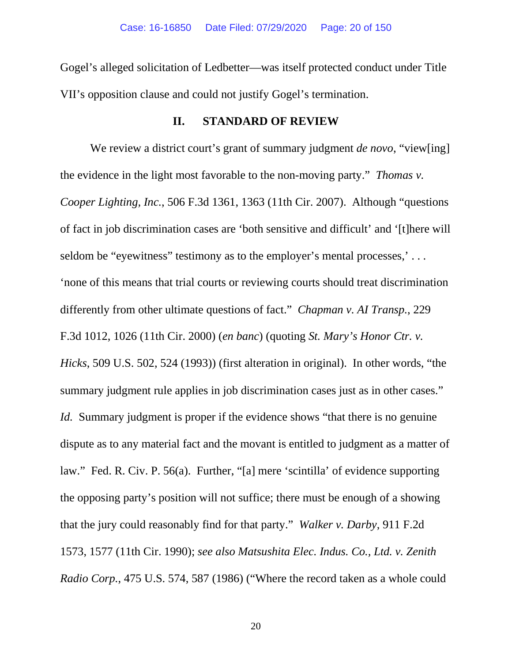Gogel's alleged solicitation of Ledbetter—was itself protected conduct under Title VII's opposition clause and could not justify Gogel's termination.

### **II. STANDARD OF REVIEW**

We review a district court's grant of summary judgment *de novo*, "view[ing] the evidence in the light most favorable to the non-moving party." *Thomas v. Cooper Lighting, Inc.*, 506 F.3d 1361, 1363 (11th Cir. 2007). Although "questions of fact in job discrimination cases are 'both sensitive and difficult' and '[t]here will seldom be "eyewitness" testimony as to the employer's mental processes,'... 'none of this means that trial courts or reviewing courts should treat discrimination differently from other ultimate questions of fact." *Chapman v. AI Transp.*, 229 F.3d 1012, 1026 (11th Cir. 2000) (*en banc*) (quoting *St. Mary's Honor Ctr. v. Hicks*, 509 U.S. 502, 524 (1993)) (first alteration in original). In other words, "the summary judgment rule applies in job discrimination cases just as in other cases." *Id.* Summary judgment is proper if the evidence shows "that there is no genuine dispute as to any material fact and the movant is entitled to judgment as a matter of law." Fed. R. Civ. P. 56(a). Further, "[a] mere 'scintilla' of evidence supporting the opposing party's position will not suffice; there must be enough of a showing that the jury could reasonably find for that party." *Walker v. Darby*, 911 F.2d 1573, 1577 (11th Cir. 1990); *see also Matsushita Elec. Indus. Co., Ltd. v. Zenith Radio Corp.*, 475 U.S. 574, 587 (1986) ("Where the record taken as a whole could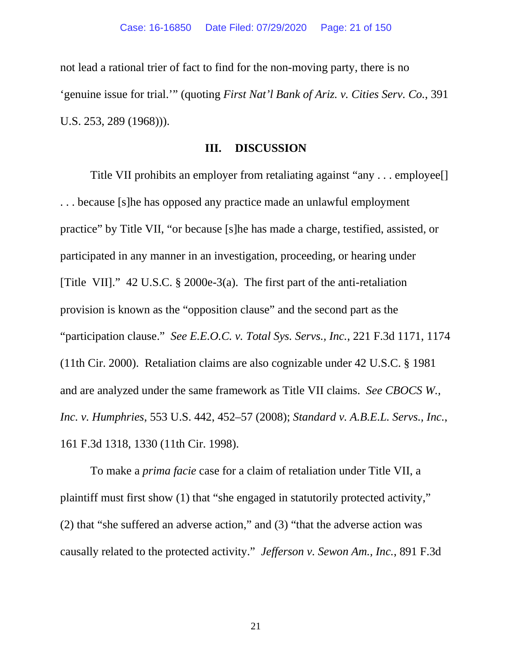not lead a rational trier of fact to find for the non-moving party, there is no 'genuine issue for trial.'" (quoting *First Nat'l Bank of Ariz. v. Cities Serv. Co.*, 391 U.S. 253, 289 (1968))).

### **III. DISCUSSION**

Title VII prohibits an employer from retaliating against "any . . . employee[] . . . because [s]he has opposed any practice made an unlawful employment practice" by Title VII, "or because [s]he has made a charge, testified, assisted, or participated in any manner in an investigation, proceeding, or hearing under [Title VII]." 42 U.S.C. § 2000e-3(a). The first part of the anti-retaliation provision is known as the "opposition clause" and the second part as the "participation clause." *See E.E.O.C. v. Total Sys. Servs., Inc.*, 221 F.3d 1171, 1174 (11th Cir. 2000). Retaliation claims are also cognizable under 42 U.S.C. § 1981 and are analyzed under the same framework as Title VII claims. *See CBOCS W., Inc. v. Humphries*, 553 U.S. 442, 452–57 (2008); *Standard v. A.B.E.L. Servs., Inc.*, 161 F.3d 1318, 1330 (11th Cir. 1998).

To make a *prima facie* case for a claim of retaliation under Title VII, a plaintiff must first show (1) that "she engaged in statutorily protected activity," (2) that "she suffered an adverse action," and (3) "that the adverse action was causally related to the protected activity." *Jefferson v. Sewon Am., Inc.*, 891 F.3d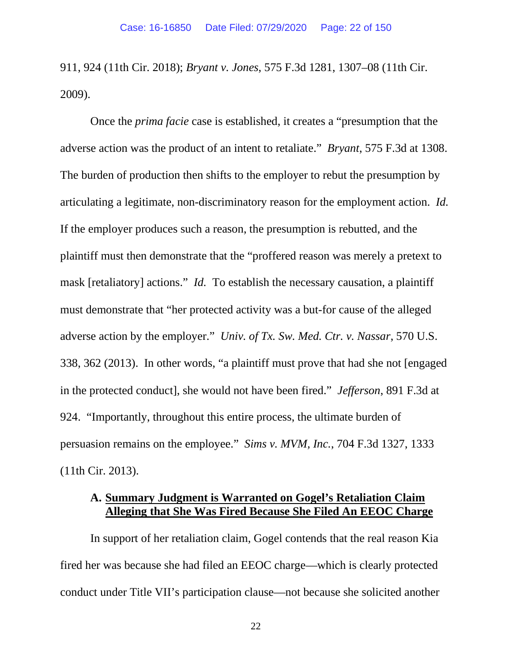911, 924 (11th Cir. 2018); *Bryant v. Jones*, 575 F.3d 1281, 1307–08 (11th Cir. 2009).

Once the *prima facie* case is established, it creates a "presumption that the adverse action was the product of an intent to retaliate." *Bryant*, 575 F.3d at 1308. The burden of production then shifts to the employer to rebut the presumption by articulating a legitimate, non-discriminatory reason for the employment action. *Id.* If the employer produces such a reason, the presumption is rebutted, and the plaintiff must then demonstrate that the "proffered reason was merely a pretext to mask [retaliatory] actions." *Id.* To establish the necessary causation, a plaintiff must demonstrate that "her protected activity was a but-for cause of the alleged adverse action by the employer." *Univ. of Tx. Sw. Med. Ctr. v. Nassar*, 570 U.S. 338, 362 (2013). In other words, "a plaintiff must prove that had she not [engaged in the protected conduct], she would not have been fired." *Jefferson*, 891 F.3d at 924. "Importantly, throughout this entire process, the ultimate burden of persuasion remains on the employee." *Sims v. MVM, Inc.*, 704 F.3d 1327, 1333 (11th Cir. 2013).

### **A. Summary Judgment is Warranted on Gogel's Retaliation Claim Alleging that She Was Fired Because She Filed An EEOC Charge**

In support of her retaliation claim, Gogel contends that the real reason Kia fired her was because she had filed an EEOC charge—which is clearly protected conduct under Title VII's participation clause—not because she solicited another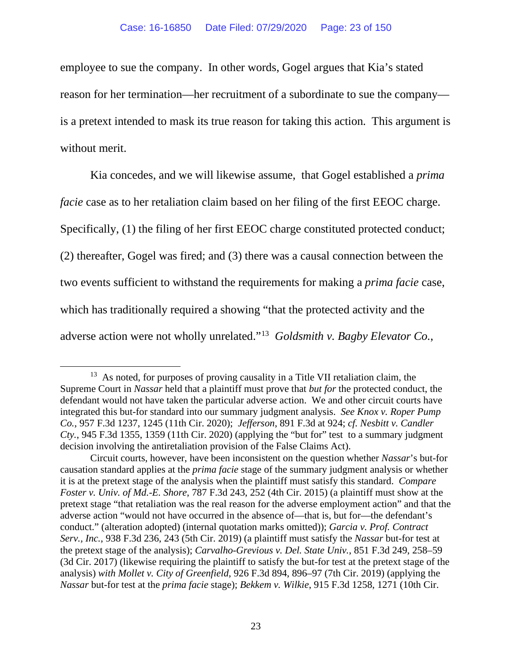employee to sue the company. In other words, Gogel argues that Kia's stated reason for her termination—her recruitment of a subordinate to sue the company is a pretext intended to mask its true reason for taking this action.This argument is without merit.

Kia concedes, and we will likewise assume, that Gogel established a *prima facie* case as to her retaliation claim based on her filing of the first EEOC charge. Specifically, (1) the filing of her first EEOC charge constituted protected conduct; (2) thereafter, Gogel was fired; and (3) there was a causal connection between the two events sufficient to withstand the requirements for making a *prima facie* case, which has traditionally required a showing "that the protected activity and the adverse action were not wholly unrelated."[13](#page-22-0) *Goldsmith v. Bagby Elevator Co.*,

<span id="page-22-0"></span><sup>&</sup>lt;sup>13</sup> As noted, for purposes of proving causality in a Title VII retaliation claim, the Supreme Court in *Nassar* held that a plaintiff must prove that *but for* the protected conduct, the defendant would not have taken the particular adverse action. We and other circuit courts have integrated this but-for standard into our summary judgment analysis. *See Knox v. Roper Pump Co.*, 957 F.3d 1237, 1245 (11th Cir. 2020); *Jefferson*, 891 F.3d at 924; *cf. Nesbitt v. Candler Cty.*, 945 F.3d 1355, 1359 (11th Cir. 2020) (applying the "but for" test to a summary judgment decision involving the antiretaliation provision of the False Claims Act).

Circuit courts, however, have been inconsistent on the question whether *Nassar*'s but-for causation standard applies at the *prima facie* stage of the summary judgment analysis or whether it is at the pretext stage of the analysis when the plaintiff must satisfy this standard. *Compare Foster v. Univ. of Md.-E. Shore*, 787 F.3d 243, 252 (4th Cir. 2015) (a plaintiff must show at the pretext stage "that retaliation was the real reason for the adverse employment action" and that the adverse action "would not have occurred in the absence of—that is, but for—the defendant's conduct." (alteration adopted) (internal quotation marks omitted)); *Garcia v. Prof. Contract Serv., Inc.*, 938 F.3d 236, 243 (5th Cir. 2019) (a plaintiff must satisfy the *Nassar* but-for test at the pretext stage of the analysis); *Carvalho-Grevious v. Del. State Univ.*, 851 F.3d 249, 258–59 (3d Cir. 2017) (likewise requiring the plaintiff to satisfy the but-for test at the pretext stage of the analysis) *with Mollet v. City of Greenfield*, 926 F.3d 894, 896–97 (7th Cir. 2019) (applying the *Nassar* but-for test at the *prima facie* stage); *Bekkem v. Wilkie*, 915 F.3d 1258, 1271 (10th Cir.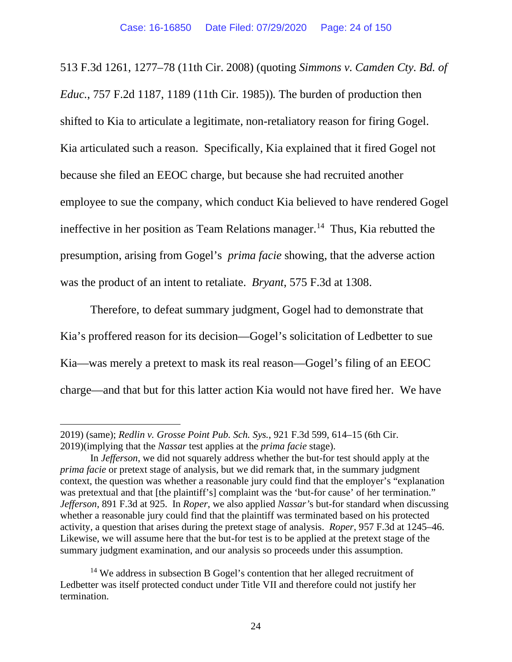513 F.3d 1261, 1277–78 (11th Cir. 2008) (quoting *Simmons v. Camden Cty. Bd. of Educ.*, 757 F.2d 1187, 1189 (11th Cir. 1985))*.* The burden of production then shifted to Kia to articulate a legitimate, non-retaliatory reason for firing Gogel. Kia articulated such a reason. Specifically, Kia explained that it fired Gogel not because she filed an EEOC charge, but because she had recruited another employee to sue the company, which conduct Kia believed to have rendered Gogel ineffective in her position as Team Relations manager.<sup>[14](#page-23-0)</sup> Thus, Kia rebutted the presumption, arising from Gogel's *prima facie* showing, that the adverse action was the product of an intent to retaliate. *Bryant*, 575 F.3d at 1308.

Therefore, to defeat summary judgment, Gogel had to demonstrate that Kia's proffered reason for its decision—Gogel's solicitation of Ledbetter to sue Kia—was merely a pretext to mask its real reason—Gogel's filing of an EEOC charge—and that but for this latter action Kia would not have fired her. We have

<sup>2019) (</sup>same); *Redlin v. Grosse Point Pub. Sch. Sys.*, 921 F.3d 599, 614–15 (6th Cir. 2019)(implying that the *Nassar* test applies at the *prima facie* stage).

In *Jefferson*, we did not squarely address whether the but-for test should apply at the *prima facie* or pretext stage of analysis, but we did remark that, in the summary judgment context, the question was whether a reasonable jury could find that the employer's "explanation was pretextual and that [the plaintiff's] complaint was the 'but-for cause' of her termination." *Jefferson*, 891 F.3d at 925. In *Roper*, we also applied *Nassar'*s but-for standard when discussing whether a reasonable jury could find that the plaintiff was terminated based on his protected activity, a question that arises during the pretext stage of analysis. *Roper*, 957 F.3d at 1245–46. Likewise, we will assume here that the but-for test is to be applied at the pretext stage of the summary judgment examination, and our analysis so proceeds under this assumption.

<span id="page-23-0"></span><sup>&</sup>lt;sup>14</sup> We address in subsection B Gogel's contention that her alleged recruitment of Ledbetter was itself protected conduct under Title VII and therefore could not justify her termination.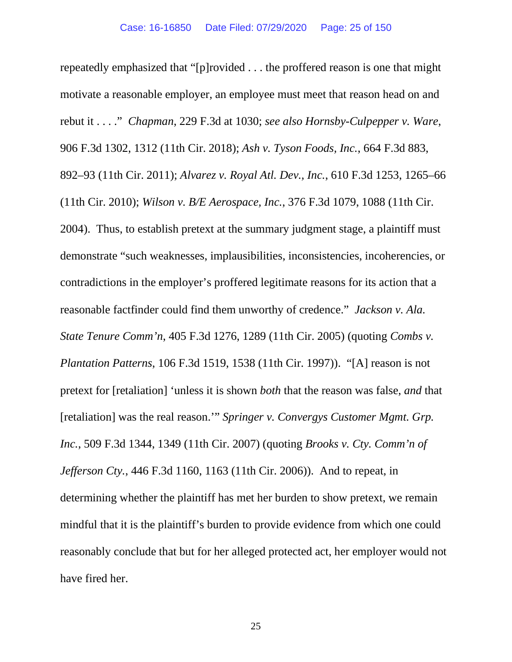repeatedly emphasized that "[p]rovided . . . the proffered reason is one that might motivate a reasonable employer, an employee must meet that reason head on and rebut it . . . ." *Chapman*, 229 F.3d at 1030; *see also Hornsby-Culpepper v. Ware*, 906 F.3d 1302, 1312 (11th Cir. 2018); *Ash v. Tyson Foods, Inc.*, 664 F.3d 883, 892–93 (11th Cir. 2011); *Alvarez v. Royal Atl. Dev., Inc.*, 610 F.3d 1253, 1265–66 (11th Cir. 2010); *Wilson v. B/E Aerospace, Inc.*, 376 F.3d 1079, 1088 (11th Cir. 2004).Thus, to establish pretext at the summary judgment stage, a plaintiff must demonstrate "such weaknesses, implausibilities, inconsistencies, incoherencies, or contradictions in the employer's proffered legitimate reasons for its action that a reasonable factfinder could find them unworthy of credence." *Jackson v. Ala. State Tenure Comm'n*, 405 F.3d 1276, 1289 (11th Cir. 2005) (quoting *Combs v. Plantation Patterns*, 106 F.3d 1519, 1538 (11th Cir. 1997)). "[A] reason is not pretext for [retaliation] 'unless it is shown *both* that the reason was false, *and* that [retaliation] was the real reason.'" *Springer v. Convergys Customer Mgmt. Grp. Inc.*, 509 F.3d 1344, 1349 (11th Cir. 2007) (quoting *Brooks v. Cty. Comm'n of Jefferson Cty.*, 446 F.3d 1160, 1163 (11th Cir. 2006)). And to repeat, in determining whether the plaintiff has met her burden to show pretext, we remain mindful that it is the plaintiff's burden to provide evidence from which one could reasonably conclude that but for her alleged protected act, her employer would not have fired her.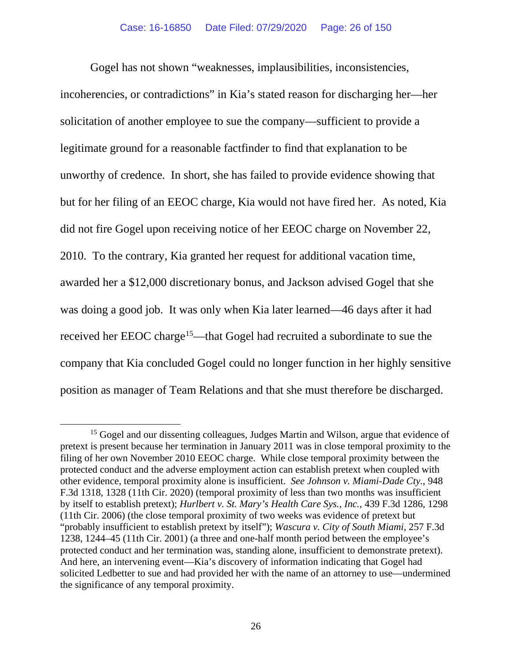Gogel has not shown "weaknesses, implausibilities, inconsistencies, incoherencies, or contradictions" in Kia's stated reason for discharging her—her solicitation of another employee to sue the company—sufficient to provide a legitimate ground for a reasonable factfinder to find that explanation to be unworthy of credence. In short, she has failed to provide evidence showing that but for her filing of an EEOC charge, Kia would not have fired her. As noted, Kia did not fire Gogel upon receiving notice of her EEOC charge on November 22, 2010. To the contrary, Kia granted her request for additional vacation time, awarded her a \$12,000 discretionary bonus, and Jackson advised Gogel that she was doing a good job. It was only when Kia later learned—46 days after it had received her EEOC charge<sup>[15](#page-25-0)</sup>—that Gogel had recruited a subordinate to sue the company that Kia concluded Gogel could no longer function in her highly sensitive position as manager of Team Relations and that she must therefore be discharged.

<span id="page-25-0"></span><sup>&</sup>lt;sup>15</sup> Gogel and our dissenting colleagues, Judges Martin and Wilson, argue that evidence of pretext is present because her termination in January 2011 was in close temporal proximity to the filing of her own November 2010 EEOC charge. While close temporal proximity between the protected conduct and the adverse employment action can establish pretext when coupled with other evidence, temporal proximity alone is insufficient. *See Johnson v. Miami-Dade Cty.*, 948 F.3d 1318, 1328 (11th Cir. 2020) (temporal proximity of less than two months was insufficient by itself to establish pretext); *Hurlbert v. St. Mary's Health Care Sys., Inc.*, 439 F.3d 1286, 1298 (11th Cir. 2006) (the close temporal proximity of two weeks was evidence of pretext but "probably insufficient to establish pretext by itself"); *Wascura v. City of South Miami*, 257 F.3d 1238, 1244–45 (11th Cir. 2001) (a three and one-half month period between the employee's protected conduct and her termination was, standing alone, insufficient to demonstrate pretext). And here, an intervening event—Kia's discovery of information indicating that Gogel had solicited Ledbetter to sue and had provided her with the name of an attorney to use—undermined the significance of any temporal proximity.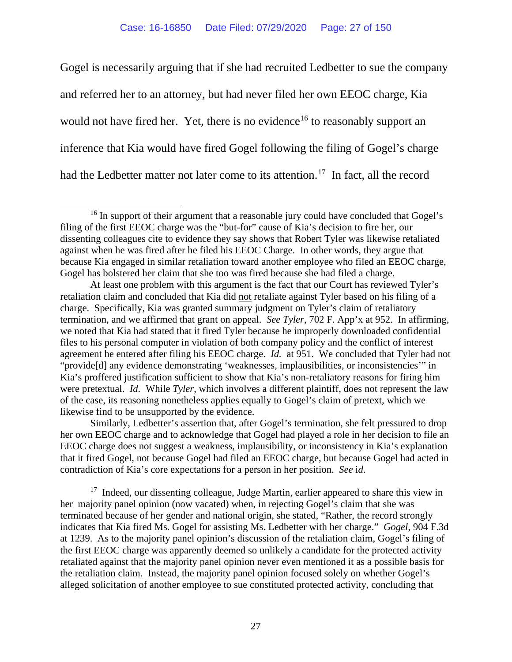Gogel is necessarily arguing that if she had recruited Ledbetter to sue the company and referred her to an attorney, but had never filed her own EEOC charge, Kia would not have fired her. Yet, there is no evidence<sup>[16](#page-26-0)</sup> to reasonably support an inference that Kia would have fired Gogel following the filing of Gogel's charge had the Ledbetter matter not later come to its attention.[17](#page-26-1) In fact, all the record

Similarly, Ledbetter's assertion that, after Gogel's termination, she felt pressured to drop her own EEOC charge and to acknowledge that Gogel had played a role in her decision to file an EEOC charge does not suggest a weakness, implausibility, or inconsistency in Kia's explanation that it fired Gogel, not because Gogel had filed an EEOC charge, but because Gogel had acted in contradiction of Kia's core expectations for a person in her position. *See* i*d*.

<span id="page-26-1"></span><sup>17</sup> Indeed, our dissenting colleague, Judge Martin, earlier appeared to share this view in her majority panel opinion (now vacated) when, in rejecting Gogel's claim that she was terminated because of her gender and national origin, she stated, "Rather, the record strongly indicates that Kia fired Ms. Gogel for assisting Ms. Ledbetter with her charge." *Gogel*, 904 F.3d at 1239. As to the majority panel opinion's discussion of the retaliation claim, Gogel's filing of the first EEOC charge was apparently deemed so unlikely a candidate for the protected activity retaliated against that the majority panel opinion never even mentioned it as a possible basis for the retaliation claim. Instead, the majority panel opinion focused solely on whether Gogel's alleged solicitation of another employee to sue constituted protected activity, concluding that

<span id="page-26-0"></span><sup>&</sup>lt;sup>16</sup> In support of their argument that a reasonable jury could have concluded that Gogel's filing of the first EEOC charge was the "but-for" cause of Kia's decision to fire her, our dissenting colleagues cite to evidence they say shows that Robert Tyler was likewise retaliated against when he was fired after he filed his EEOC Charge. In other words, they argue that because Kia engaged in similar retaliation toward another employee who filed an EEOC charge, Gogel has bolstered her claim that she too was fired because she had filed a charge.

At least one problem with this argument is the fact that our Court has reviewed Tyler's retaliation claim and concluded that Kia did not retaliate against Tyler based on his filing of a charge. Specifically, Kia was granted summary judgment on Tyler's claim of retaliatory termination, and we affirmed that grant on appeal. *See Tyler*, 702 F. App'x at 952. In affirming, we noted that Kia had stated that it fired Tyler because he improperly downloaded confidential files to his personal computer in violation of both company policy and the conflict of interest agreement he entered after filing his EEOC charge. *Id.* at 951. We concluded that Tyler had not "provide[d] any evidence demonstrating 'weaknesses, implausibilities, or inconsistencies'" in Kia's proffered justification sufficient to show that Kia's non-retaliatory reasons for firing him were pretextual. *Id*. While *Tyler*, which involves a different plaintiff, does not represent the law of the case, its reasoning nonetheless applies equally to Gogel's claim of pretext, which we likewise find to be unsupported by the evidence.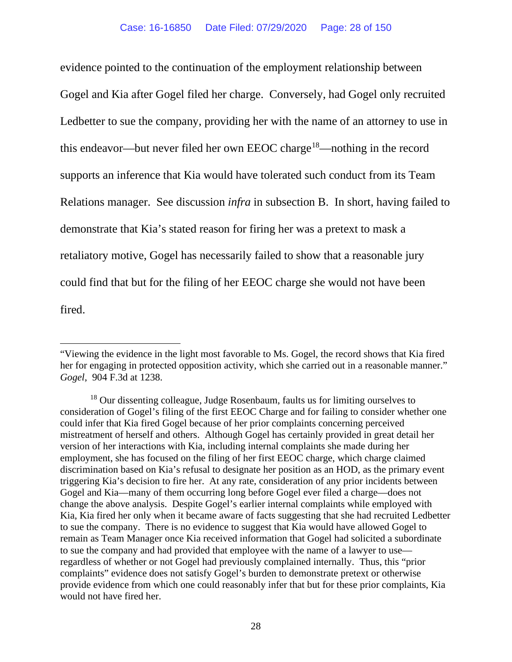evidence pointed to the continuation of the employment relationship between Gogel and Kia after Gogel filed her charge. Conversely, had Gogel only recruited Ledbetter to sue the company, providing her with the name of an attorney to use in this endeavor—but never filed her own EEOC charge<sup>[18](#page-27-0)</sup>—nothing in the record supports an inference that Kia would have tolerated such conduct from its Team Relations manager. See discussion *infra* in subsection B. In short, having failed to demonstrate that Kia's stated reason for firing her was a pretext to mask a retaliatory motive, Gogel has necessarily failed to show that a reasonable jury could find that but for the filing of her EEOC charge she would not have been fired.

<sup>&</sup>quot;Viewing the evidence in the light most favorable to Ms. Gogel, the record shows that Kia fired her for engaging in protected opposition activity, which she carried out in a reasonable manner." *Gogel*, 904 F.3d at 1238.

<span id="page-27-0"></span><sup>&</sup>lt;sup>18</sup> Our dissenting colleague, Judge Rosenbaum, faults us for limiting ourselves to consideration of Gogel's filing of the first EEOC Charge and for failing to consider whether one could infer that Kia fired Gogel because of her prior complaints concerning perceived mistreatment of herself and others. Although Gogel has certainly provided in great detail her version of her interactions with Kia, including internal complaints she made during her employment, she has focused on the filing of her first EEOC charge, which charge claimed discrimination based on Kia's refusal to designate her position as an HOD, as the primary event triggering Kia's decision to fire her. At any rate, consideration of any prior incidents between Gogel and Kia—many of them occurring long before Gogel ever filed a charge—does not change the above analysis. Despite Gogel's earlier internal complaints while employed with Kia, Kia fired her only when it became aware of facts suggesting that she had recruited Ledbetter to sue the company. There is no evidence to suggest that Kia would have allowed Gogel to remain as Team Manager once Kia received information that Gogel had solicited a subordinate to sue the company and had provided that employee with the name of a lawyer to use regardless of whether or not Gogel had previously complained internally. Thus, this "prior complaints" evidence does not satisfy Gogel's burden to demonstrate pretext or otherwise provide evidence from which one could reasonably infer that but for these prior complaints, Kia would not have fired her.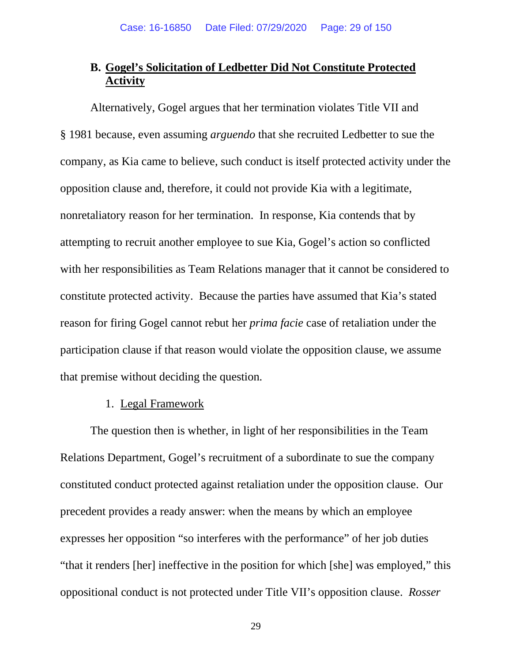# **B. Gogel's Solicitation of Ledbetter Did Not Constitute Protected Activity**

Alternatively, Gogel argues that her termination violates Title VII and § 1981 because, even assuming *arguendo* that she recruited Ledbetter to sue the company, as Kia came to believe, such conduct is itself protected activity under the opposition clause and, therefore, it could not provide Kia with a legitimate, nonretaliatory reason for her termination. In response, Kia contends that by attempting to recruit another employee to sue Kia, Gogel's action so conflicted with her responsibilities as Team Relations manager that it cannot be considered to constitute protected activity. Because the parties have assumed that Kia's stated reason for firing Gogel cannot rebut her *prima facie* case of retaliation under the participation clause if that reason would violate the opposition clause, we assume that premise without deciding the question.

#### 1. Legal Framework

The question then is whether, in light of her responsibilities in the Team Relations Department, Gogel's recruitment of a subordinate to sue the company constituted conduct protected against retaliation under the opposition clause. Our precedent provides a ready answer: when the means by which an employee expresses her opposition "so interferes with the performance" of her job duties "that it renders [her] ineffective in the position for which [she] was employed," this oppositional conduct is not protected under Title VII's opposition clause. *Rosser*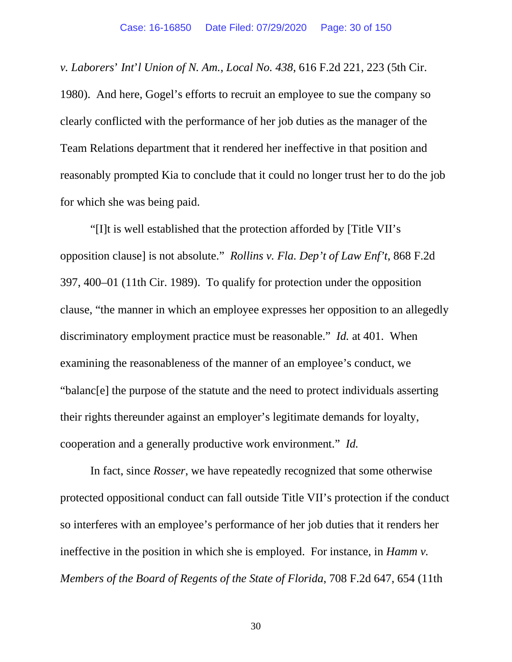*v. Laborers*' *Int*'*l Union of N. Am.*, *Local No. 438*, 616 F.2d 221, 223 (5th Cir. 1980). And here, Gogel's efforts to recruit an employee to sue the company so clearly conflicted with the performance of her job duties as the manager of the Team Relations department that it rendered her ineffective in that position and reasonably prompted Kia to conclude that it could no longer trust her to do the job for which she was being paid.

"[I]t is well established that the protection afforded by [Title VII's opposition clause] is not absolute." *Rollins v. Fla. Dep't of Law Enf't*, 868 F.2d 397, 400–01 (11th Cir. 1989). To qualify for protection under the opposition clause, "the manner in which an employee expresses her opposition to an allegedly discriminatory employment practice must be reasonable." *Id.* at 401. When examining the reasonableness of the manner of an employee's conduct, we "balanc[e] the purpose of the statute and the need to protect individuals asserting their rights thereunder against an employer's legitimate demands for loyalty, cooperation and a generally productive work environment." *Id.*

In fact, since *Rosser*, we have repeatedly recognized that some otherwise protected oppositional conduct can fall outside Title VII's protection if the conduct so interferes with an employee's performance of her job duties that it renders her ineffective in the position in which she is employed. For instance, in *Hamm v. Members of the Board of Regents of the State of Florida*, 708 F.2d 647, 654 (11th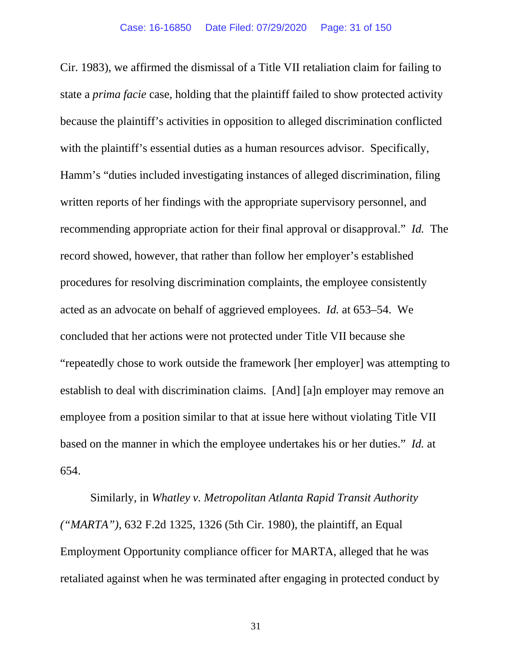Cir. 1983), we affirmed the dismissal of a Title VII retaliation claim for failing to state a *prima facie* case, holding that the plaintiff failed to show protected activity because the plaintiff's activities in opposition to alleged discrimination conflicted with the plaintiff's essential duties as a human resources advisor. Specifically, Hamm's "duties included investigating instances of alleged discrimination, filing written reports of her findings with the appropriate supervisory personnel, and recommending appropriate action for their final approval or disapproval." *Id.* The record showed, however, that rather than follow her employer's established procedures for resolving discrimination complaints, the employee consistently acted as an advocate on behalf of aggrieved employees. *Id.* at 653–54. We concluded that her actions were not protected under Title VII because she "repeatedly chose to work outside the framework [her employer] was attempting to establish to deal with discrimination claims. [And] [a]n employer may remove an employee from a position similar to that at issue here without violating Title VII based on the manner in which the employee undertakes his or her duties." *Id.* at 654.

Similarly, in *Whatley v. Metropolitan Atlanta Rapid Transit Authority ("MARTA")*, 632 F.2d 1325, 1326 (5th Cir. 1980), the plaintiff, an Equal Employment Opportunity compliance officer for MARTA, alleged that he was retaliated against when he was terminated after engaging in protected conduct by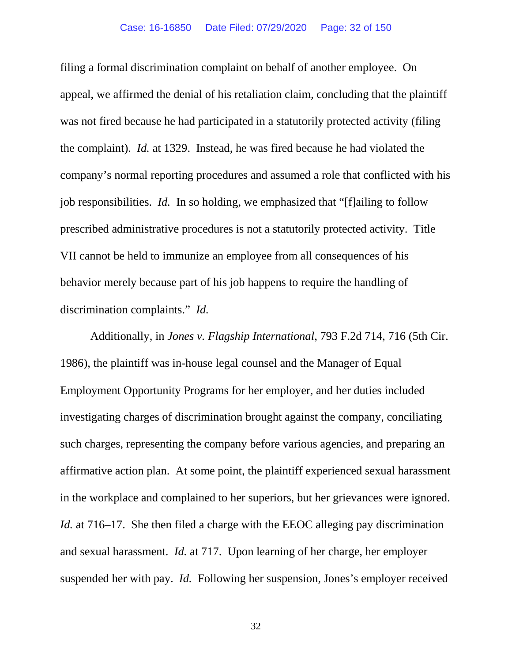filing a formal discrimination complaint on behalf of another employee. On appeal, we affirmed the denial of his retaliation claim, concluding that the plaintiff was not fired because he had participated in a statutorily protected activity (filing the complaint). *Id.* at 1329. Instead, he was fired because he had violated the company's normal reporting procedures and assumed a role that conflicted with his job responsibilities. *Id.* In so holding, we emphasized that "[f]ailing to follow prescribed administrative procedures is not a statutorily protected activity. Title VII cannot be held to immunize an employee from all consequences of his behavior merely because part of his job happens to require the handling of discrimination complaints." *Id.*

Additionally, in *Jones v. Flagship International*, 793 F.2d 714, 716 (5th Cir. 1986), the plaintiff was in-house legal counsel and the Manager of Equal Employment Opportunity Programs for her employer, and her duties included investigating charges of discrimination brought against the company, conciliating such charges, representing the company before various agencies, and preparing an affirmative action plan. At some point, the plaintiff experienced sexual harassment in the workplace and complained to her superiors, but her grievances were ignored. *Id.* at 716–17. She then filed a charge with the EEOC alleging pay discrimination and sexual harassment. *Id.* at 717. Upon learning of her charge, her employer suspended her with pay. *Id.* Following her suspension, Jones's employer received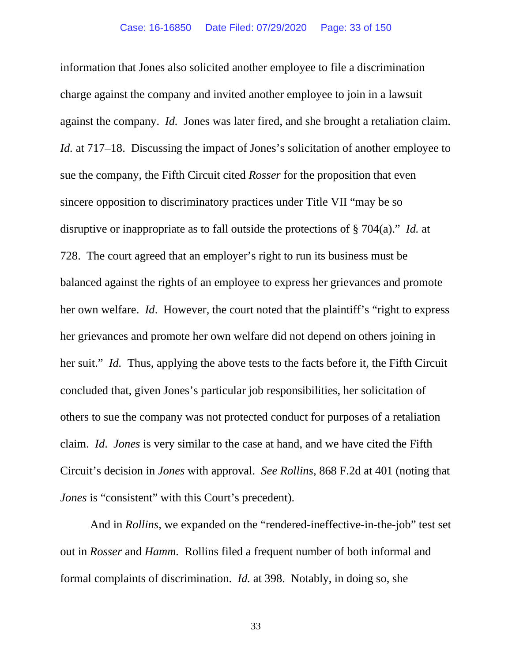information that Jones also solicited another employee to file a discrimination charge against the company and invited another employee to join in a lawsuit against the company. *Id.* Jones was later fired, and she brought a retaliation claim. *Id.* at 717–18. Discussing the impact of Jones's solicitation of another employee to sue the company, the Fifth Circuit cited *Rosser* for the proposition that even sincere opposition to discriminatory practices under Title VII "may be so disruptive or inappropriate as to fall outside the protections of § 704(a)." *Id.* at 728. The court agreed that an employer's right to run its business must be balanced against the rights of an employee to express her grievances and promote her own welfare. *Id*. However, the court noted that the plaintiff's "right to express her grievances and promote her own welfare did not depend on others joining in her suit." *Id.* Thus, applying the above tests to the facts before it, the Fifth Circuit concluded that, given Jones's particular job responsibilities, her solicitation of others to sue the company was not protected conduct for purposes of a retaliation claim. *Id*. *Jones* is very similar to the case at hand, and we have cited the Fifth Circuit's decision in *Jones* with approval. *See Rollins*, 868 F.2d at 401 (noting that *Jones* is "consistent" with this Court's precedent).

And in *Rollins*, we expanded on the "rendered-ineffective-in-the-job" test set out in *Rosser* and *Hamm.* Rollins filed a frequent number of both informal and formal complaints of discrimination. *Id.* at 398. Notably, in doing so, she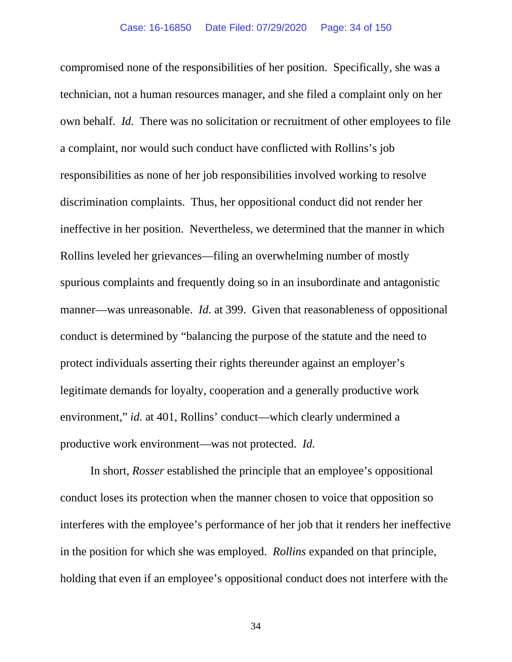compromised none of the responsibilities of her position. Specifically, she was a technician, not a human resources manager, and she filed a complaint only on her own behalf. *Id.* There was no solicitation or recruitment of other employees to file a complaint, nor would such conduct have conflicted with Rollins's job responsibilities as none of her job responsibilities involved working to resolve discrimination complaints. Thus, her oppositional conduct did not render her ineffective in her position. Nevertheless, we determined that the manner in which Rollins leveled her grievances—filing an overwhelming number of mostly spurious complaints and frequently doing so in an insubordinate and antagonistic manner—was unreasonable. *Id.* at 399. Given that reasonableness of oppositional conduct is determined by "balancing the purpose of the statute and the need to protect individuals asserting their rights thereunder against an employer's legitimate demands for loyalty, cooperation and a generally productive work environment," *id.* at 401, Rollins' conduct—which clearly undermined a productive work environment—was not protected. *Id.*

In short, *Rosser* established the principle that an employee's oppositional conduct loses its protection when the manner chosen to voice that opposition so interferes with the employee's performance of her job that it renders her ineffective in the position for which she was employed. *Rollins* expanded on that principle, holding that even if an employee's oppositional conduct does not interfere with the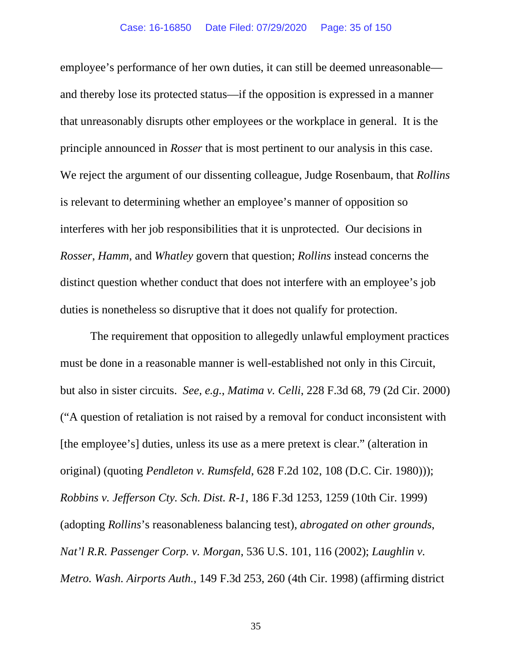employee's performance of her own duties, it can still be deemed unreasonable and thereby lose its protected status—if the opposition is expressed in a manner that unreasonably disrupts other employees or the workplace in general. It is the principle announced in *Rosser* that is most pertinent to our analysis in this case. We reject the argument of our dissenting colleague, Judge Rosenbaum, that *Rollins* is relevant to determining whether an employee's manner of opposition so interferes with her job responsibilities that it is unprotected. Our decisions in *Rosser*, *Hamm*, and *Whatley* govern that question; *Rollins* instead concerns the distinct question whether conduct that does not interfere with an employee's job duties is nonetheless so disruptive that it does not qualify for protection.

The requirement that opposition to allegedly unlawful employment practices must be done in a reasonable manner is well-established not only in this Circuit, but also in sister circuits. *See, e.g.*, *Matima v. Celli*, 228 F.3d 68, 79 (2d Cir. 2000) ("A question of retaliation is not raised by a removal for conduct inconsistent with [the employee's] duties, unless its use as a mere pretext is clear." (alteration in original) (quoting *Pendleton v. Rumsfeld*, 628 F.2d 102, 108 (D.C. Cir. 1980))); *Robbins v. Jefferson Cty. Sch. Dist. R-1*, 186 F.3d 1253, 1259 (10th Cir. 1999) (adopting *Rollins*'s reasonableness balancing test), *abrogated on other grounds*, *Nat'l R.R. Passenger Corp. v. Morgan*, 536 U.S. 101, 116 (2002); *Laughlin v. Metro. Wash. Airports Auth.*, 149 F.3d 253, 260 (4th Cir. 1998) (affirming district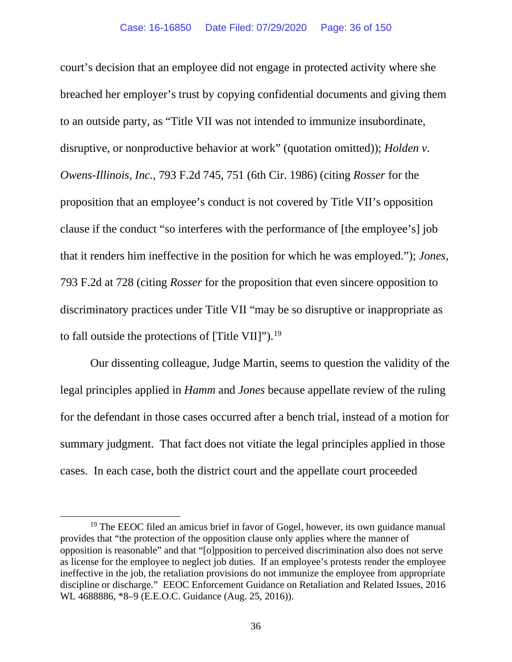court's decision that an employee did not engage in protected activity where she breached her employer's trust by copying confidential documents and giving them to an outside party, as "Title VII was not intended to immunize insubordinate, disruptive, or nonproductive behavior at work" (quotation omitted)); *Holden v. Owens-Illinois, Inc.*, 793 F.2d 745, 751 (6th Cir. 1986) (citing *Rosser* for the proposition that an employee's conduct is not covered by Title VII's opposition clause if the conduct "so interferes with the performance of [the employee's] job that it renders him ineffective in the position for which he was employed."); *Jones*, 793 F.2d at 728 (citing *Rosser* for the proposition that even sincere opposition to discriminatory practices under Title VII "may be so disruptive or inappropriate as to fall outside the protections of [Title VII]").<sup>[19](#page-35-0)</sup>

Our dissenting colleague, Judge Martin, seems to question the validity of the legal principles applied in *Hamm* and *Jones* because appellate review of the ruling for the defendant in those cases occurred after a bench trial, instead of a motion for summary judgment. That fact does not vitiate the legal principles applied in those cases. In each case, both the district court and the appellate court proceeded

<span id="page-35-0"></span><sup>&</sup>lt;sup>19</sup> The EEOC filed an amicus brief in favor of Gogel, however, its own guidance manual provides that "the protection of the opposition clause only applies where the manner of opposition is reasonable" and that "[o]pposition to perceived discrimination also does not serve as license for the employee to neglect job duties. If an employee's protests render the employee ineffective in the job, the retaliation provisions do not immunize the employee from appropriate discipline or discharge." EEOC Enforcement Guidance on Retaliation and Related Issues, 2016 WL 4688886, \*8–9 (E.E.O.C. Guidance (Aug. 25, 2016)).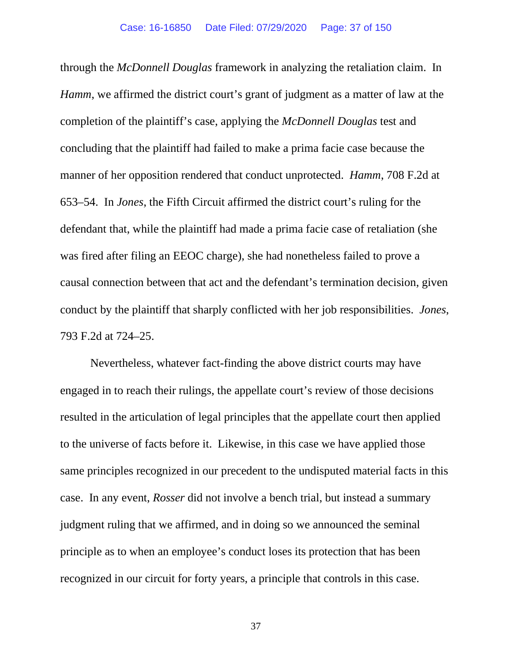through the *McDonnell Douglas* framework in analyzing the retaliation claim. In *Hamm*, we affirmed the district court's grant of judgment as a matter of law at the completion of the plaintiff's case, applying the *McDonnell Douglas* test and concluding that the plaintiff had failed to make a prima facie case because the manner of her opposition rendered that conduct unprotected. *Hamm*, 708 F.2d at 653–54. In *Jones*, the Fifth Circuit affirmed the district court's ruling for the defendant that, while the plaintiff had made a prima facie case of retaliation (she was fired after filing an EEOC charge), she had nonetheless failed to prove a causal connection between that act and the defendant's termination decision, given conduct by the plaintiff that sharply conflicted with her job responsibilities. *Jones*, 793 F.2d at 724–25.

Nevertheless, whatever fact-finding the above district courts may have engaged in to reach their rulings, the appellate court's review of those decisions resulted in the articulation of legal principles that the appellate court then applied to the universe of facts before it. Likewise, in this case we have applied those same principles recognized in our precedent to the undisputed material facts in this case. In any event, *Rosser* did not involve a bench trial, but instead a summary judgment ruling that we affirmed, and in doing so we announced the seminal principle as to when an employee's conduct loses its protection that has been recognized in our circuit for forty years, a principle that controls in this case.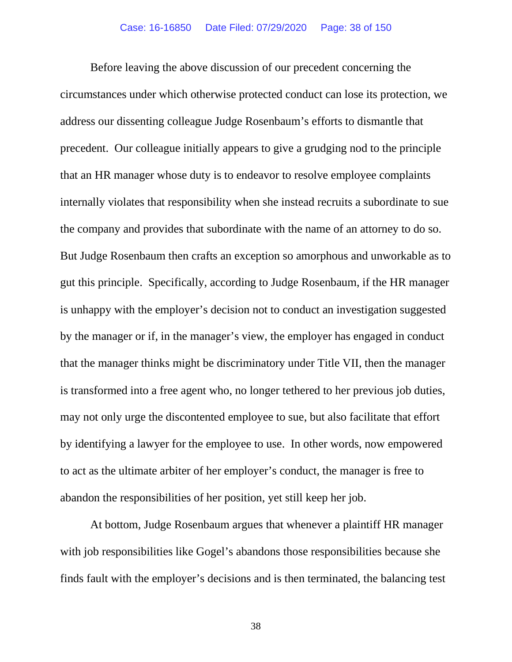Before leaving the above discussion of our precedent concerning the circumstances under which otherwise protected conduct can lose its protection, we address our dissenting colleague Judge Rosenbaum's efforts to dismantle that precedent. Our colleague initially appears to give a grudging nod to the principle that an HR manager whose duty is to endeavor to resolve employee complaints internally violates that responsibility when she instead recruits a subordinate to sue the company and provides that subordinate with the name of an attorney to do so. But Judge Rosenbaum then crafts an exception so amorphous and unworkable as to gut this principle. Specifically, according to Judge Rosenbaum, if the HR manager is unhappy with the employer's decision not to conduct an investigation suggested by the manager or if, in the manager's view, the employer has engaged in conduct that the manager thinks might be discriminatory under Title VII, then the manager is transformed into a free agent who, no longer tethered to her previous job duties, may not only urge the discontented employee to sue, but also facilitate that effort by identifying a lawyer for the employee to use. In other words, now empowered to act as the ultimate arbiter of her employer's conduct, the manager is free to abandon the responsibilities of her position, yet still keep her job.

At bottom, Judge Rosenbaum argues that whenever a plaintiff HR manager with job responsibilities like Gogel's abandons those responsibilities because she finds fault with the employer's decisions and is then terminated, the balancing test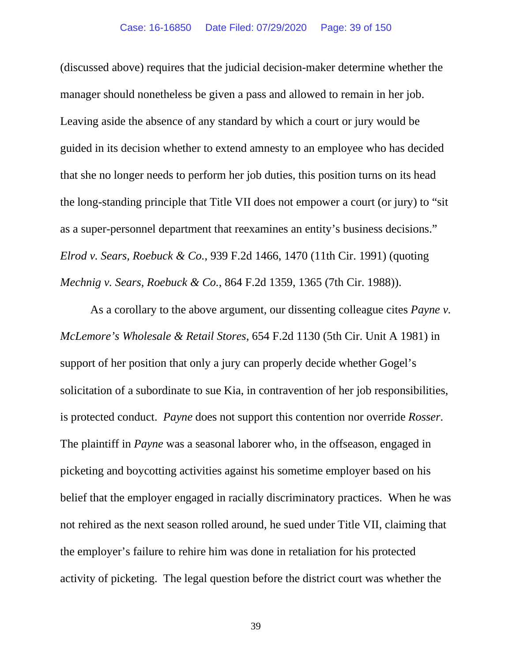(discussed above) requires that the judicial decision-maker determine whether the manager should nonetheless be given a pass and allowed to remain in her job. Leaving aside the absence of any standard by which a court or jury would be guided in its decision whether to extend amnesty to an employee who has decided that she no longer needs to perform her job duties, this position turns on its head the long-standing principle that Title VII does not empower a court (or jury) to "sit as a super-personnel department that reexamines an entity's business decisions." *Elrod v. Sears, Roebuck & Co.*, 939 F.2d 1466, 1470 (11th Cir. 1991) (quoting *Mechnig v. Sears, Roebuck & Co.*, 864 F.2d 1359, 1365 (7th Cir. 1988)).

As a corollary to the above argument, our dissenting colleague cites *Payne v. McLemore's Wholesale & Retail Stores*, 654 F.2d 1130 (5th Cir. Unit A 1981) in support of her position that only a jury can properly decide whether Gogel's solicitation of a subordinate to sue Kia, in contravention of her job responsibilities, is protected conduct. *Payne* does not support this contention nor override *Rosser*. The plaintiff in *Payne* was a seasonal laborer who, in the offseason, engaged in picketing and boycotting activities against his sometime employer based on his belief that the employer engaged in racially discriminatory practices. When he was not rehired as the next season rolled around, he sued under Title VII, claiming that the employer's failure to rehire him was done in retaliation for his protected activity of picketing. The legal question before the district court was whether the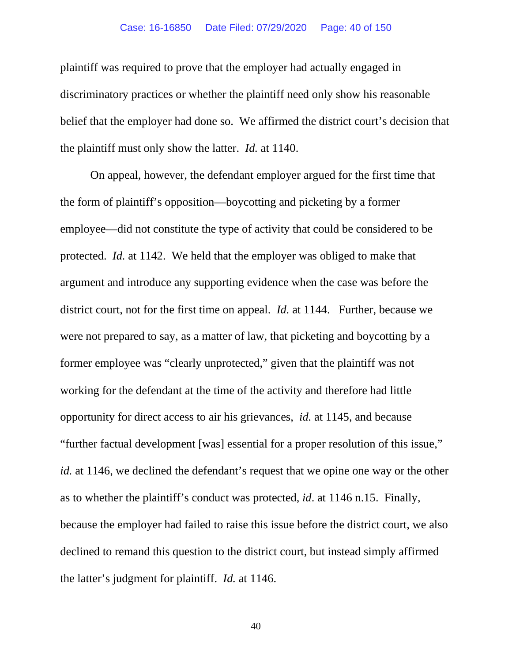### Case: 16-16850 Date Filed: 07/29/2020 Page: 40 of 150

plaintiff was required to prove that the employer had actually engaged in discriminatory practices or whether the plaintiff need only show his reasonable belief that the employer had done so. We affirmed the district court's decision that the plaintiff must only show the latter. *Id.* at 1140.

On appeal, however, the defendant employer argued for the first time that the form of plaintiff's opposition—boycotting and picketing by a former employee—did not constitute the type of activity that could be considered to be protected. *Id.* at 1142. We held that the employer was obliged to make that argument and introduce any supporting evidence when the case was before the district court, not for the first time on appeal. *Id.* at 1144. Further, because we were not prepared to say, as a matter of law, that picketing and boycotting by a former employee was "clearly unprotected," given that the plaintiff was not working for the defendant at the time of the activity and therefore had little opportunity for direct access to air his grievances, *id.* at 1145, and because "further factual development [was] essential for a proper resolution of this issue," *id.* at 1146, we declined the defendant's request that we opine one way or the other as to whether the plaintiff's conduct was protected, *id*. at 1146 n.15. Finally, because the employer had failed to raise this issue before the district court, we also declined to remand this question to the district court, but instead simply affirmed the latter's judgment for plaintiff. *Id.* at 1146.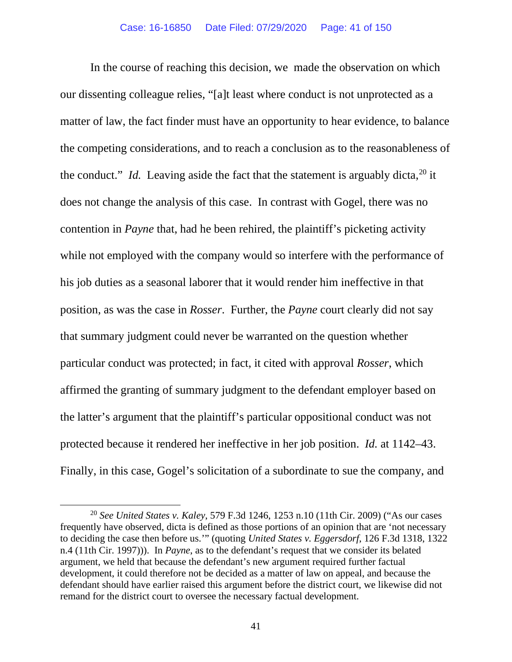In the course of reaching this decision, we made the observation on which our dissenting colleague relies, "[a]t least where conduct is not unprotected as a matter of law, the fact finder must have an opportunity to hear evidence, to balance the competing considerations, and to reach a conclusion as to the reasonableness of the conduct." *Id.* Leaving aside the fact that the statement is arguably dicta,  $20$  it does not change the analysis of this case. In contrast with Gogel, there was no contention in *Payne* that, had he been rehired, the plaintiff's picketing activity while not employed with the company would so interfere with the performance of his job duties as a seasonal laborer that it would render him ineffective in that position, as was the case in *Rosser*. Further, the *Payne* court clearly did not say that summary judgment could never be warranted on the question whether particular conduct was protected; in fact, it cited with approval *Rosser*, which affirmed the granting of summary judgment to the defendant employer based on the latter's argument that the plaintiff's particular oppositional conduct was not protected because it rendered her ineffective in her job position. *Id.* at 1142–43. Finally, in this case, Gogel's solicitation of a subordinate to sue the company, and

<span id="page-40-0"></span><sup>20</sup> *See United States v. Kaley*, 579 F.3d 1246, 1253 n.10 (11th Cir. 2009) ("As our cases frequently have observed, dicta is defined as those portions of an opinion that are 'not necessary to deciding the case then before us.'" (quoting *United States v. Eggersdorf*, 126 F.3d 1318, 1322 n.4 (11th Cir. 1997))). In *Payne*, as to the defendant's request that we consider its belated argument, we held that because the defendant's new argument required further factual development, it could therefore not be decided as a matter of law on appeal, and because the defendant should have earlier raised this argument before the district court, we likewise did not remand for the district court to oversee the necessary factual development.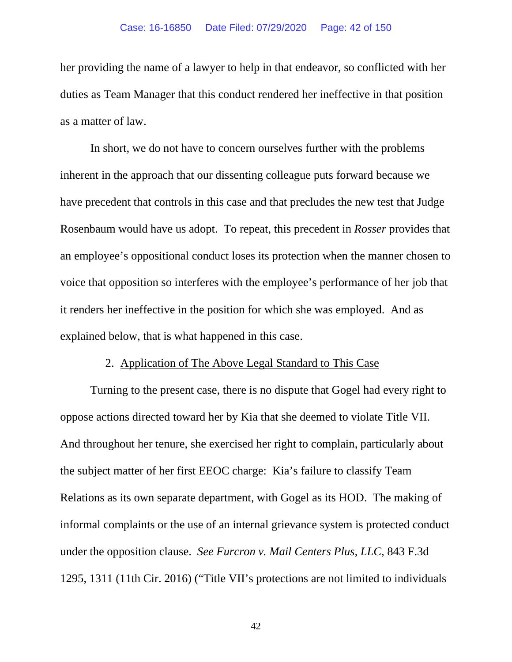her providing the name of a lawyer to help in that endeavor, so conflicted with her duties as Team Manager that this conduct rendered her ineffective in that position as a matter of law.

In short, we do not have to concern ourselves further with the problems inherent in the approach that our dissenting colleague puts forward because we have precedent that controls in this case and that precludes the new test that Judge Rosenbaum would have us adopt. To repeat, this precedent in *Rosser* provides that an employee's oppositional conduct loses its protection when the manner chosen to voice that opposition so interferes with the employee's performance of her job that it renders her ineffective in the position for which she was employed. And as explained below, that is what happened in this case.

### 2. Application of The Above Legal Standard to This Case

Turning to the present case, there is no dispute that Gogel had every right to oppose actions directed toward her by Kia that she deemed to violate Title VII. And throughout her tenure, she exercised her right to complain, particularly about the subject matter of her first EEOC charge: Kia's failure to classify Team Relations as its own separate department, with Gogel as its HOD. The making of informal complaints or the use of an internal grievance system is protected conduct under the opposition clause. *See Furcron v. Mail Centers Plus, LLC*, 843 F.3d 1295, 1311 (11th Cir. 2016) ("Title VII's protections are not limited to individuals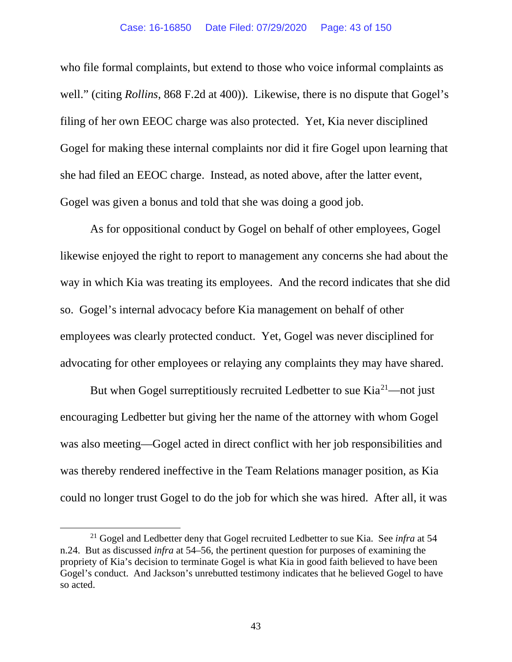### Case: 16-16850 Date Filed: 07/29/2020 Page: 43 of 150

who file formal complaints, but extend to those who voice informal complaints as well." (citing *Rollins*, 868 F.2d at 400)). Likewise, there is no dispute that Gogel's filing of her own EEOC charge was also protected. Yet, Kia never disciplined Gogel for making these internal complaints nor did it fire Gogel upon learning that she had filed an EEOC charge. Instead, as noted above, after the latter event, Gogel was given a bonus and told that she was doing a good job.

As for oppositional conduct by Gogel on behalf of other employees, Gogel likewise enjoyed the right to report to management any concerns she had about the way in which Kia was treating its employees. And the record indicates that she did so. Gogel's internal advocacy before Kia management on behalf of other employees was clearly protected conduct. Yet, Gogel was never disciplined for advocating for other employees or relaying any complaints they may have shared.

But when Gogel surreptitiously recruited Ledbetter to sue  $Kia^{21}$ —not just encouraging Ledbetter but giving her the name of the attorney with whom Gogel was also meeting—Gogel acted in direct conflict with her job responsibilities and was thereby rendered ineffective in the Team Relations manager position, as Kia could no longer trust Gogel to do the job for which she was hired. After all, it was

<span id="page-42-0"></span><sup>21</sup> Gogel and Ledbetter deny that Gogel recruited Ledbetter to sue Kia. See *infra* at 54 n.24. But as discussed *infra* at 54–56, the pertinent question for purposes of examining the propriety of Kia's decision to terminate Gogel is what Kia in good faith believed to have been Gogel's conduct. And Jackson's unrebutted testimony indicates that he believed Gogel to have so acted.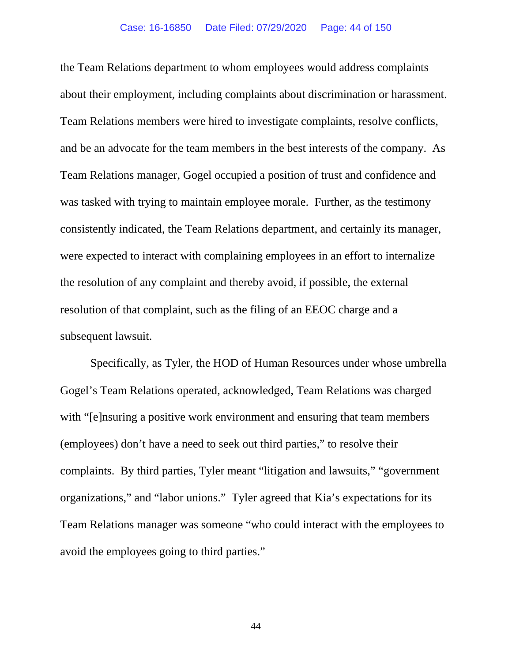### Case: 16-16850 Date Filed: 07/29/2020 Page: 44 of 150

the Team Relations department to whom employees would address complaints about their employment, including complaints about discrimination or harassment. Team Relations members were hired to investigate complaints, resolve conflicts, and be an advocate for the team members in the best interests of the company. As Team Relations manager, Gogel occupied a position of trust and confidence and was tasked with trying to maintain employee morale. Further, as the testimony consistently indicated, the Team Relations department, and certainly its manager, were expected to interact with complaining employees in an effort to internalize the resolution of any complaint and thereby avoid, if possible, the external resolution of that complaint, such as the filing of an EEOC charge and a subsequent lawsuit.

Specifically, as Tyler, the HOD of Human Resources under whose umbrella Gogel's Team Relations operated, acknowledged, Team Relations was charged with "[e]nsuring a positive work environment and ensuring that team members (employees) don't have a need to seek out third parties," to resolve their complaints. By third parties, Tyler meant "litigation and lawsuits," "government organizations," and "labor unions." Tyler agreed that Kia's expectations for its Team Relations manager was someone "who could interact with the employees to avoid the employees going to third parties."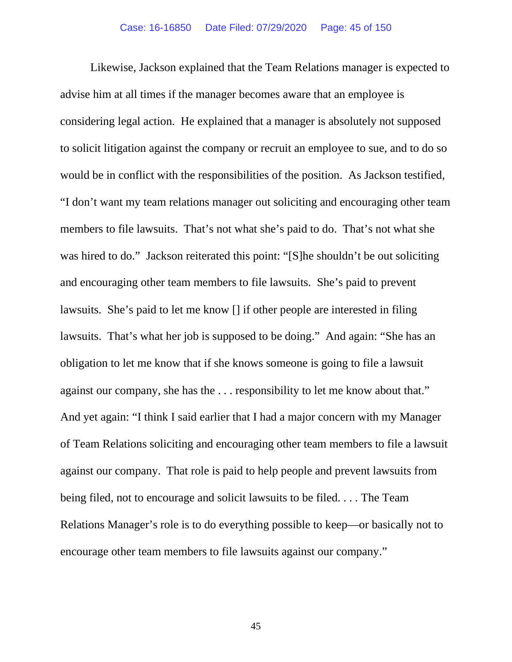Likewise, Jackson explained that the Team Relations manager is expected to advise him at all times if the manager becomes aware that an employee is considering legal action. He explained that a manager is absolutely not supposed to solicit litigation against the company or recruit an employee to sue, and to do so would be in conflict with the responsibilities of the position. As Jackson testified, "I don't want my team relations manager out soliciting and encouraging other team members to file lawsuits. That's not what she's paid to do. That's not what she was hired to do." Jackson reiterated this point: "[S]he shouldn't be out soliciting and encouraging other team members to file lawsuits. She's paid to prevent lawsuits. She's paid to let me know [] if other people are interested in filing lawsuits. That's what her job is supposed to be doing." And again: "She has an obligation to let me know that if she knows someone is going to file a lawsuit against our company, she has the . . . responsibility to let me know about that." And yet again: "I think I said earlier that I had a major concern with my Manager of Team Relations soliciting and encouraging other team members to file a lawsuit against our company. That role is paid to help people and prevent lawsuits from being filed, not to encourage and solicit lawsuits to be filed. . . . The Team Relations Manager's role is to do everything possible to keep—or basically not to encourage other team members to file lawsuits against our company."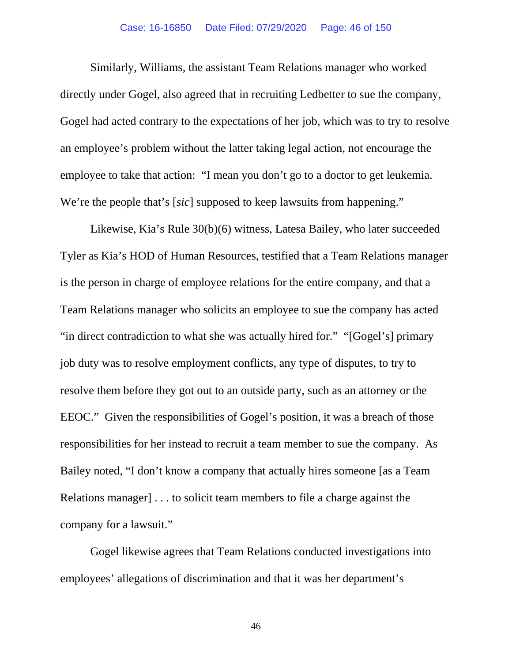### Case: 16-16850 Date Filed: 07/29/2020 Page: 46 of 150

Similarly, Williams, the assistant Team Relations manager who worked directly under Gogel, also agreed that in recruiting Ledbetter to sue the company, Gogel had acted contrary to the expectations of her job, which was to try to resolve an employee's problem without the latter taking legal action, not encourage the employee to take that action: "I mean you don't go to a doctor to get leukemia. We're the people that's [*sic*] supposed to keep lawsuits from happening."

Likewise, Kia's Rule 30(b)(6) witness, Latesa Bailey, who later succeeded Tyler as Kia's HOD of Human Resources, testified that a Team Relations manager is the person in charge of employee relations for the entire company, and that a Team Relations manager who solicits an employee to sue the company has acted "in direct contradiction to what she was actually hired for." "[Gogel's] primary job duty was to resolve employment conflicts, any type of disputes, to try to resolve them before they got out to an outside party, such as an attorney or the EEOC." Given the responsibilities of Gogel's position, it was a breach of those responsibilities for her instead to recruit a team member to sue the company. As Bailey noted, "I don't know a company that actually hires someone [as a Team Relations manager] . . . to solicit team members to file a charge against the company for a lawsuit."

Gogel likewise agrees that Team Relations conducted investigations into employees' allegations of discrimination and that it was her department's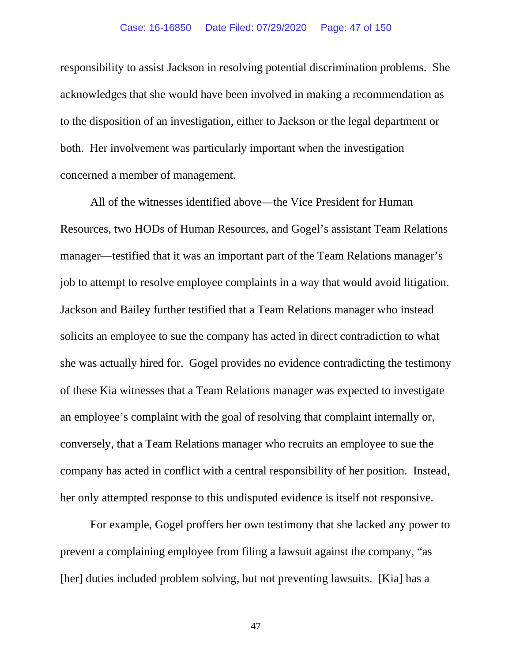responsibility to assist Jackson in resolving potential discrimination problems. She acknowledges that she would have been involved in making a recommendation as to the disposition of an investigation, either to Jackson or the legal department or both. Her involvement was particularly important when the investigation concerned a member of management.

All of the witnesses identified above—the Vice President for Human Resources, two HODs of Human Resources, and Gogel's assistant Team Relations manager—testified that it was an important part of the Team Relations manager's job to attempt to resolve employee complaints in a way that would avoid litigation. Jackson and Bailey further testified that a Team Relations manager who instead solicits an employee to sue the company has acted in direct contradiction to what she was actually hired for. Gogel provides no evidence contradicting the testimony of these Kia witnesses that a Team Relations manager was expected to investigate an employee's complaint with the goal of resolving that complaint internally or, conversely, that a Team Relations manager who recruits an employee to sue the company has acted in conflict with a central responsibility of her position. Instead, her only attempted response to this undisputed evidence is itself not responsive.

For example, Gogel proffers her own testimony that she lacked any power to prevent a complaining employee from filing a lawsuit against the company, "as [her] duties included problem solving, but not preventing lawsuits. [Kia] has a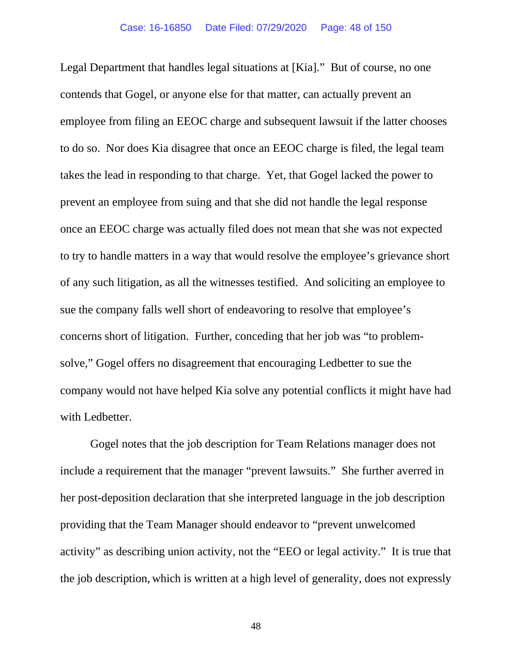Legal Department that handles legal situations at [Kia]." But of course, no one contends that Gogel, or anyone else for that matter, can actually prevent an employee from filing an EEOC charge and subsequent lawsuit if the latter chooses to do so. Nor does Kia disagree that once an EEOC charge is filed, the legal team takes the lead in responding to that charge. Yet, that Gogel lacked the power to prevent an employee from suing and that she did not handle the legal response once an EEOC charge was actually filed does not mean that she was not expected to try to handle matters in a way that would resolve the employee's grievance short of any such litigation, as all the witnesses testified. And soliciting an employee to sue the company falls well short of endeavoring to resolve that employee's concerns short of litigation. Further, conceding that her job was "to problemsolve," Gogel offers no disagreement that encouraging Ledbetter to sue the company would not have helped Kia solve any potential conflicts it might have had with Ledbetter.

Gogel notes that the job description for Team Relations manager does not include a requirement that the manager "prevent lawsuits." She further averred in her post-deposition declaration that she interpreted language in the job description providing that the Team Manager should endeavor to "prevent unwelcomed activity" as describing union activity, not the "EEO or legal activity." It is true that the job description, which is written at a high level of generality, does not expressly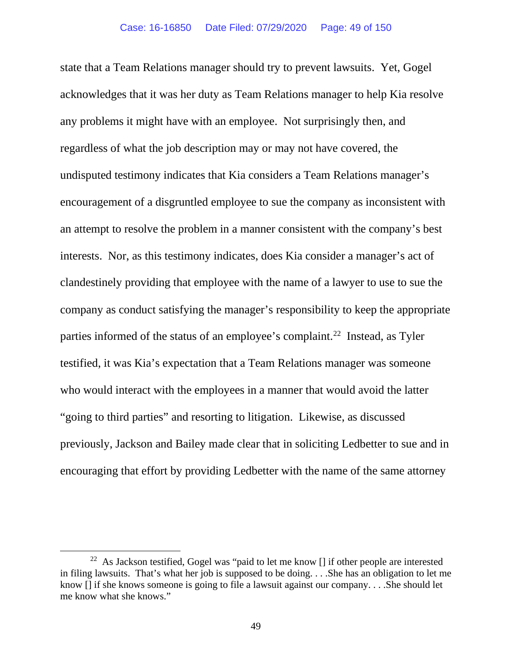state that a Team Relations manager should try to prevent lawsuits. Yet, Gogel acknowledges that it was her duty as Team Relations manager to help Kia resolve any problems it might have with an employee. Not surprisingly then, and regardless of what the job description may or may not have covered, the undisputed testimony indicates that Kia considers a Team Relations manager's encouragement of a disgruntled employee to sue the company as inconsistent with an attempt to resolve the problem in a manner consistent with the company's best interests. Nor, as this testimony indicates, does Kia consider a manager's act of clandestinely providing that employee with the name of a lawyer to use to sue the company as conduct satisfying the manager's responsibility to keep the appropriate parties informed of the status of an employee's complaint.<sup>[22](#page-48-0)</sup> Instead, as Tyler testified, it was Kia's expectation that a Team Relations manager was someone who would interact with the employees in a manner that would avoid the latter "going to third parties" and resorting to litigation. Likewise, as discussed previously, Jackson and Bailey made clear that in soliciting Ledbetter to sue and in encouraging that effort by providing Ledbetter with the name of the same attorney

<span id="page-48-0"></span><sup>&</sup>lt;sup>22</sup> As Jackson testified, Gogel was "paid to let me know  $\iint$  if other people are interested in filing lawsuits. That's what her job is supposed to be doing. . . .She has an obligation to let me know [] if she knows someone is going to file a lawsuit against our company. . . .She should let me know what she knows."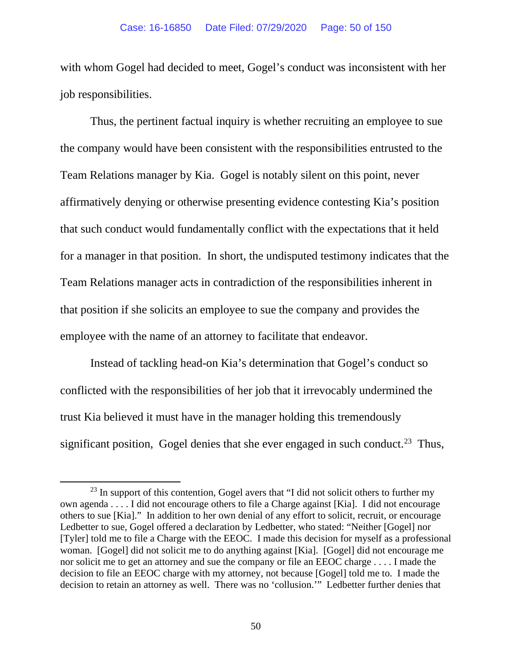with whom Gogel had decided to meet, Gogel's conduct was inconsistent with her job responsibilities.

Thus, the pertinent factual inquiry is whether recruiting an employee to sue the company would have been consistent with the responsibilities entrusted to the Team Relations manager by Kia. Gogel is notably silent on this point, never affirmatively denying or otherwise presenting evidence contesting Kia's position that such conduct would fundamentally conflict with the expectations that it held for a manager in that position. In short, the undisputed testimony indicates that the Team Relations manager acts in contradiction of the responsibilities inherent in that position if she solicits an employee to sue the company and provides the employee with the name of an attorney to facilitate that endeavor.

Instead of tackling head-on Kia's determination that Gogel's conduct so conflicted with the responsibilities of her job that it irrevocably undermined the trust Kia believed it must have in the manager holding this tremendously significant position, Gogel denies that she ever engaged in such conduct.<sup>23</sup> Thus,

<span id="page-49-0"></span> $^{23}$  In support of this contention, Gogel avers that "I did not solicit others to further my own agenda . . . . I did not encourage others to file a Charge against [Kia]. I did not encourage others to sue [Kia]." In addition to her own denial of any effort to solicit, recruit, or encourage Ledbetter to sue, Gogel offered a declaration by Ledbetter, who stated: "Neither [Gogel] nor [Tyler] told me to file a Charge with the EEOC. I made this decision for myself as a professional woman. [Gogel] did not solicit me to do anything against [Kia]. [Gogel] did not encourage me nor solicit me to get an attorney and sue the company or file an EEOC charge . . . . I made the decision to file an EEOC charge with my attorney, not because [Gogel] told me to. I made the decision to retain an attorney as well. There was no 'collusion.'" Ledbetter further denies that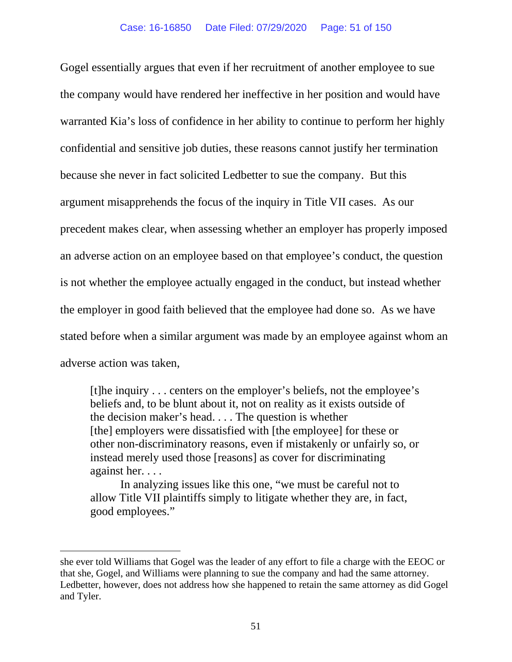Gogel essentially argues that even if her recruitment of another employee to sue the company would have rendered her ineffective in her position and would have warranted Kia's loss of confidence in her ability to continue to perform her highly confidential and sensitive job duties, these reasons cannot justify her termination because she never in fact solicited Ledbetter to sue the company. But this argument misapprehends the focus of the inquiry in Title VII cases. As our precedent makes clear, when assessing whether an employer has properly imposed an adverse action on an employee based on that employee's conduct, the question is not whether the employee actually engaged in the conduct, but instead whether the employer in good faith believed that the employee had done so. As we have stated before when a similar argument was made by an employee against whom an adverse action was taken,

[t]he inquiry . . . centers on the employer's beliefs, not the employee's beliefs and, to be blunt about it, not on reality as it exists outside of the decision maker's head. . . . The question is whether [the] employers were dissatisfied with [the employee] for these or other non-discriminatory reasons, even if mistakenly or unfairly so, or instead merely used those [reasons] as cover for discriminating against her. . . .

In analyzing issues like this one, "we must be careful not to allow Title VII plaintiffs simply to litigate whether they are, in fact, good employees."

she ever told Williams that Gogel was the leader of any effort to file a charge with the EEOC or that she, Gogel, and Williams were planning to sue the company and had the same attorney. Ledbetter, however, does not address how she happened to retain the same attorney as did Gogel and Tyler.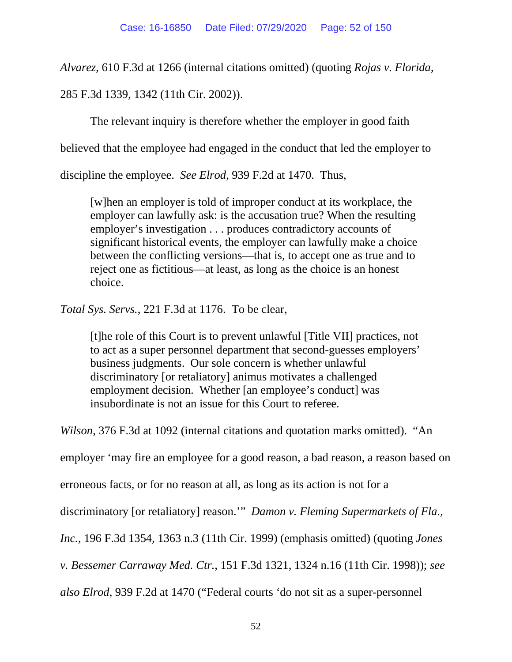*Alvarez*, 610 F.3d at 1266 (internal citations omitted) (quoting *Rojas v. Florida*,

285 F.3d 1339, 1342 (11th Cir. 2002)).

The relevant inquiry is therefore whether the employer in good faith

believed that the employee had engaged in the conduct that led the employer to

discipline the employee. *See Elrod*, 939 F.2d at 1470. Thus,

[w]hen an employer is told of improper conduct at its workplace, the employer can lawfully ask: is the accusation true? When the resulting employer's investigation . . . produces contradictory accounts of significant historical events, the employer can lawfully make a choice between the conflicting versions—that is, to accept one as true and to reject one as fictitious—at least, as long as the choice is an honest choice.

*Total Sys. Servs.*, 221 F.3d at 1176. To be clear,

[t]he role of this Court is to prevent unlawful [Title VII] practices, not to act as a super personnel department that second-guesses employers' business judgments. Our sole concern is whether unlawful discriminatory [or retaliatory] animus motivates a challenged employment decision. Whether [an employee's conduct] was insubordinate is not an issue for this Court to referee.

*Wilson*, 376 F.3d at 1092 (internal citations and quotation marks omitted). "An

employer 'may fire an employee for a good reason, a bad reason, a reason based on

erroneous facts, or for no reason at all, as long as its action is not for a

discriminatory [or retaliatory] reason.'" *Damon v. Fleming Supermarkets of Fla.,* 

*Inc.*, 196 F.3d 1354, 1363 n.3 (11th Cir. 1999) (emphasis omitted) (quoting *Jones* 

*v. Bessemer Carraway Med. Ctr.*, 151 F.3d 1321, 1324 n.16 (11th Cir. 1998)); *see* 

*also Elrod*, 939 F.2d at 1470 ("Federal courts 'do not sit as a super-personnel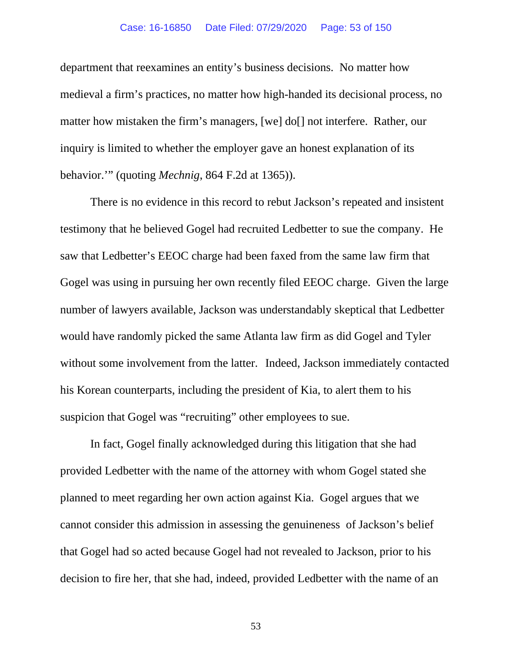### Case: 16-16850 Date Filed: 07/29/2020 Page: 53 of 150

department that reexamines an entity's business decisions. No matter how medieval a firm's practices, no matter how high-handed its decisional process, no matter how mistaken the firm's managers, [we] do[] not interfere. Rather, our inquiry is limited to whether the employer gave an honest explanation of its behavior.'" (quoting *Mechnig*, 864 F.2d at 1365)).

There is no evidence in this record to rebut Jackson's repeated and insistent testimony that he believed Gogel had recruited Ledbetter to sue the company. He saw that Ledbetter's EEOC charge had been faxed from the same law firm that Gogel was using in pursuing her own recently filed EEOC charge. Given the large number of lawyers available, Jackson was understandably skeptical that Ledbetter would have randomly picked the same Atlanta law firm as did Gogel and Tyler without some involvement from the latter. Indeed, Jackson immediately contacted his Korean counterparts, including the president of Kia, to alert them to his suspicion that Gogel was "recruiting" other employees to sue.

In fact, Gogel finally acknowledged during this litigation that she had provided Ledbetter with the name of the attorney with whom Gogel stated she planned to meet regarding her own action against Kia. Gogel argues that we cannot consider this admission in assessing the genuineness of Jackson's belief that Gogel had so acted because Gogel had not revealed to Jackson, prior to his decision to fire her, that she had, indeed, provided Ledbetter with the name of an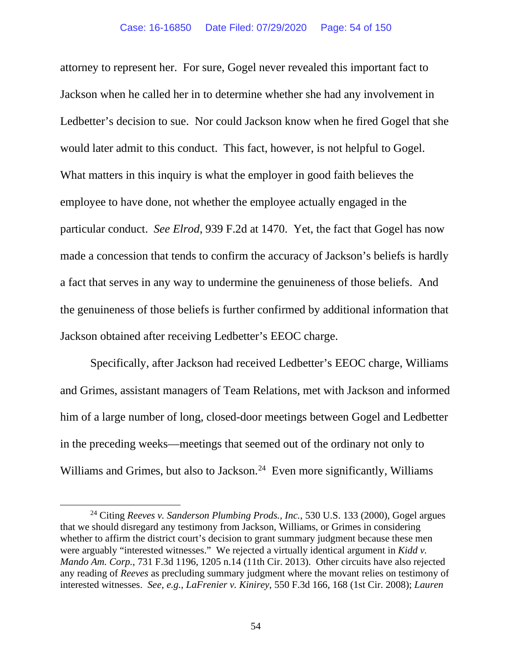attorney to represent her. For sure, Gogel never revealed this important fact to Jackson when he called her in to determine whether she had any involvement in Ledbetter's decision to sue. Nor could Jackson know when he fired Gogel that she would later admit to this conduct. This fact, however, is not helpful to Gogel. What matters in this inquiry is what the employer in good faith believes the employee to have done, not whether the employee actually engaged in the particular conduct. *See Elrod*, 939 F.2d at 1470. Yet, the fact that Gogel has now made a concession that tends to confirm the accuracy of Jackson's beliefs is hardly a fact that serves in any way to undermine the genuineness of those beliefs. And the genuineness of those beliefs is further confirmed by additional information that Jackson obtained after receiving Ledbetter's EEOC charge.

Specifically, after Jackson had received Ledbetter's EEOC charge, Williams and Grimes, assistant managers of Team Relations, met with Jackson and informed him of a large number of long, closed-door meetings between Gogel and Ledbetter in the preceding weeks—meetings that seemed out of the ordinary not only to Williams and Grimes, but also to Jackson.<sup>[24](#page-53-0)</sup> Even more significantly, Williams

<span id="page-53-0"></span><sup>24</sup> Citing *Reeves v. Sanderson Plumbing Prods., Inc.*, 530 U.S. 133 (2000), Gogel argues that we should disregard any testimony from Jackson, Williams, or Grimes in considering whether to affirm the district court's decision to grant summary judgment because these men were arguably "interested witnesses." We rejected a virtually identical argument in *Kidd v. Mando Am. Corp.*, 731 F.3d 1196, 1205 n.14 (11th Cir. 2013). Other circuits have also rejected any reading of *Reeves* as precluding summary judgment where the movant relies on testimony of interested witnesses. *See, e.g.*, *LaFrenier v. Kinirey*, 550 F.3d 166, 168 (1st Cir. 2008); *Lauren*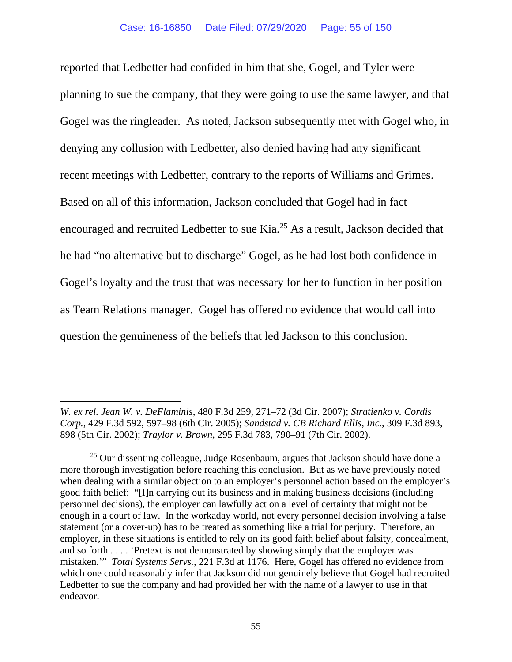reported that Ledbetter had confided in him that she, Gogel, and Tyler were planning to sue the company, that they were going to use the same lawyer, and that Gogel was the ringleader. As noted, Jackson subsequently met with Gogel who, in denying any collusion with Ledbetter, also denied having had any significant recent meetings with Ledbetter, contrary to the reports of Williams and Grimes. Based on all of this information, Jackson concluded that Gogel had in fact encouraged and recruited Ledbetter to sue Kia. [25](#page-54-0) As a result, Jackson decided that he had "no alternative but to discharge" Gogel, as he had lost both confidence in Gogel's loyalty and the trust that was necessary for her to function in her position as Team Relations manager. Gogel has offered no evidence that would call into question the genuineness of the beliefs that led Jackson to this conclusion.

*W. ex rel. Jean W. v. DeFlaminis*, 480 F.3d 259, 271–72 (3d Cir. 2007); *Stratienko v. Cordis Corp.*, 429 F.3d 592, 597–98 (6th Cir. 2005); *Sandstad v. CB Richard Ellis, Inc.*, 309 F.3d 893, 898 (5th Cir. 2002); *Traylor v. Brown*, 295 F.3d 783, 790–91 (7th Cir. 2002).

<span id="page-54-0"></span><sup>&</sup>lt;sup>25</sup> Our dissenting colleague, Judge Rosenbaum, argues that Jackson should have done a more thorough investigation before reaching this conclusion. But as we have previously noted when dealing with a similar objection to an employer's personnel action based on the employer's good faith belief: "[I]n carrying out its business and in making business decisions (including personnel decisions), the employer can lawfully act on a level of certainty that might not be enough in a court of law. In the workaday world, not every personnel decision involving a false statement (or a cover-up) has to be treated as something like a trial for perjury. Therefore, an employer, in these situations is entitled to rely on its good faith belief about falsity, concealment, and so forth . . . . 'Pretext is not demonstrated by showing simply that the employer was mistaken.'" *Total Systems Servs.*, 221 F.3d at 1176. Here, Gogel has offered no evidence from which one could reasonably infer that Jackson did not genuinely believe that Gogel had recruited Ledbetter to sue the company and had provided her with the name of a lawyer to use in that endeavor.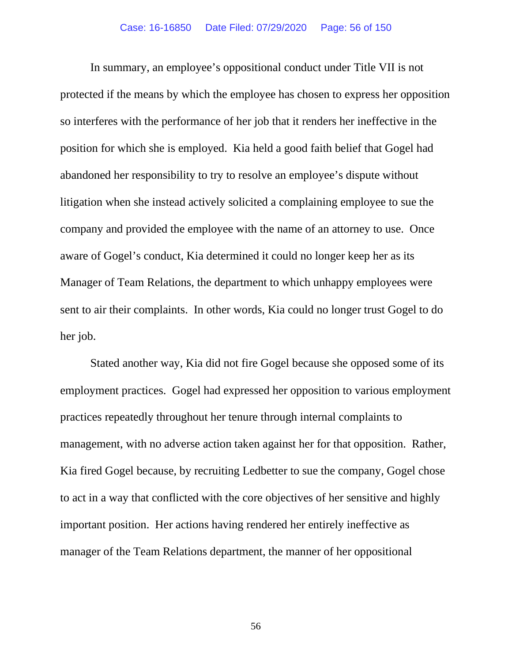In summary, an employee's oppositional conduct under Title VII is not protected if the means by which the employee has chosen to express her opposition so interferes with the performance of her job that it renders her ineffective in the position for which she is employed. Kia held a good faith belief that Gogel had abandoned her responsibility to try to resolve an employee's dispute without litigation when she instead actively solicited a complaining employee to sue the company and provided the employee with the name of an attorney to use. Once aware of Gogel's conduct, Kia determined it could no longer keep her as its Manager of Team Relations, the department to which unhappy employees were sent to air their complaints. In other words, Kia could no longer trust Gogel to do her job.

Stated another way, Kia did not fire Gogel because she opposed some of its employment practices. Gogel had expressed her opposition to various employment practices repeatedly throughout her tenure through internal complaints to management, with no adverse action taken against her for that opposition. Rather, Kia fired Gogel because, by recruiting Ledbetter to sue the company, Gogel chose to act in a way that conflicted with the core objectives of her sensitive and highly important position. Her actions having rendered her entirely ineffective as manager of the Team Relations department, the manner of her oppositional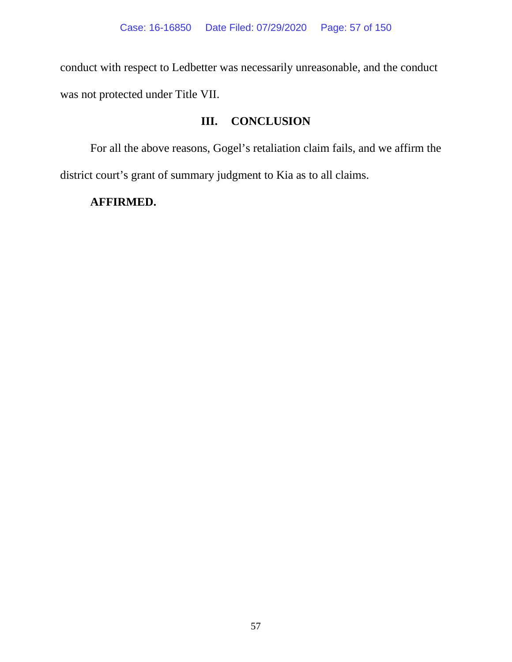conduct with respect to Ledbetter was necessarily unreasonable, and the conduct was not protected under Title VII.

# **III. CONCLUSION**

For all the above reasons, Gogel's retaliation claim fails, and we affirm the district court's grant of summary judgment to Kia as to all claims.

## **AFFIRMED.**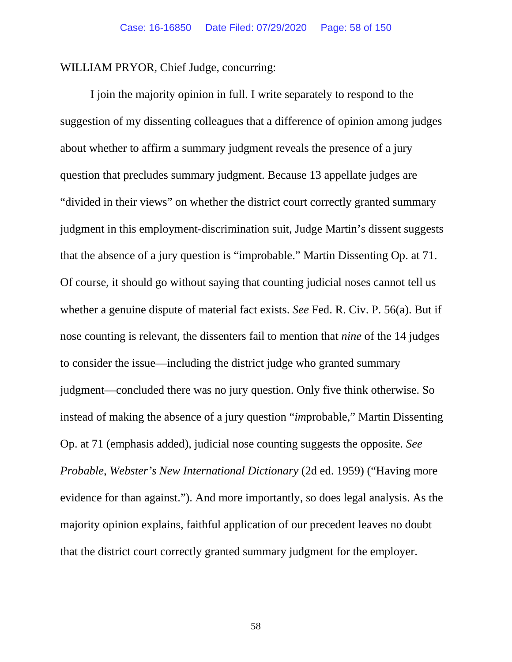WILLIAM PRYOR, Chief Judge, concurring:

I join the majority opinion in full. I write separately to respond to the suggestion of my dissenting colleagues that a difference of opinion among judges about whether to affirm a summary judgment reveals the presence of a jury question that precludes summary judgment. Because 13 appellate judges are "divided in their views" on whether the district court correctly granted summary judgment in this employment-discrimination suit, Judge Martin's dissent suggests that the absence of a jury question is "improbable." Martin Dissenting Op. at 71. Of course, it should go without saying that counting judicial noses cannot tell us whether a genuine dispute of material fact exists. *See* Fed. R. Civ. P. 56(a). But if nose counting is relevant, the dissenters fail to mention that *nine* of the 14 judges to consider the issue—including the district judge who granted summary judgment—concluded there was no jury question. Only five think otherwise. So instead of making the absence of a jury question "*im*probable," Martin Dissenting Op. at 71 (emphasis added), judicial nose counting suggests the opposite. *See Probable*, *Webster's New International Dictionary* (2d ed. 1959) ("Having more evidence for than against."). And more importantly, so does legal analysis. As the majority opinion explains, faithful application of our precedent leaves no doubt that the district court correctly granted summary judgment for the employer.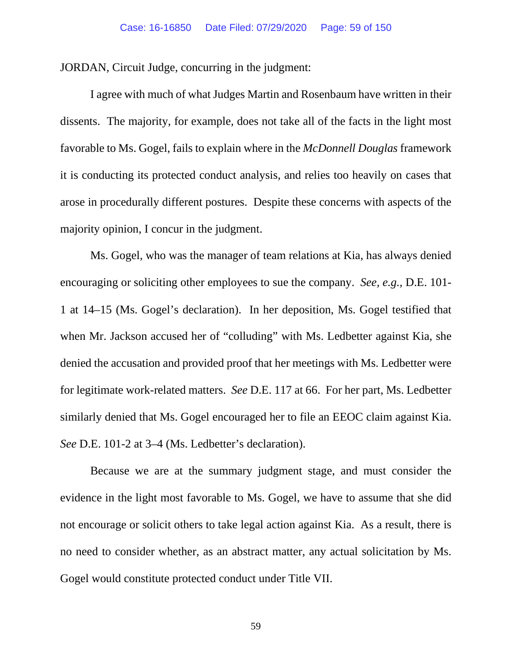JORDAN, Circuit Judge, concurring in the judgment:

I agree with much of what Judges Martin and Rosenbaum have written in their dissents. The majority, for example, does not take all of the facts in the light most favorable to Ms. Gogel, fails to explain where in the *McDonnell Douglas* framework it is conducting its protected conduct analysis, and relies too heavily on cases that arose in procedurally different postures. Despite these concerns with aspects of the majority opinion, I concur in the judgment.

Ms. Gogel, who was the manager of team relations at Kia, has always denied encouraging or soliciting other employees to sue the company. *See, e.g.,* D.E. 101- 1 at 14–15 (Ms. Gogel's declaration). In her deposition, Ms. Gogel testified that when Mr. Jackson accused her of "colluding" with Ms. Ledbetter against Kia, she denied the accusation and provided proof that her meetings with Ms. Ledbetter were for legitimate work-related matters. *See* D.E. 117 at 66. For her part, Ms. Ledbetter similarly denied that Ms. Gogel encouraged her to file an EEOC claim against Kia. *See* D.E. 101-2 at 3–4 (Ms. Ledbetter's declaration).

Because we are at the summary judgment stage, and must consider the evidence in the light most favorable to Ms. Gogel, we have to assume that she did not encourage or solicit others to take legal action against Kia. As a result, there is no need to consider whether, as an abstract matter, any actual solicitation by Ms. Gogel would constitute protected conduct under Title VII.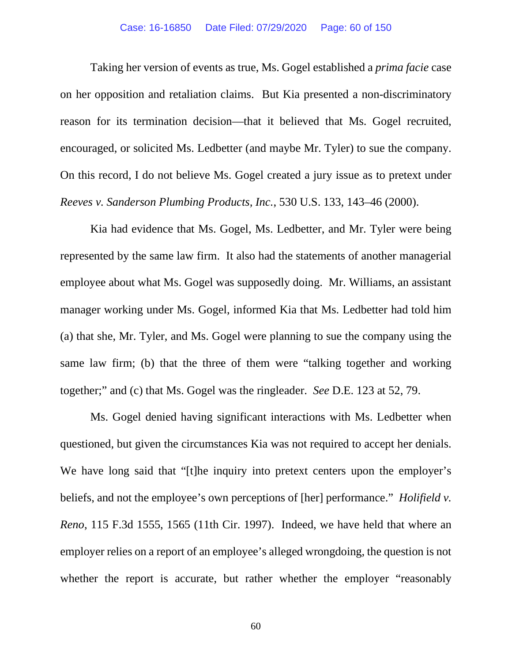Taking her version of events as true, Ms. Gogel established a *prima facie* case on her opposition and retaliation claims. But Kia presented a non-discriminatory reason for its termination decision—that it believed that Ms. Gogel recruited, encouraged, or solicited Ms. Ledbetter (and maybe Mr. Tyler) to sue the company. On this record, I do not believe Ms. Gogel created a jury issue as to pretext under *Reeves v. Sanderson Plumbing Products, Inc.*, 530 U.S. 133, 143–46 (2000).

Kia had evidence that Ms. Gogel, Ms. Ledbetter, and Mr. Tyler were being represented by the same law firm. It also had the statements of another managerial employee about what Ms. Gogel was supposedly doing. Mr. Williams, an assistant manager working under Ms. Gogel, informed Kia that Ms. Ledbetter had told him (a) that she, Mr. Tyler, and Ms. Gogel were planning to sue the company using the same law firm; (b) that the three of them were "talking together and working together;" and (c) that Ms. Gogel was the ringleader. *See* D.E. 123 at 52, 79.

Ms. Gogel denied having significant interactions with Ms. Ledbetter when questioned, but given the circumstances Kia was not required to accept her denials. We have long said that "[t]he inquiry into pretext centers upon the employer's beliefs, and not the employee's own perceptions of [her] performance." *Holifield v. Reno*, 115 F.3d 1555, 1565 (11th Cir. 1997). Indeed, we have held that where an employer relies on a report of an employee's alleged wrongdoing, the question is not whether the report is accurate, but rather whether the employer "reasonably"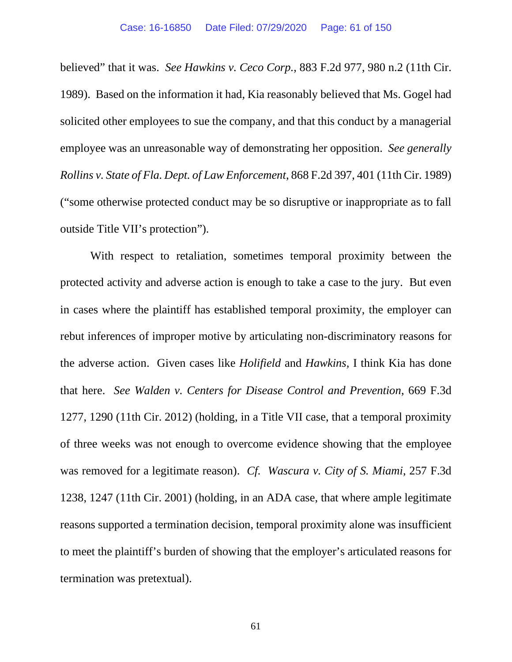believed" that it was. *See Hawkins v. Ceco Corp.*, 883 F.2d 977, 980 n.2 (11th Cir. 1989). Based on the information it had, Kia reasonably believed that Ms. Gogel had solicited other employees to sue the company, and that this conduct by a managerial employee was an unreasonable way of demonstrating her opposition. *See generally Rollins v. State of Fla. Dept. of Law Enforcement*, 868 F.2d 397, 401 (11th Cir. 1989) ("some otherwise protected conduct may be so disruptive or inappropriate as to fall outside Title VII's protection").

With respect to retaliation, sometimes temporal proximity between the protected activity and adverse action is enough to take a case to the jury. But even in cases where the plaintiff has established temporal proximity, the employer can rebut inferences of improper motive by articulating non-discriminatory reasons for the adverse action. Given cases like *Holifield* and *Hawkins,* I think Kia has done that here. *See Walden v. Centers for Disease Control and Prevention*, 669 F.3d 1277, 1290 (11th Cir. 2012) (holding, in a Title VII case, that a temporal proximity of three weeks was not enough to overcome evidence showing that the employee was removed for a legitimate reason). *Cf. Wascura v. City of S. Miami*, 257 F.3d 1238, 1247 (11th Cir. 2001) (holding, in an ADA case, that where ample legitimate reasons supported a termination decision, temporal proximity alone was insufficient to meet the plaintiff's burden of showing that the employer's articulated reasons for termination was pretextual).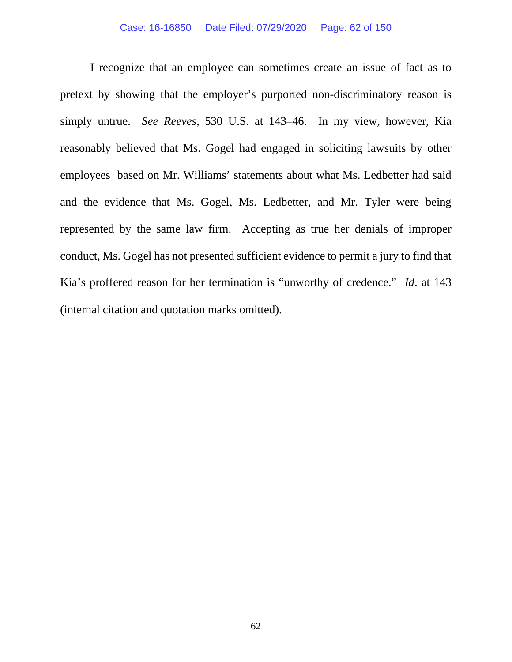I recognize that an employee can sometimes create an issue of fact as to pretext by showing that the employer's purported non-discriminatory reason is simply untrue. *See Reeves*, 530 U.S. at 143–46. In my view, however, Kia reasonably believed that Ms. Gogel had engaged in soliciting lawsuits by other employees based on Mr. Williams' statements about what Ms. Ledbetter had said and the evidence that Ms. Gogel, Ms. Ledbetter, and Mr. Tyler were being represented by the same law firm. Accepting as true her denials of improper conduct, Ms. Gogel has not presented sufficient evidence to permit a jury to find that Kia's proffered reason for her termination is "unworthy of credence." *Id*. at 143 (internal citation and quotation marks omitted).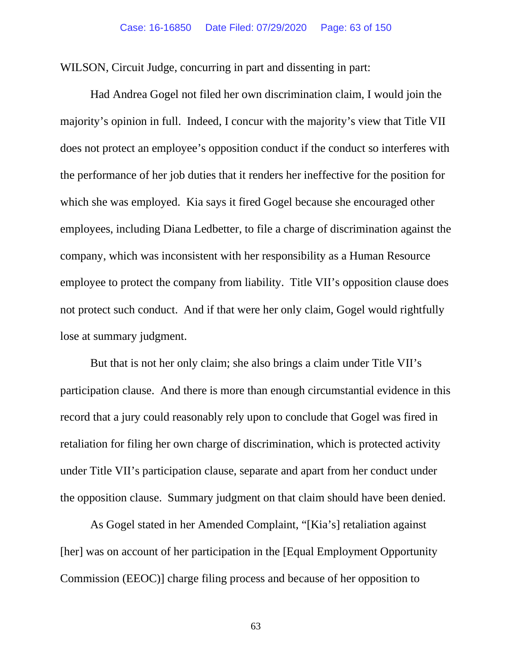WILSON, Circuit Judge, concurring in part and dissenting in part:

Had Andrea Gogel not filed her own discrimination claim, I would join the majority's opinion in full. Indeed, I concur with the majority's view that Title VII does not protect an employee's opposition conduct if the conduct so interferes with the performance of her job duties that it renders her ineffective for the position for which she was employed. Kia says it fired Gogel because she encouraged other employees, including Diana Ledbetter, to file a charge of discrimination against the company, which was inconsistent with her responsibility as a Human Resource employee to protect the company from liability. Title VII's opposition clause does not protect such conduct. And if that were her only claim, Gogel would rightfully lose at summary judgment.

But that is not her only claim; she also brings a claim under Title VII's participation clause. And there is more than enough circumstantial evidence in this record that a jury could reasonably rely upon to conclude that Gogel was fired in retaliation for filing her own charge of discrimination, which is protected activity under Title VII's participation clause, separate and apart from her conduct under the opposition clause. Summary judgment on that claim should have been denied.

As Gogel stated in her Amended Complaint, "[Kia's] retaliation against [her] was on account of her participation in the [Equal Employment Opportunity Commission (EEOC)] charge filing process and because of her opposition to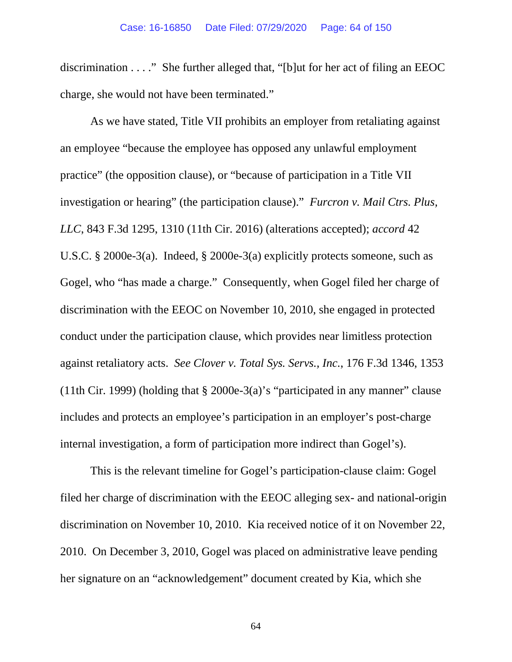discrimination . . . ." She further alleged that, "[b]ut for her act of filing an EEOC charge, she would not have been terminated."

As we have stated, Title VII prohibits an employer from retaliating against an employee "because the employee has opposed any unlawful employment practice" (the opposition clause), or "because of participation in a Title VII investigation or hearing" (the participation clause)." *Furcron v. Mail Ctrs. Plus, LLC*, 843 F.3d 1295, 1310 (11th Cir. 2016) (alterations accepted); *accord* 42 U.S.C. § 2000e-3(a). Indeed, § 2000e-3(a) explicitly protects someone, such as Gogel, who "has made a charge." Consequently, when Gogel filed her charge of discrimination with the EEOC on November 10, 2010, she engaged in protected conduct under the participation clause, which provides near limitless protection against retaliatory acts. *See Clover v. Total Sys. Servs., Inc.*, 176 F.3d 1346, 1353 (11th Cir. 1999) (holding that § 2000e-3(a)'s "participated in any manner" clause includes and protects an employee's participation in an employer's post-charge internal investigation, a form of participation more indirect than Gogel's).

This is the relevant timeline for Gogel's participation-clause claim: Gogel filed her charge of discrimination with the EEOC alleging sex- and national-origin discrimination on November 10, 2010. Kia received notice of it on November 22, 2010. On December 3, 2010, Gogel was placed on administrative leave pending her signature on an "acknowledgement" document created by Kia, which she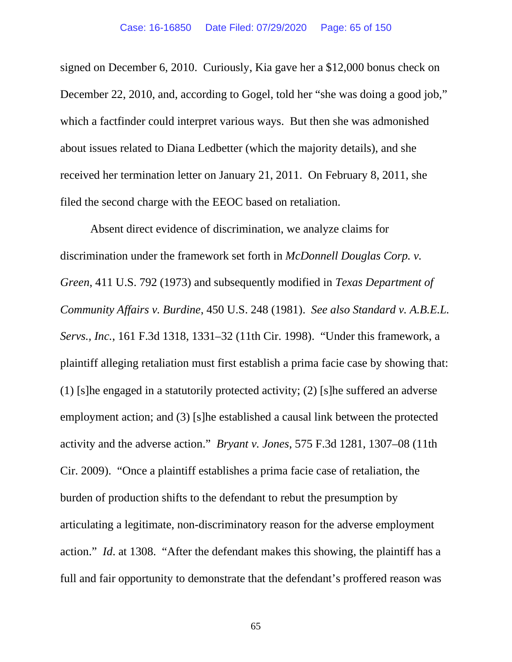signed on December 6, 2010. Curiously, Kia gave her a \$12,000 bonus check on December 22, 2010, and, according to Gogel, told her "she was doing a good job," which a factfinder could interpret various ways. But then she was admonished about issues related to Diana Ledbetter (which the majority details), and she received her termination letter on January 21, 2011. On February 8, 2011, she filed the second charge with the EEOC based on retaliation.

Absent direct evidence of discrimination, we analyze claims for discrimination under the framework set forth in *McDonnell Douglas Corp. v. Green*, 411 U.S. 792 (1973) and subsequently modified in *Texas Department of Community Affairs v. Burdine*, 450 U.S. 248 (1981). *See also Standard v. A.B.E.L. Servs., Inc.*, 161 F.3d 1318, 1331–32 (11th Cir. 1998). "Under this framework, a plaintiff alleging retaliation must first establish a prima facie case by showing that: (1) [s]he engaged in a statutorily protected activity; (2) [s]he suffered an adverse employment action; and (3) [s]he established a causal link between the protected activity and the adverse action." *Bryant v. Jones*, 575 F.3d 1281, 1307–08 (11th Cir. 2009). "Once a plaintiff establishes a prima facie case of retaliation, the burden of production shifts to the defendant to rebut the presumption by articulating a legitimate, non-discriminatory reason for the adverse employment action." *Id*. at 1308. "After the defendant makes this showing, the plaintiff has a full and fair opportunity to demonstrate that the defendant's proffered reason was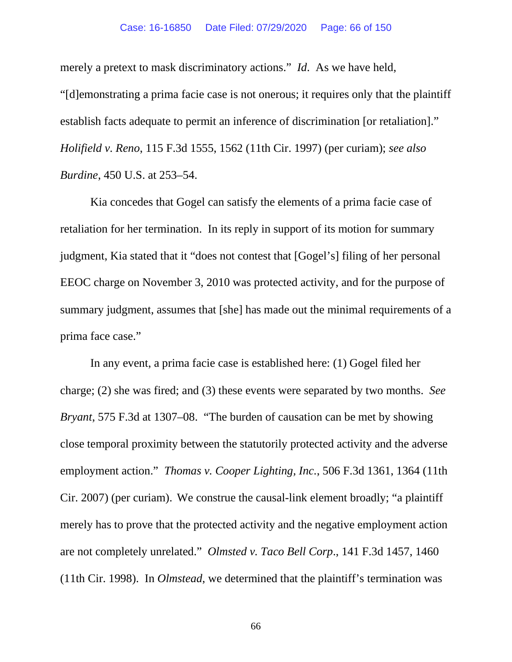### Case: 16-16850 Date Filed: 07/29/2020 Page: 66 of 150

merely a pretext to mask discriminatory actions." *Id*. As we have held, "[d]emonstrating a prima facie case is not onerous; it requires only that the plaintiff establish facts adequate to permit an inference of discrimination [or retaliation]." *Holifield v. Reno*, 115 F.3d 1555, 1562 (11th Cir. 1997) (per curiam); *see also Burdine*, 450 U.S. at 253–54.

Kia concedes that Gogel can satisfy the elements of a prima facie case of retaliation for her termination. In its reply in support of its motion for summary judgment, Kia stated that it "does not contest that [Gogel's] filing of her personal EEOC charge on November 3, 2010 was protected activity, and for the purpose of summary judgment, assumes that [she] has made out the minimal requirements of a prima face case."

In any event, a prima facie case is established here: (1) Gogel filed her charge; (2) she was fired; and (3) these events were separated by two months. *See Bryant*, 575 F.3d at 1307–08. "The burden of causation can be met by showing close temporal proximity between the statutorily protected activity and the adverse employment action." *Thomas v. Cooper Lighting, Inc.*, 506 F.3d 1361, 1364 (11th Cir. 2007) (per curiam). We construe the causal-link element broadly; "a plaintiff merely has to prove that the protected activity and the negative employment action are not completely unrelated." *Olmsted v. Taco Bell Corp*., 141 F.3d 1457, 1460 (11th Cir. 1998). In *Olmstead*, we determined that the plaintiff's termination was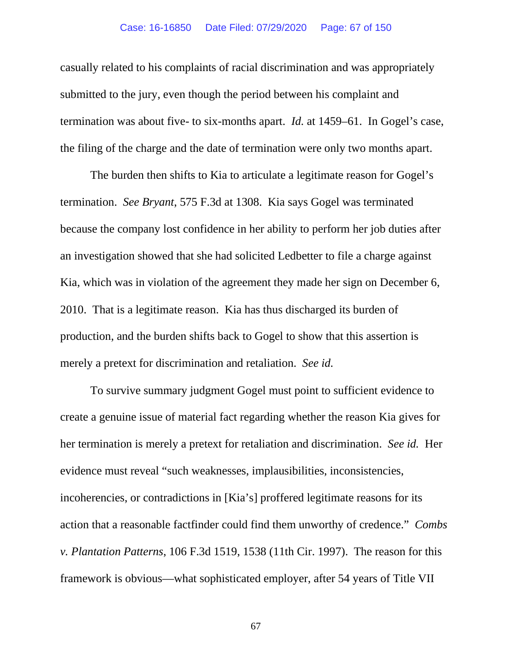### Case: 16-16850 Date Filed: 07/29/2020 Page: 67 of 150

casually related to his complaints of racial discrimination and was appropriately submitted to the jury, even though the period between his complaint and termination was about five- to six-months apart. *Id.* at 1459–61. In Gogel's case, the filing of the charge and the date of termination were only two months apart.

The burden then shifts to Kia to articulate a legitimate reason for Gogel's termination. *See Bryant*, 575 F.3d at 1308. Kia says Gogel was terminated because the company lost confidence in her ability to perform her job duties after an investigation showed that she had solicited Ledbetter to file a charge against Kia, which was in violation of the agreement they made her sign on December 6, 2010. That is a legitimate reason. Kia has thus discharged its burden of production, and the burden shifts back to Gogel to show that this assertion is merely a pretext for discrimination and retaliation. *See id.*

To survive summary judgment Gogel must point to sufficient evidence to create a genuine issue of material fact regarding whether the reason Kia gives for her termination is merely a pretext for retaliation and discrimination. *See id.* Her evidence must reveal "such weaknesses, implausibilities, inconsistencies, incoherencies, or contradictions in [Kia's] proffered legitimate reasons for its action that a reasonable factfinder could find them unworthy of credence." *Combs v. Plantation Patterns*, 106 F.3d 1519, 1538 (11th Cir. 1997). The reason for this framework is obvious—what sophisticated employer, after 54 years of Title VII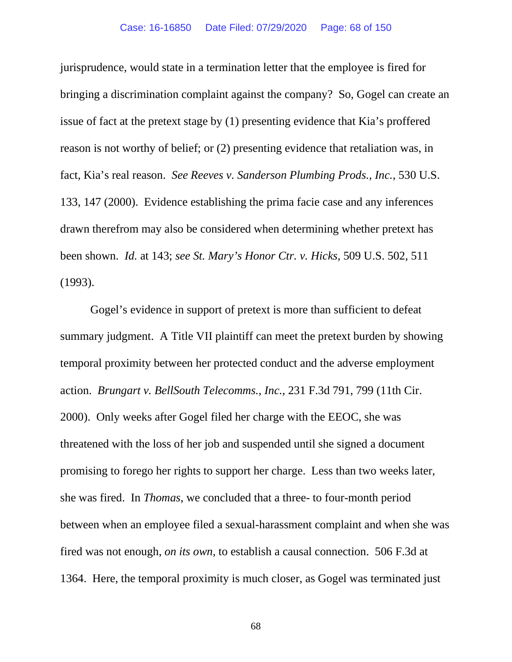jurisprudence, would state in a termination letter that the employee is fired for bringing a discrimination complaint against the company? So, Gogel can create an issue of fact at the pretext stage by (1) presenting evidence that Kia's proffered reason is not worthy of belief; or (2) presenting evidence that retaliation was, in fact, Kia's real reason. *See Reeves v. Sanderson Plumbing Prods., Inc.*, 530 U.S. 133, 147 (2000). Evidence establishing the prima facie case and any inferences drawn therefrom may also be considered when determining whether pretext has been shown. *Id.* at 143; *see St. Mary's Honor Ctr. v. Hicks*, 509 U.S. 502, 511 (1993).

Gogel's evidence in support of pretext is more than sufficient to defeat summary judgment. A Title VII plaintiff can meet the pretext burden by showing temporal proximity between her protected conduct and the adverse employment action. *Brungart v. BellSouth Telecomms., Inc.*, 231 F.3d 791, 799 (11th Cir. 2000). Only weeks after Gogel filed her charge with the EEOC, she was threatened with the loss of her job and suspended until she signed a document promising to forego her rights to support her charge. Less than two weeks later, she was fired. In *Thomas*, we concluded that a three- to four-month period between when an employee filed a sexual-harassment complaint and when she was fired was not enough, *on its own*, to establish a causal connection. 506 F.3d at 1364. Here, the temporal proximity is much closer, as Gogel was terminated just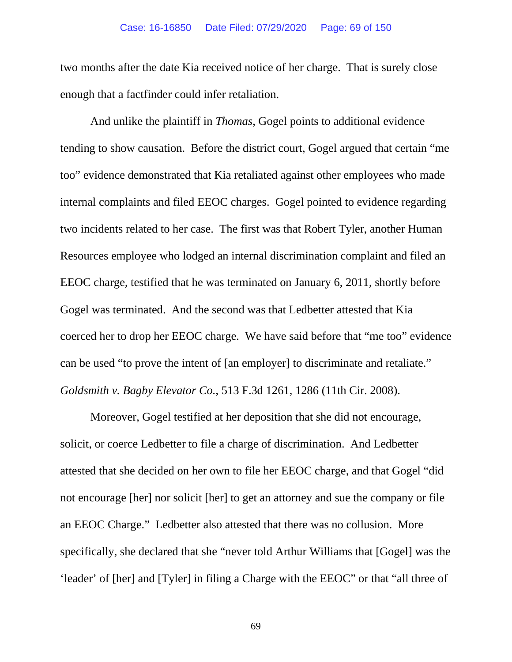### Case: 16-16850 Date Filed: 07/29/2020 Page: 69 of 150

two months after the date Kia received notice of her charge. That is surely close enough that a factfinder could infer retaliation.

And unlike the plaintiff in *Thomas*, Gogel points to additional evidence tending to show causation. Before the district court, Gogel argued that certain "me too" evidence demonstrated that Kia retaliated against other employees who made internal complaints and filed EEOC charges. Gogel pointed to evidence regarding two incidents related to her case. The first was that Robert Tyler, another Human Resources employee who lodged an internal discrimination complaint and filed an EEOC charge, testified that he was terminated on January 6, 2011, shortly before Gogel was terminated. And the second was that Ledbetter attested that Kia coerced her to drop her EEOC charge. We have said before that "me too" evidence can be used "to prove the intent of [an employer] to discriminate and retaliate." *Goldsmith v. Bagby Elevator Co.*, 513 F.3d 1261, 1286 (11th Cir. 2008).

Moreover, Gogel testified at her deposition that she did not encourage, solicit, or coerce Ledbetter to file a charge of discrimination. And Ledbetter attested that she decided on her own to file her EEOC charge, and that Gogel "did not encourage [her] nor solicit [her] to get an attorney and sue the company or file an EEOC Charge." Ledbetter also attested that there was no collusion. More specifically, she declared that she "never told Arthur Williams that [Gogel] was the 'leader' of [her] and [Tyler] in filing a Charge with the EEOC" or that "all three of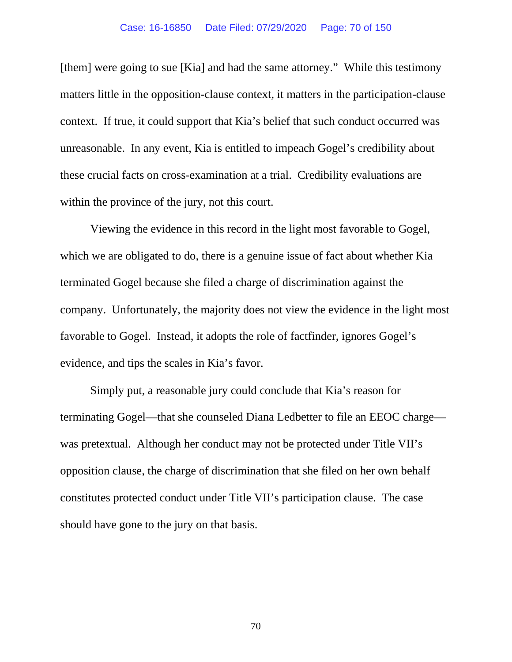[them] were going to sue [Kia] and had the same attorney." While this testimony matters little in the opposition-clause context, it matters in the participation-clause context. If true, it could support that Kia's belief that such conduct occurred was unreasonable. In any event, Kia is entitled to impeach Gogel's credibility about these crucial facts on cross-examination at a trial. Credibility evaluations are within the province of the jury, not this court.

Viewing the evidence in this record in the light most favorable to Gogel, which we are obligated to do, there is a genuine issue of fact about whether Kia terminated Gogel because she filed a charge of discrimination against the company. Unfortunately, the majority does not view the evidence in the light most favorable to Gogel. Instead, it adopts the role of factfinder, ignores Gogel's evidence, and tips the scales in Kia's favor.

Simply put, a reasonable jury could conclude that Kia's reason for terminating Gogel—that she counseled Diana Ledbetter to file an EEOC charge was pretextual. Although her conduct may not be protected under Title VII's opposition clause, the charge of discrimination that she filed on her own behalf constitutes protected conduct under Title VII's participation clause. The case should have gone to the jury on that basis.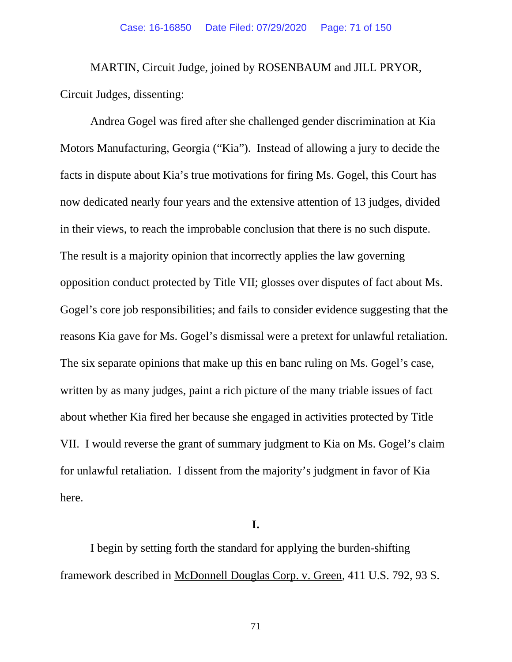MARTIN, Circuit Judge, joined by ROSENBAUM and JILL PRYOR, Circuit Judges, dissenting:

Andrea Gogel was fired after she challenged gender discrimination at Kia Motors Manufacturing, Georgia ("Kia"). Instead of allowing a jury to decide the facts in dispute about Kia's true motivations for firing Ms. Gogel, this Court has now dedicated nearly four years and the extensive attention of 13 judges, divided in their views, to reach the improbable conclusion that there is no such dispute. The result is a majority opinion that incorrectly applies the law governing opposition conduct protected by Title VII; glosses over disputes of fact about Ms. Gogel's core job responsibilities; and fails to consider evidence suggesting that the reasons Kia gave for Ms. Gogel's dismissal were a pretext for unlawful retaliation. The six separate opinions that make up this en banc ruling on Ms. Gogel's case, written by as many judges, paint a rich picture of the many triable issues of fact about whether Kia fired her because she engaged in activities protected by Title VII. I would reverse the grant of summary judgment to Kia on Ms. Gogel's claim for unlawful retaliation. I dissent from the majority's judgment in favor of Kia here.

**I.**

I begin by setting forth the standard for applying the burden-shifting framework described in McDonnell Douglas Corp. v. Green, 411 U.S. 792, 93 S.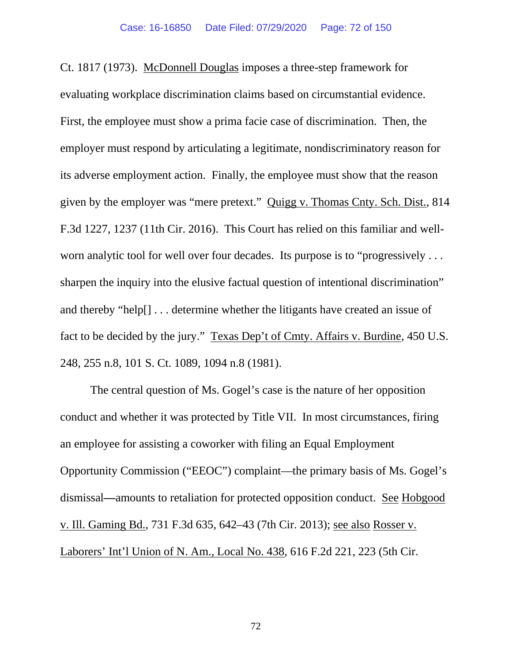Ct. 1817 (1973). McDonnell Douglas imposes a three-step framework for evaluating workplace discrimination claims based on circumstantial evidence. First, the employee must show a prima facie case of discrimination. Then, the employer must respond by articulating a legitimate, nondiscriminatory reason for its adverse employment action. Finally, the employee must show that the reason given by the employer was "mere pretext." Quigg v. Thomas Cnty. Sch. Dist., 814 F.3d 1227, 1237 (11th Cir. 2016). This Court has relied on this familiar and wellworn analytic tool for well over four decades. Its purpose is to "progressively . . . sharpen the inquiry into the elusive factual question of intentional discrimination" and thereby "help[] . . . determine whether the litigants have created an issue of fact to be decided by the jury." Texas Dep't of Cmty. Affairs v. Burdine, 450 U.S. 248, 255 n.8, 101 S. Ct. 1089, 1094 n.8 (1981).

The central question of Ms. Gogel's case is the nature of her opposition conduct and whether it was protected by Title VII. In most circumstances, firing an employee for assisting a coworker with filing an Equal Employment Opportunity Commission ("EEOC") complaint—the primary basis of Ms. Gogel's dismissal**—**amounts to retaliation for protected opposition conduct. See Hobgood v. Ill. Gaming Bd., 731 F.3d 635, 642–43 (7th Cir. 2013); see also Rosser v. Laborers' Int'l Union of N. Am., Local No. 438, 616 F.2d 221, 223 (5th Cir.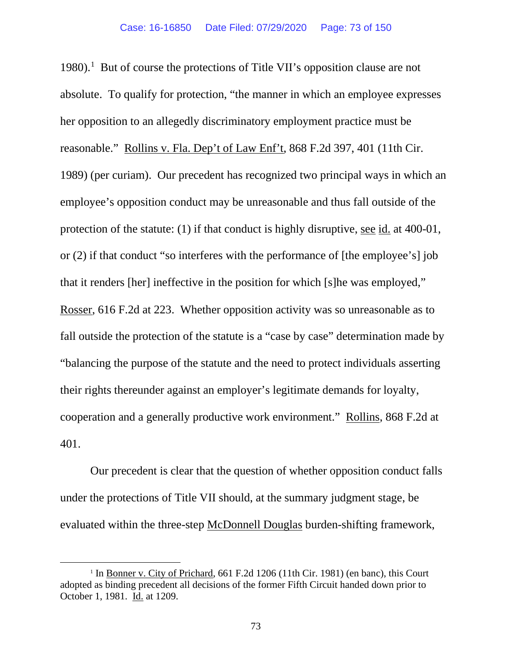[1](#page-72-0)980).<sup>1</sup> But of course the protections of Title VII's opposition clause are not absolute. To qualify for protection, "the manner in which an employee expresses her opposition to an allegedly discriminatory employment practice must be reasonable." Rollins v. Fla. Dep't of Law Enf't, 868 F.2d 397, 401 (11th Cir. 1989) (per curiam). Our precedent has recognized two principal ways in which an employee's opposition conduct may be unreasonable and thus fall outside of the protection of the statute: (1) if that conduct is highly disruptive, see id. at 400-01, or (2) if that conduct "so interferes with the performance of [the employee's] job that it renders [her] ineffective in the position for which [s]he was employed," Rosser, 616 F.2d at 223. Whether opposition activity was so unreasonable as to fall outside the protection of the statute is a "case by case" determination made by "balancing the purpose of the statute and the need to protect individuals asserting their rights thereunder against an employer's legitimate demands for loyalty, cooperation and a generally productive work environment." Rollins, 868 F.2d at 401.

Our precedent is clear that the question of whether opposition conduct falls under the protections of Title VII should, at the summary judgment stage, be evaluated within the three-step McDonnell Douglas burden-shifting framework,

<span id="page-72-0"></span><sup>&</sup>lt;sup>1</sup> In Bonner v. City of Prichard, 661 F.2d 1206 (11th Cir. 1981) (en banc), this Court adopted as binding precedent all decisions of the former Fifth Circuit handed down prior to October 1, 1981. Id. at 1209.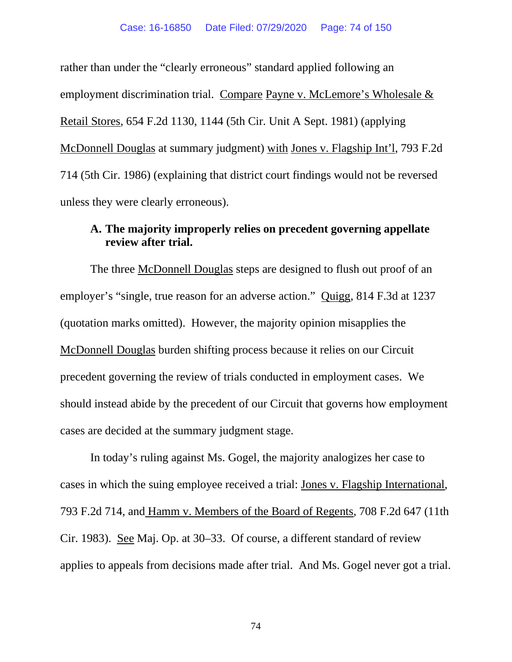rather than under the "clearly erroneous" standard applied following an employment discrimination trial. Compare Payne v. McLemore's Wholesale & Retail Stores, 654 F.2d 1130, 1144 (5th Cir. Unit A Sept. 1981) (applying McDonnell Douglas at summary judgment) with Jones v. Flagship Int'l, 793 F.2d 714 (5th Cir. 1986) (explaining that district court findings would not be reversed unless they were clearly erroneous).

## **A. The majority improperly relies on precedent governing appellate review after trial.**

The three McDonnell Douglas steps are designed to flush out proof of an employer's "single, true reason for an adverse action." Quigg, 814 F.3d at 1237 (quotation marks omitted). However, the majority opinion misapplies the McDonnell Douglas burden shifting process because it relies on our Circuit precedent governing the review of trials conducted in employment cases. We should instead abide by the precedent of our Circuit that governs how employment cases are decided at the summary judgment stage.

In today's ruling against Ms. Gogel, the majority analogizes her case to cases in which the suing employee received a trial: Jones v. Flagship International, 793 F.2d 714, and Hamm v. Members of the Board of Regents, 708 F.2d 647 (11th Cir. 1983). See Maj. Op. at 30–33. Of course, a different standard of review applies to appeals from decisions made after trial. And Ms. Gogel never got a trial.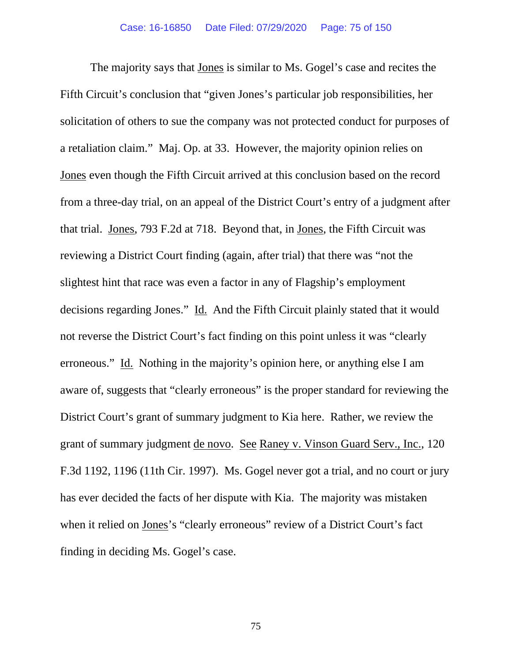The majority says that Jones is similar to Ms. Gogel's case and recites the Fifth Circuit's conclusion that "given Jones's particular job responsibilities, her solicitation of others to sue the company was not protected conduct for purposes of a retaliation claim." Maj. Op. at 33. However, the majority opinion relies on Jones even though the Fifth Circuit arrived at this conclusion based on the record from a three-day trial, on an appeal of the District Court's entry of a judgment after that trial. Jones, 793 F.2d at 718. Beyond that, in Jones, the Fifth Circuit was reviewing a District Court finding (again, after trial) that there was "not the slightest hint that race was even a factor in any of Flagship's employment decisions regarding Jones." Id. And the Fifth Circuit plainly stated that it would not reverse the District Court's fact finding on this point unless it was "clearly erroneous." Id. Nothing in the majority's opinion here, or anything else I am aware of, suggests that "clearly erroneous" is the proper standard for reviewing the District Court's grant of summary judgment to Kia here. Rather, we review the grant of summary judgment de novo. See Raney v. Vinson Guard Serv., Inc., 120 F.3d 1192, 1196 (11th Cir. 1997). Ms. Gogel never got a trial, and no court or jury has ever decided the facts of her dispute with Kia. The majority was mistaken when it relied on Jones's "clearly erroneous" review of a District Court's fact finding in deciding Ms. Gogel's case.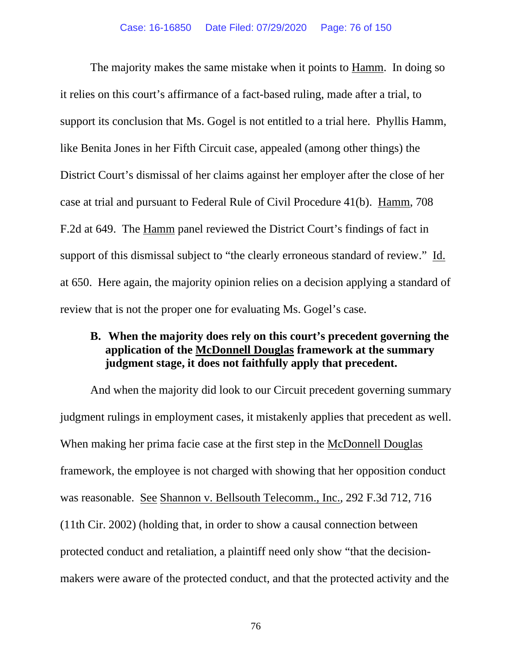The majority makes the same mistake when it points to Hamm. In doing so it relies on this court's affirmance of a fact-based ruling, made after a trial, to support its conclusion that Ms. Gogel is not entitled to a trial here. Phyllis Hamm, like Benita Jones in her Fifth Circuit case, appealed (among other things) the District Court's dismissal of her claims against her employer after the close of her case at trial and pursuant to Federal Rule of Civil Procedure 41(b). Hamm, 708 F.2d at 649. The Hamm panel reviewed the District Court's findings of fact in support of this dismissal subject to "the clearly erroneous standard of review." Id. at 650. Here again, the majority opinion relies on a decision applying a standard of review that is not the proper one for evaluating Ms. Gogel's case.

## **B. When the majority does rely on this court's precedent governing the application of the McDonnell Douglas framework at the summary judgment stage, it does not faithfully apply that precedent.**

And when the majority did look to our Circuit precedent governing summary judgment rulings in employment cases, it mistakenly applies that precedent as well. When making her prima facie case at the first step in the McDonnell Douglas framework, the employee is not charged with showing that her opposition conduct was reasonable. See Shannon v. Bellsouth Telecomm., Inc., 292 F.3d 712, 716 (11th Cir. 2002) (holding that, in order to show a causal connection between protected conduct and retaliation, a plaintiff need only show "that the decisionmakers were aware of the protected conduct, and that the protected activity and the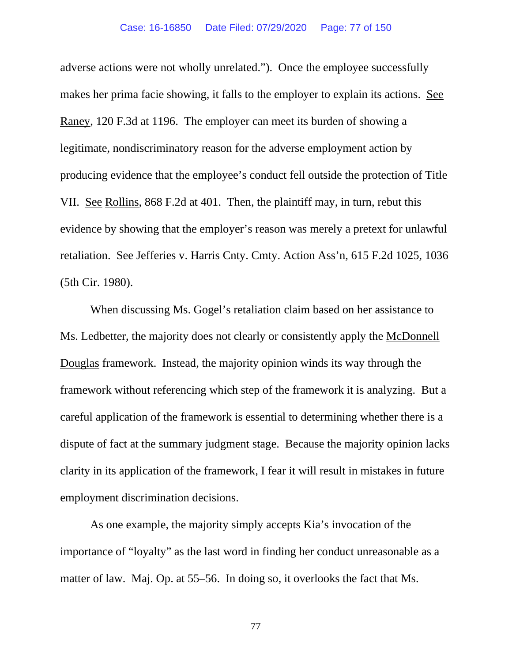adverse actions were not wholly unrelated."). Once the employee successfully makes her prima facie showing, it falls to the employer to explain its actions. See Raney, 120 F.3d at 1196. The employer can meet its burden of showing a legitimate, nondiscriminatory reason for the adverse employment action by producing evidence that the employee's conduct fell outside the protection of Title VII. See Rollins, 868 F.2d at 401. Then, the plaintiff may, in turn, rebut this evidence by showing that the employer's reason was merely a pretext for unlawful retaliation. See Jefferies v. Harris Cnty. Cmty. Action Ass'n, 615 F.2d 1025, 1036 (5th Cir. 1980).

When discussing Ms. Gogel's retaliation claim based on her assistance to Ms. Ledbetter, the majority does not clearly or consistently apply the McDonnell Douglas framework. Instead, the majority opinion winds its way through the framework without referencing which step of the framework it is analyzing. But a careful application of the framework is essential to determining whether there is a dispute of fact at the summary judgment stage. Because the majority opinion lacks clarity in its application of the framework, I fear it will result in mistakes in future employment discrimination decisions.

As one example, the majority simply accepts Kia's invocation of the importance of "loyalty" as the last word in finding her conduct unreasonable as a matter of law. Maj. Op. at 55–56. In doing so, it overlooks the fact that Ms.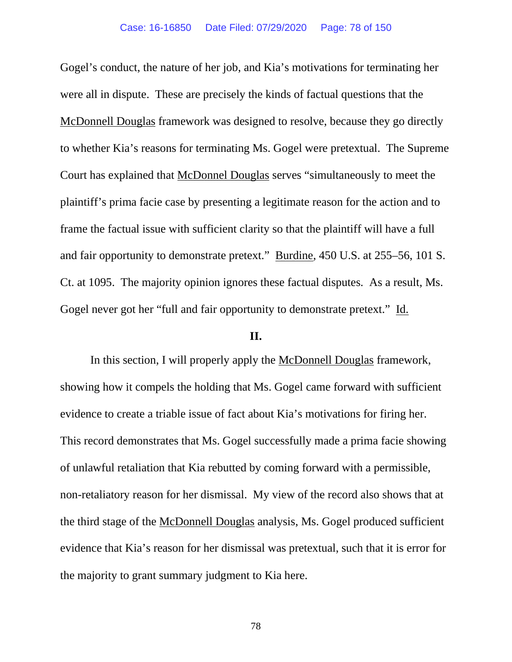Gogel's conduct, the nature of her job, and Kia's motivations for terminating her were all in dispute. These are precisely the kinds of factual questions that the McDonnell Douglas framework was designed to resolve, because they go directly to whether Kia's reasons for terminating Ms. Gogel were pretextual. The Supreme Court has explained that McDonnel Douglas serves "simultaneously to meet the plaintiff's prima facie case by presenting a legitimate reason for the action and to frame the factual issue with sufficient clarity so that the plaintiff will have a full and fair opportunity to demonstrate pretext." Burdine, 450 U.S. at 255–56, 101 S. Ct. at 1095. The majority opinion ignores these factual disputes. As a result, Ms. Gogel never got her "full and fair opportunity to demonstrate pretext." Id.

### **II.**

In this section, I will properly apply the McDonnell Douglas framework, showing how it compels the holding that Ms. Gogel came forward with sufficient evidence to create a triable issue of fact about Kia's motivations for firing her. This record demonstrates that Ms. Gogel successfully made a prima facie showing of unlawful retaliation that Kia rebutted by coming forward with a permissible, non-retaliatory reason for her dismissal. My view of the record also shows that at the third stage of the McDonnell Douglas analysis, Ms. Gogel produced sufficient evidence that Kia's reason for her dismissal was pretextual, such that it is error for the majority to grant summary judgment to Kia here.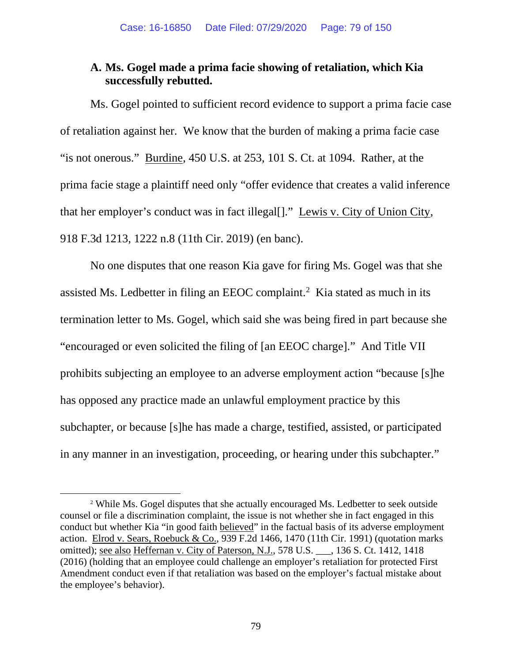# **A. Ms. Gogel made a prima facie showing of retaliation, which Kia successfully rebutted.**

Ms. Gogel pointed to sufficient record evidence to support a prima facie case of retaliation against her. We know that the burden of making a prima facie case "is not onerous." Burdine, 450 U.S. at 253, 101 S. Ct. at 1094. Rather, at the prima facie stage a plaintiff need only "offer evidence that creates a valid inference that her employer's conduct was in fact illegal[]." Lewis v. City of Union City, 918 F.3d 1213, 1222 n.8 (11th Cir. 2019) (en banc).

No one disputes that one reason Kia gave for firing Ms. Gogel was that she assisted Ms. Ledbetter in filing an EEOC complaint.<sup>[2](#page-78-0)</sup> Kia stated as much in its termination letter to Ms. Gogel, which said she was being fired in part because she "encouraged or even solicited the filing of [an EEOC charge]." And Title VII prohibits subjecting an employee to an adverse employment action "because [s]he has opposed any practice made an unlawful employment practice by this subchapter, or because [s]he has made a charge, testified, assisted, or participated in any manner in an investigation, proceeding, or hearing under this subchapter."

<span id="page-78-0"></span><sup>2</sup> While Ms. Gogel disputes that she actually encouraged Ms. Ledbetter to seek outside counsel or file a discrimination complaint, the issue is not whether she in fact engaged in this conduct but whether Kia "in good faith believed" in the factual basis of its adverse employment action. Elrod v. Sears, Roebuck & Co., 939 F.2d 1466, 1470 (11th Cir. 1991) (quotation marks omitted); see also Heffernan v. City of Paterson, N.J., 578 U.S. \_\_\_, 136 S. Ct. 1412, 1418 (2016) (holding that an employee could challenge an employer's retaliation for protected First Amendment conduct even if that retaliation was based on the employer's factual mistake about the employee's behavior).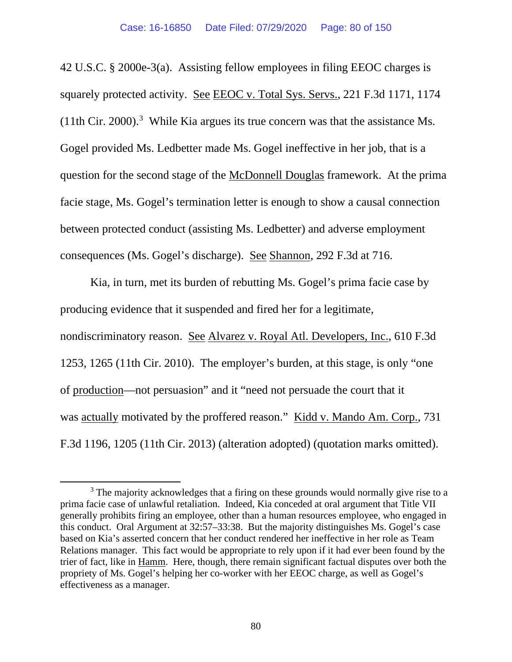42 U.S.C. § 2000e-3(a). Assisting fellow employees in filing EEOC charges is squarely protected activity. See EEOC v. Total Sys. Servs., 221 F.3d 1171, 1174  $(11th Cir. 2000).$ <sup>[3](#page-79-0)</sup> While Kia argues its true concern was that the assistance Ms. Gogel provided Ms. Ledbetter made Ms. Gogel ineffective in her job, that is a question for the second stage of the McDonnell Douglas framework. At the prima facie stage, Ms. Gogel's termination letter is enough to show a causal connection between protected conduct (assisting Ms. Ledbetter) and adverse employment consequences (Ms. Gogel's discharge). See Shannon, 292 F.3d at 716.

Kia, in turn, met its burden of rebutting Ms. Gogel's prima facie case by producing evidence that it suspended and fired her for a legitimate, nondiscriminatory reason. See Alvarez v. Royal Atl. Developers, Inc., 610 F.3d 1253, 1265 (11th Cir. 2010). The employer's burden, at this stage, is only "one of production—not persuasion" and it "need not persuade the court that it was actually motivated by the proffered reason." Kidd v. Mando Am. Corp., 731 F.3d 1196, 1205 (11th Cir. 2013) (alteration adopted) (quotation marks omitted).

<span id="page-79-0"></span><sup>&</sup>lt;sup>3</sup> The majority acknowledges that a firing on these grounds would normally give rise to a prima facie case of unlawful retaliation. Indeed, Kia conceded at oral argument that Title VII generally prohibits firing an employee, other than a human resources employee, who engaged in this conduct. Oral Argument at 32:57–33:38. But the majority distinguishes Ms. Gogel's case based on Kia's asserted concern that her conduct rendered her ineffective in her role as Team Relations manager. This fact would be appropriate to rely upon if it had ever been found by the trier of fact, like in Hamm.Here, though, there remain significant factual disputes over both the propriety of Ms. Gogel's helping her co-worker with her EEOC charge, as well as Gogel's effectiveness as a manager.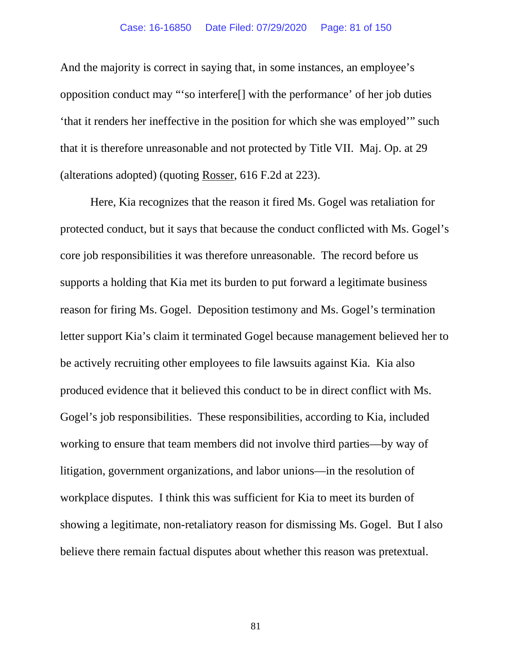### Case: 16-16850 Date Filed: 07/29/2020 Page: 81 of 150

And the majority is correct in saying that, in some instances, an employee's opposition conduct may "'so interfere[] with the performance' of her job duties 'that it renders her ineffective in the position for which she was employed'" such that it is therefore unreasonable and not protected by Title VII. Maj. Op. at 29 (alterations adopted) (quoting Rosser, 616 F.2d at 223).

Here, Kia recognizes that the reason it fired Ms. Gogel was retaliation for protected conduct, but it says that because the conduct conflicted with Ms. Gogel's core job responsibilities it was therefore unreasonable. The record before us supports a holding that Kia met its burden to put forward a legitimate business reason for firing Ms. Gogel. Deposition testimony and Ms. Gogel's termination letter support Kia's claim it terminated Gogel because management believed her to be actively recruiting other employees to file lawsuits against Kia. Kia also produced evidence that it believed this conduct to be in direct conflict with Ms. Gogel's job responsibilities. These responsibilities, according to Kia, included working to ensure that team members did not involve third parties—by way of litigation, government organizations, and labor unions—in the resolution of workplace disputes. I think this was sufficient for Kia to meet its burden of showing a legitimate, non-retaliatory reason for dismissing Ms. Gogel. But I also believe there remain factual disputes about whether this reason was pretextual.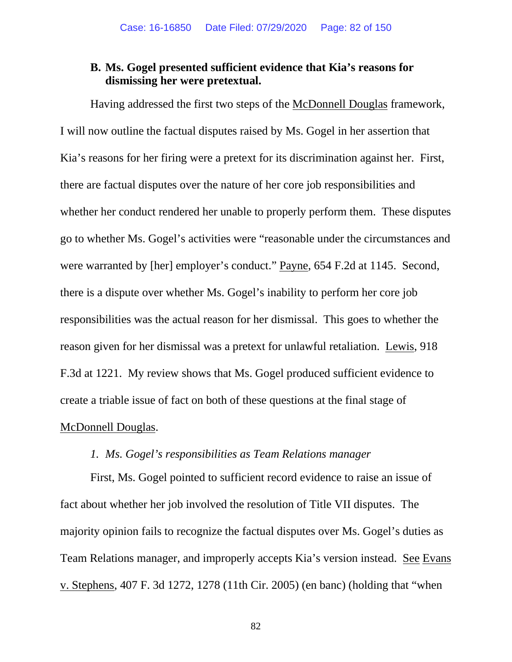# **B. Ms. Gogel presented sufficient evidence that Kia's reasons for dismissing her were pretextual.**

Having addressed the first two steps of the McDonnell Douglas framework, I will now outline the factual disputes raised by Ms. Gogel in her assertion that Kia's reasons for her firing were a pretext for its discrimination against her. First, there are factual disputes over the nature of her core job responsibilities and whether her conduct rendered her unable to properly perform them. These disputes go to whether Ms. Gogel's activities were "reasonable under the circumstances and were warranted by [her] employer's conduct." Payne, 654 F.2d at 1145. Second, there is a dispute over whether Ms. Gogel's inability to perform her core job responsibilities was the actual reason for her dismissal. This goes to whether the reason given for her dismissal was a pretext for unlawful retaliation. Lewis, 918 F.3d at 1221. My review shows that Ms. Gogel produced sufficient evidence to create a triable issue of fact on both of these questions at the final stage of McDonnell Douglas.

### *1. Ms. Gogel's responsibilities as Team Relations manager*

First, Ms. Gogel pointed to sufficient record evidence to raise an issue of fact about whether her job involved the resolution of Title VII disputes. The majority opinion fails to recognize the factual disputes over Ms. Gogel's duties as Team Relations manager, and improperly accepts Kia's version instead. See Evans v. Stephens, 407 F. 3d 1272, 1278 (11th Cir. 2005) (en banc) (holding that "when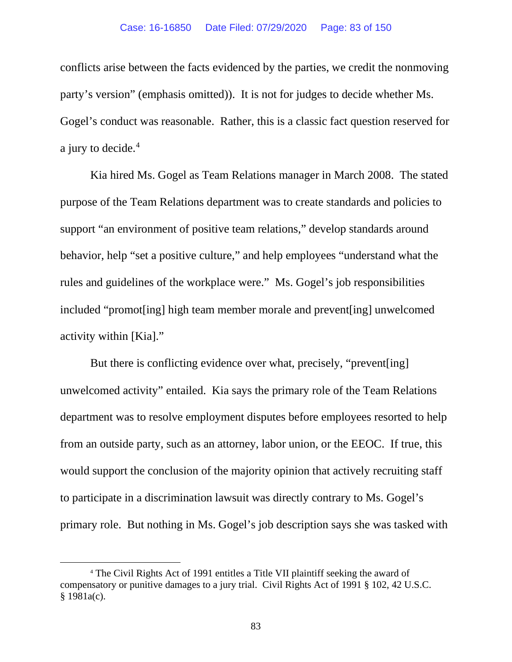conflicts arise between the facts evidenced by the parties, we credit the nonmoving party's version" (emphasis omitted)). It is not for judges to decide whether Ms. Gogel's conduct was reasonable. Rather, this is a classic fact question reserved for a jury to decide.<sup>[4](#page-82-0)</sup>

Kia hired Ms. Gogel as Team Relations manager in March 2008. The stated purpose of the Team Relations department was to create standards and policies to support "an environment of positive team relations," develop standards around behavior, help "set a positive culture," and help employees "understand what the rules and guidelines of the workplace were." Ms. Gogel's job responsibilities included "promot[ing] high team member morale and prevent[ing] unwelcomed activity within [Kia]."

But there is conflicting evidence over what, precisely, "prevent[ing] unwelcomed activity" entailed. Kia says the primary role of the Team Relations department was to resolve employment disputes before employees resorted to help from an outside party, such as an attorney, labor union, or the EEOC. If true, this would support the conclusion of the majority opinion that actively recruiting staff to participate in a discrimination lawsuit was directly contrary to Ms. Gogel's primary role. But nothing in Ms. Gogel's job description says she was tasked with

<span id="page-82-0"></span><sup>4</sup> The Civil Rights Act of 1991 entitles a Title VII plaintiff seeking the award of compensatory or punitive damages to a jury trial. Civil Rights Act of 1991 § 102, 42 U.S.C. § 1981a(c).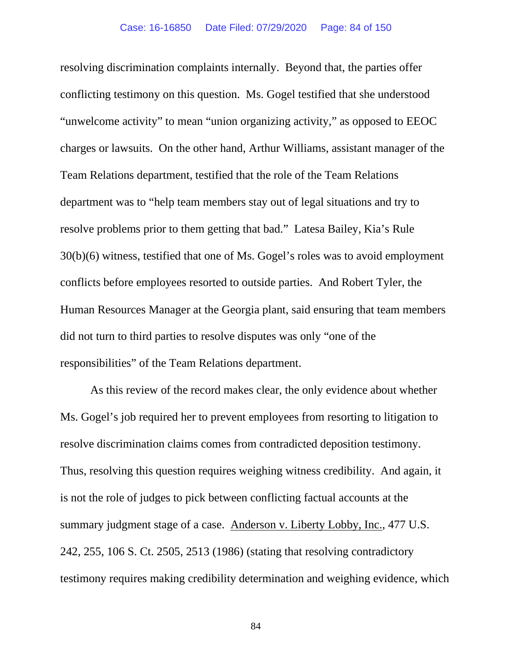resolving discrimination complaints internally. Beyond that, the parties offer conflicting testimony on this question. Ms. Gogel testified that she understood "unwelcome activity" to mean "union organizing activity," as opposed to EEOC charges or lawsuits. On the other hand, Arthur Williams, assistant manager of the Team Relations department, testified that the role of the Team Relations department was to "help team members stay out of legal situations and try to resolve problems prior to them getting that bad." Latesa Bailey, Kia's Rule 30(b)(6) witness, testified that one of Ms. Gogel's roles was to avoid employment conflicts before employees resorted to outside parties. And Robert Tyler, the Human Resources Manager at the Georgia plant, said ensuring that team members did not turn to third parties to resolve disputes was only "one of the responsibilities" of the Team Relations department.

As this review of the record makes clear, the only evidence about whether Ms. Gogel's job required her to prevent employees from resorting to litigation to resolve discrimination claims comes from contradicted deposition testimony. Thus, resolving this question requires weighing witness credibility. And again, it is not the role of judges to pick between conflicting factual accounts at the summary judgment stage of a case. Anderson v. Liberty Lobby, Inc., 477 U.S. 242, 255, 106 S. Ct. 2505, 2513 (1986) (stating that resolving contradictory testimony requires making credibility determination and weighing evidence, which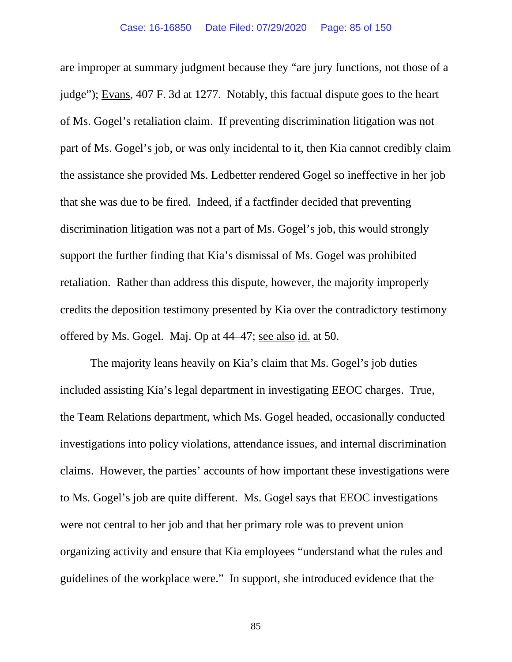are improper at summary judgment because they "are jury functions, not those of a judge"); Evans, 407 F. 3d at 1277. Notably, this factual dispute goes to the heart of Ms. Gogel's retaliation claim. If preventing discrimination litigation was not part of Ms. Gogel's job, or was only incidental to it, then Kia cannot credibly claim the assistance she provided Ms. Ledbetter rendered Gogel so ineffective in her job that she was due to be fired. Indeed, if a factfinder decided that preventing discrimination litigation was not a part of Ms. Gogel's job, this would strongly support the further finding that Kia's dismissal of Ms. Gogel was prohibited retaliation. Rather than address this dispute, however, the majority improperly credits the deposition testimony presented by Kia over the contradictory testimony offered by Ms. Gogel. Maj. Op at 44–47; see also id. at 50.

The majority leans heavily on Kia's claim that Ms. Gogel's job duties included assisting Kia's legal department in investigating EEOC charges. True, the Team Relations department, which Ms. Gogel headed, occasionally conducted investigations into policy violations, attendance issues, and internal discrimination claims. However, the parties' accounts of how important these investigations were to Ms. Gogel's job are quite different. Ms. Gogel says that EEOC investigations were not central to her job and that her primary role was to prevent union organizing activity and ensure that Kia employees "understand what the rules and guidelines of the workplace were." In support, she introduced evidence that the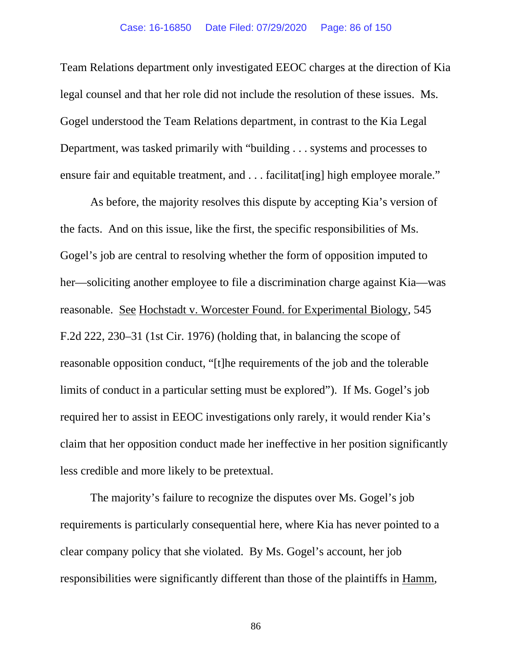Team Relations department only investigated EEOC charges at the direction of Kia legal counsel and that her role did not include the resolution of these issues. Ms. Gogel understood the Team Relations department, in contrast to the Kia Legal Department, was tasked primarily with "building . . . systems and processes to ensure fair and equitable treatment, and . . . facilitat [ing] high employee morale."

As before, the majority resolves this dispute by accepting Kia's version of the facts. And on this issue, like the first, the specific responsibilities of Ms. Gogel's job are central to resolving whether the form of opposition imputed to her—soliciting another employee to file a discrimination charge against Kia—was reasonable. See Hochstadt v. Worcester Found. for Experimental Biology, 545 F.2d 222, 230–31 (1st Cir. 1976) (holding that, in balancing the scope of reasonable opposition conduct, "[t]he requirements of the job and the tolerable limits of conduct in a particular setting must be explored"). If Ms. Gogel's job required her to assist in EEOC investigations only rarely, it would render Kia's claim that her opposition conduct made her ineffective in her position significantly less credible and more likely to be pretextual.

The majority's failure to recognize the disputes over Ms. Gogel's job requirements is particularly consequential here, where Kia has never pointed to a clear company policy that she violated. By Ms. Gogel's account, her job responsibilities were significantly different than those of the plaintiffs in Hamm,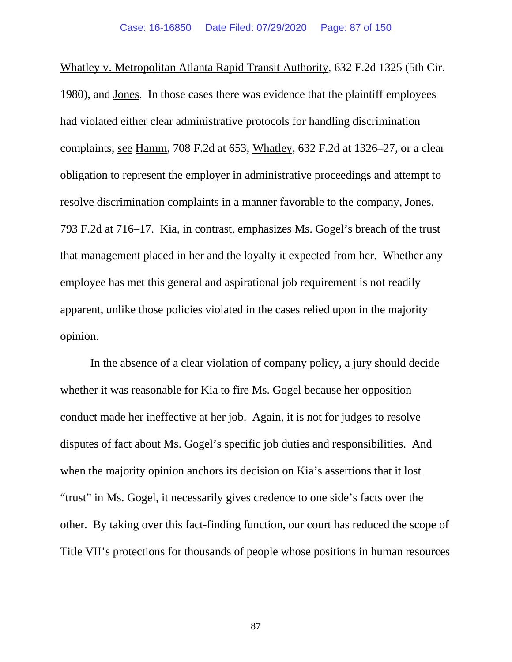Whatley v. Metropolitan Atlanta Rapid Transit Authority, 632 F.2d 1325 (5th Cir. 1980), and Jones. In those cases there was evidence that the plaintiff employees had violated either clear administrative protocols for handling discrimination complaints, see Hamm, 708 F.2d at 653; Whatley, 632 F.2d at 1326–27, or a clear obligation to represent the employer in administrative proceedings and attempt to resolve discrimination complaints in a manner favorable to the company, Jones, 793 F.2d at 716–17. Kia, in contrast, emphasizes Ms. Gogel's breach of the trust that management placed in her and the loyalty it expected from her. Whether any employee has met this general and aspirational job requirement is not readily apparent, unlike those policies violated in the cases relied upon in the majority opinion.

In the absence of a clear violation of company policy, a jury should decide whether it was reasonable for Kia to fire Ms. Gogel because her opposition conduct made her ineffective at her job. Again, it is not for judges to resolve disputes of fact about Ms. Gogel's specific job duties and responsibilities. And when the majority opinion anchors its decision on Kia's assertions that it lost "trust" in Ms. Gogel, it necessarily gives credence to one side's facts over the other. By taking over this fact-finding function, our court has reduced the scope of Title VII's protections for thousands of people whose positions in human resources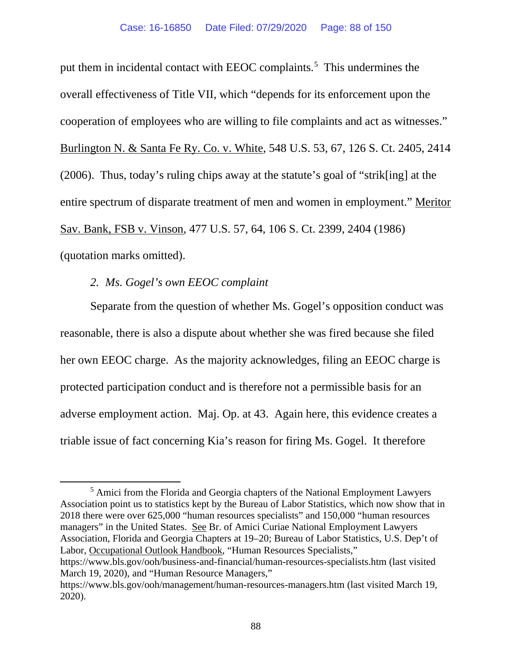put them in incidental contact with EEOC complaints.<sup>[5](#page-87-0)</sup> This undermines the overall effectiveness of Title VII, which "depends for its enforcement upon the cooperation of employees who are willing to file complaints and act as witnesses." Burlington N. & Santa Fe Ry. Co. v. White, 548 U.S. 53, 67, 126 S. Ct. 2405, 2414 (2006). Thus, today's ruling chips away at the statute's goal of "strik[ing] at the entire spectrum of disparate treatment of men and women in employment." Meritor Sav. Bank, FSB v. Vinson, 477 U.S. 57, 64, 106 S. Ct. 2399, 2404 (1986) (quotation marks omitted).

## *2. Ms. Gogel's own EEOC complaint*

Separate from the question of whether Ms. Gogel's opposition conduct was reasonable, there is also a dispute about whether she was fired because she filed her own EEOC charge. As the majority acknowledges, filing an EEOC charge is protected participation conduct and is therefore not a permissible basis for an adverse employment action. Maj. Op. at 43. Again here, this evidence creates a triable issue of fact concerning Kia's reason for firing Ms. Gogel. It therefore

<span id="page-87-0"></span><sup>&</sup>lt;sup>5</sup> Amici from the Florida and Georgia chapters of the National Employment Lawyers Association point us to statistics kept by the Bureau of Labor Statistics, which now show that in 2018 there were over 625,000 "human resources specialists" and 150,000 "human resources managers" in the United States. See Br. of Amici Curiae National Employment Lawyers Association, Florida and Georgia Chapters at 19–20; Bureau of Labor Statistics, U.S. Dep't of Labor, Occupational Outlook Handbook, "Human Resources Specialists," https://www.bls.gov/ooh/business-and-financial/human-resources-specialists.htm (last visited March 19, 2020), and "Human Resource Managers,"

https://www.bls.gov/ooh/management/human-resources-managers.htm (last visited March 19, 2020).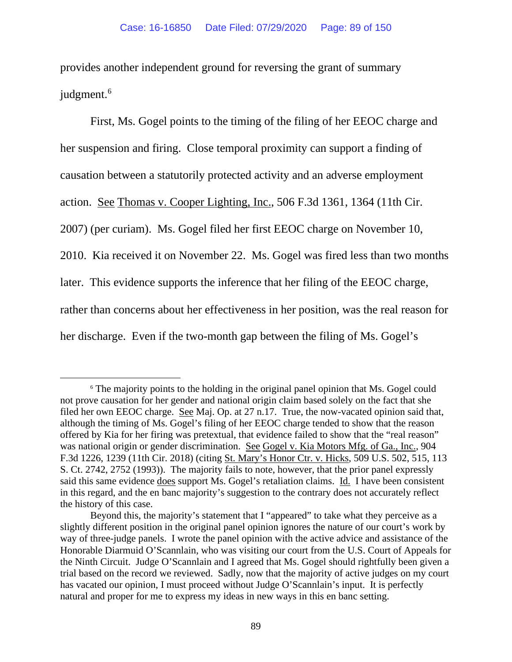provides another independent ground for reversing the grant of summary judgment.<sup>[6](#page-88-0)</sup>

First, Ms. Gogel points to the timing of the filing of her EEOC charge and her suspension and firing. Close temporal proximity can support a finding of causation between a statutorily protected activity and an adverse employment action. See Thomas v. Cooper Lighting, Inc., 506 F.3d 1361, 1364 (11th Cir. 2007) (per curiam). Ms. Gogel filed her first EEOC charge on November 10, 2010. Kia received it on November 22. Ms. Gogel was fired less than two months later. This evidence supports the inference that her filing of the EEOC charge, rather than concerns about her effectiveness in her position, was the real reason for her discharge. Even if the two-month gap between the filing of Ms. Gogel's

<span id="page-88-0"></span><sup>&</sup>lt;sup>6</sup> The majority points to the holding in the original panel opinion that Ms. Gogel could not prove causation for her gender and national origin claim based solely on the fact that she filed her own EEOC charge. See Maj. Op. at 27 n.17. True, the now-vacated opinion said that, although the timing of Ms. Gogel's filing of her EEOC charge tended to show that the reason offered by Kia for her firing was pretextual, that evidence failed to show that the "real reason" was national origin or gender discrimination. See Gogel v. Kia Motors Mfg. of Ga., Inc., 904 F.3d 1226, 1239 (11th Cir. 2018) (citing St. Mary's Honor Ctr. v. Hicks, 509 U.S. 502, 515, 113 S. Ct. 2742, 2752 (1993)). The majority fails to note, however, that the prior panel expressly said this same evidence does support Ms. Gogel's retaliation claims. Id. I have been consistent in this regard, and the en banc majority's suggestion to the contrary does not accurately reflect the history of this case.

Beyond this, the majority's statement that I "appeared" to take what they perceive as a slightly different position in the original panel opinion ignores the nature of our court's work by way of three-judge panels. I wrote the panel opinion with the active advice and assistance of the Honorable Diarmuid O'Scannlain, who was visiting our court from the U.S. Court of Appeals for the Ninth Circuit. Judge O'Scannlain and I agreed that Ms. Gogel should rightfully been given a trial based on the record we reviewed. Sadly, now that the majority of active judges on my court has vacated our opinion, I must proceed without Judge O'Scannlain's input. It is perfectly natural and proper for me to express my ideas in new ways in this en banc setting.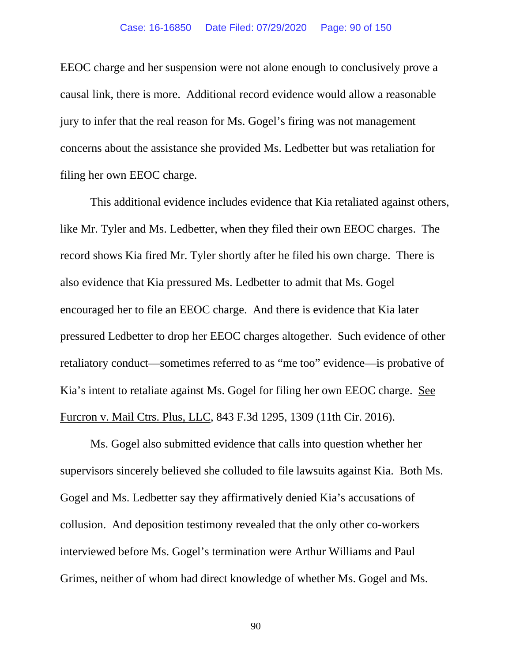EEOC charge and her suspension were not alone enough to conclusively prove a causal link, there is more. Additional record evidence would allow a reasonable jury to infer that the real reason for Ms. Gogel's firing was not management concerns about the assistance she provided Ms. Ledbetter but was retaliation for filing her own EEOC charge.

This additional evidence includes evidence that Kia retaliated against others, like Mr. Tyler and Ms. Ledbetter, when they filed their own EEOC charges. The record shows Kia fired Mr. Tyler shortly after he filed his own charge. There is also evidence that Kia pressured Ms. Ledbetter to admit that Ms. Gogel encouraged her to file an EEOC charge. And there is evidence that Kia later pressured Ledbetter to drop her EEOC charges altogether. Such evidence of other retaliatory conduct—sometimes referred to as "me too" evidence—is probative of Kia's intent to retaliate against Ms. Gogel for filing her own EEOC charge. See Furcron v. Mail Ctrs. Plus, LLC, 843 F.3d 1295, 1309 (11th Cir. 2016).

Ms. Gogel also submitted evidence that calls into question whether her supervisors sincerely believed she colluded to file lawsuits against Kia. Both Ms. Gogel and Ms. Ledbetter say they affirmatively denied Kia's accusations of collusion. And deposition testimony revealed that the only other co-workers interviewed before Ms. Gogel's termination were Arthur Williams and Paul Grimes, neither of whom had direct knowledge of whether Ms. Gogel and Ms.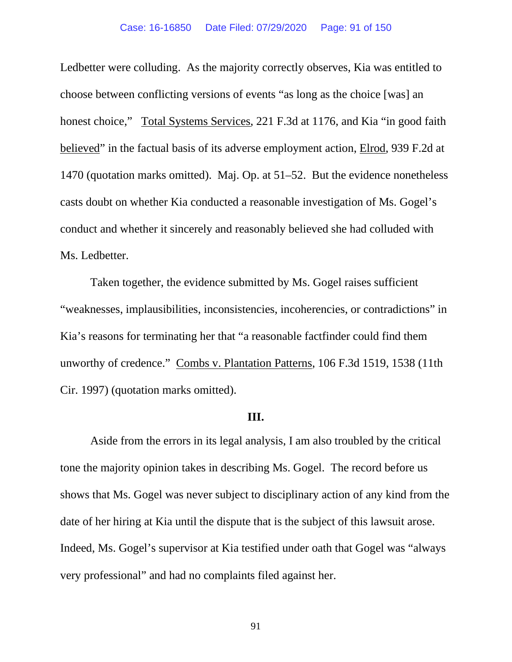Ledbetter were colluding. As the majority correctly observes, Kia was entitled to choose between conflicting versions of events "as long as the choice [was] an honest choice," Total Systems Services, 221 F.3d at 1176, and Kia "in good faith believed" in the factual basis of its adverse employment action, Elrod, 939 F.2d at 1470 (quotation marks omitted). Maj. Op. at 51–52. But the evidence nonetheless casts doubt on whether Kia conducted a reasonable investigation of Ms. Gogel's conduct and whether it sincerely and reasonably believed she had colluded with Ms. Ledbetter.

Taken together, the evidence submitted by Ms. Gogel raises sufficient "weaknesses, implausibilities, inconsistencies, incoherencies, or contradictions" in Kia's reasons for terminating her that "a reasonable factfinder could find them unworthy of credence." Combs v. Plantation Patterns, 106 F.3d 1519, 1538 (11th Cir. 1997) (quotation marks omitted).

### **III.**

Aside from the errors in its legal analysis, I am also troubled by the critical tone the majority opinion takes in describing Ms. Gogel. The record before us shows that Ms. Gogel was never subject to disciplinary action of any kind from the date of her hiring at Kia until the dispute that is the subject of this lawsuit arose. Indeed, Ms. Gogel's supervisor at Kia testified under oath that Gogel was "always very professional" and had no complaints filed against her.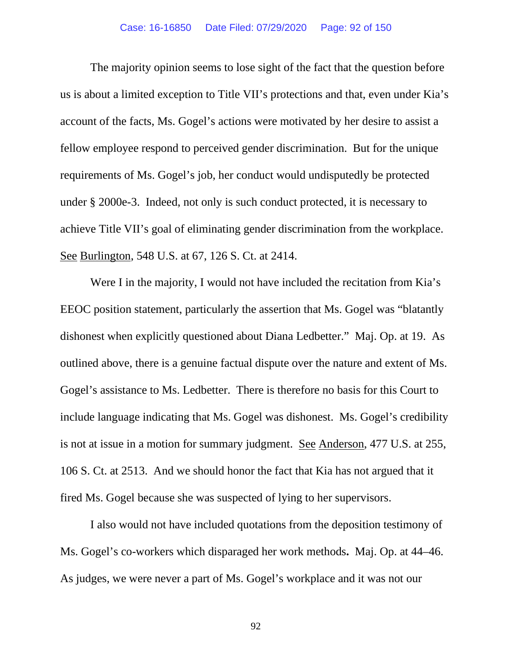The majority opinion seems to lose sight of the fact that the question before us is about a limited exception to Title VII's protections and that, even under Kia's account of the facts, Ms. Gogel's actions were motivated by her desire to assist a fellow employee respond to perceived gender discrimination. But for the unique requirements of Ms. Gogel's job, her conduct would undisputedly be protected under § 2000e-3. Indeed, not only is such conduct protected, it is necessary to achieve Title VII's goal of eliminating gender discrimination from the workplace. See Burlington, 548 U.S. at 67, 126 S. Ct. at 2414.

Were I in the majority, I would not have included the recitation from Kia's EEOC position statement, particularly the assertion that Ms. Gogel was "blatantly dishonest when explicitly questioned about Diana Ledbetter." Maj. Op. at 19. As outlined above, there is a genuine factual dispute over the nature and extent of Ms. Gogel's assistance to Ms. Ledbetter. There is therefore no basis for this Court to include language indicating that Ms. Gogel was dishonest. Ms. Gogel's credibility is not at issue in a motion for summary judgment. See Anderson, 477 U.S. at 255, 106 S. Ct. at 2513. And we should honor the fact that Kia has not argued that it fired Ms. Gogel because she was suspected of lying to her supervisors.

I also would not have included quotations from the deposition testimony of Ms. Gogel's co-workers which disparaged her work methods**.** Maj. Op. at 44–46. As judges, we were never a part of Ms. Gogel's workplace and it was not our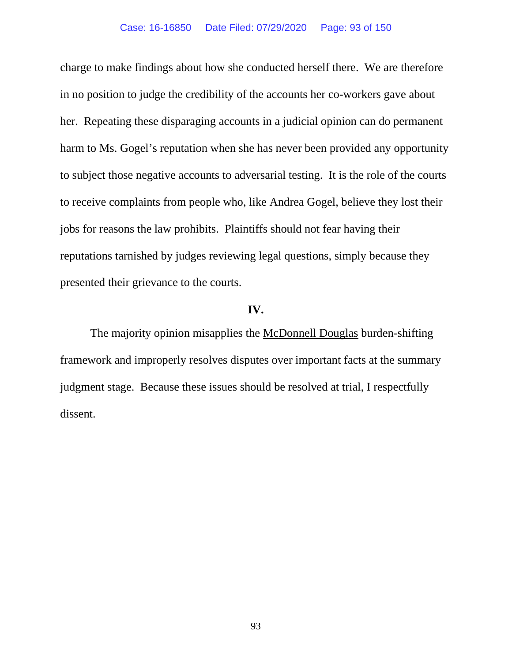charge to make findings about how she conducted herself there. We are therefore in no position to judge the credibility of the accounts her co-workers gave about her. Repeating these disparaging accounts in a judicial opinion can do permanent harm to Ms. Gogel's reputation when she has never been provided any opportunity to subject those negative accounts to adversarial testing. It is the role of the courts to receive complaints from people who, like Andrea Gogel, believe they lost their jobs for reasons the law prohibits. Plaintiffs should not fear having their reputations tarnished by judges reviewing legal questions, simply because they presented their grievance to the courts.

### **IV.**

The majority opinion misapplies the McDonnell Douglas burden-shifting framework and improperly resolves disputes over important facts at the summary judgment stage. Because these issues should be resolved at trial, I respectfully dissent.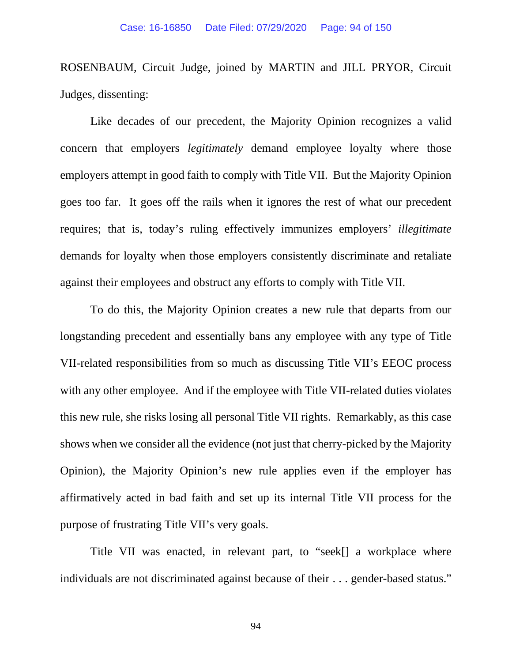ROSENBAUM, Circuit Judge, joined by MARTIN and JILL PRYOR, Circuit Judges, dissenting:

Like decades of our precedent, the Majority Opinion recognizes a valid concern that employers *legitimately* demand employee loyalty where those employers attempt in good faith to comply with Title VII. But the Majority Opinion goes too far. It goes off the rails when it ignores the rest of what our precedent requires; that is, today's ruling effectively immunizes employers' *illegitimate* demands for loyalty when those employers consistently discriminate and retaliate against their employees and obstruct any efforts to comply with Title VII.

To do this, the Majority Opinion creates a new rule that departs from our longstanding precedent and essentially bans any employee with any type of Title VII-related responsibilities from so much as discussing Title VII's EEOC process with any other employee. And if the employee with Title VII-related duties violates this new rule, she risks losing all personal Title VII rights. Remarkably, as this case shows when we consider all the evidence (not just that cherry-picked by the Majority Opinion), the Majority Opinion's new rule applies even if the employer has affirmatively acted in bad faith and set up its internal Title VII process for the purpose of frustrating Title VII's very goals.

Title VII was enacted, in relevant part, to "seek[] a workplace where individuals are not discriminated against because of their . . . gender-based status."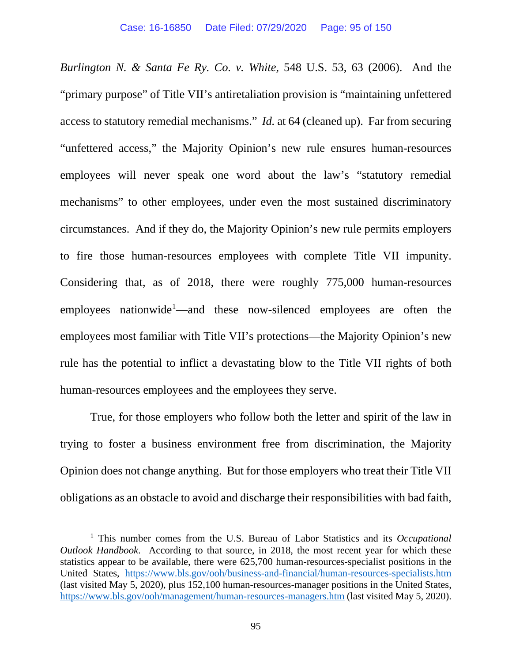*Burlington N. & Santa Fe Ry. Co. v. White*, 548 U.S. 53, 63 (2006). And the "primary purpose" of Title VII's antiretaliation provision is "maintaining unfettered access to statutory remedial mechanisms." *Id.* at 64 (cleaned up). Far from securing "unfettered access," the Majority Opinion's new rule ensures human-resources employees will never speak one word about the law's "statutory remedial mechanisms" to other employees, under even the most sustained discriminatory circumstances. And if they do, the Majority Opinion's new rule permits employers to fire those human-resources employees with complete Title VII impunity. Considering that, as of 2018, there were roughly 775,000 human-resources employees nationwide<sup>[1](#page-94-0)</sup>—and these now-silenced employees are often the employees most familiar with Title VII's protections—the Majority Opinion's new rule has the potential to inflict a devastating blow to the Title VII rights of both human-resources employees and the employees they serve.

True, for those employers who follow both the letter and spirit of the law in trying to foster a business environment free from discrimination, the Majority Opinion does not change anything. But for those employers who treat their Title VII obligations as an obstacle to avoid and discharge their responsibilities with bad faith,

<span id="page-94-0"></span><sup>1</sup> This number comes from the U.S. Bureau of Labor Statistics and its *Occupational Outlook Handbook*. According to that source, in 2018, the most recent year for which these statistics appear to be available, there were 625,700 human-resources-specialist positions in the United States, <https://www.bls.gov/ooh/business-and-financial/human-resources-specialists.htm> (last visited May 5, 2020), plus 152,100 human-resources-manager positions in the United States, <https://www.bls.gov/ooh/management/human-resources-managers.htm> (last visited May 5, 2020).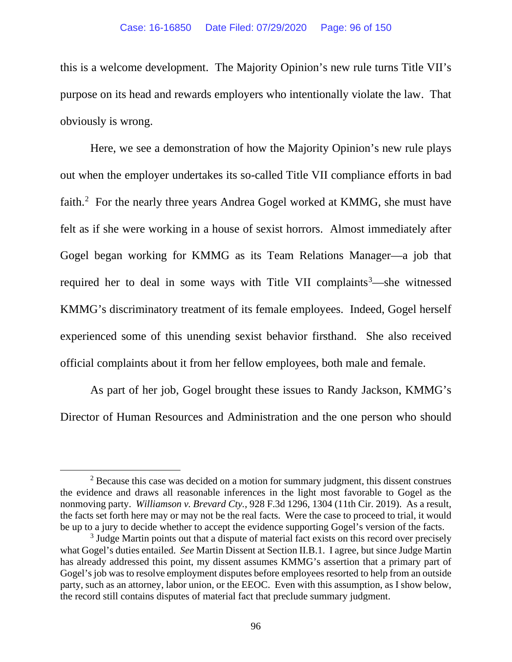this is a welcome development. The Majority Opinion's new rule turns Title VII's purpose on its head and rewards employers who intentionally violate the law. That obviously is wrong.

Here, we see a demonstration of how the Majority Opinion's new rule plays out when the employer undertakes its so-called Title VII compliance efforts in bad faith.<sup>[2](#page-95-0)</sup> For the nearly three years Andrea Gogel worked at KMMG, she must have felt as if she were working in a house of sexist horrors. Almost immediately after Gogel began working for KMMG as its Team Relations Manager—a job that required her to deal in some ways with Title VII complaints<sup>[3](#page-95-1)</sup>—she witnessed KMMG's discriminatory treatment of its female employees. Indeed, Gogel herself experienced some of this unending sexist behavior firsthand. She also received official complaints about it from her fellow employees, both male and female.

As part of her job, Gogel brought these issues to Randy Jackson, KMMG's Director of Human Resources and Administration and the one person who should

<span id="page-95-0"></span> $2$  Because this case was decided on a motion for summary judgment, this dissent construes the evidence and draws all reasonable inferences in the light most favorable to Gogel as the nonmoving party. *Williamson v. Brevard Cty.*, 928 F.3d 1296, 1304 (11th Cir. 2019). As a result, the facts set forth here may or may not be the real facts. Were the case to proceed to trial, it would be up to a jury to decide whether to accept the evidence supporting Gogel's version of the facts.

<span id="page-95-1"></span> $3$  Judge Martin points out that a dispute of material fact exists on this record over precisely what Gogel's duties entailed. *See* Martin Dissent at Section II.B.1. I agree, but since Judge Martin has already addressed this point, my dissent assumes KMMG's assertion that a primary part of Gogel's job was to resolve employment disputes before employees resorted to help from an outside party, such as an attorney, labor union, or the EEOC. Even with this assumption, as I show below, the record still contains disputes of material fact that preclude summary judgment.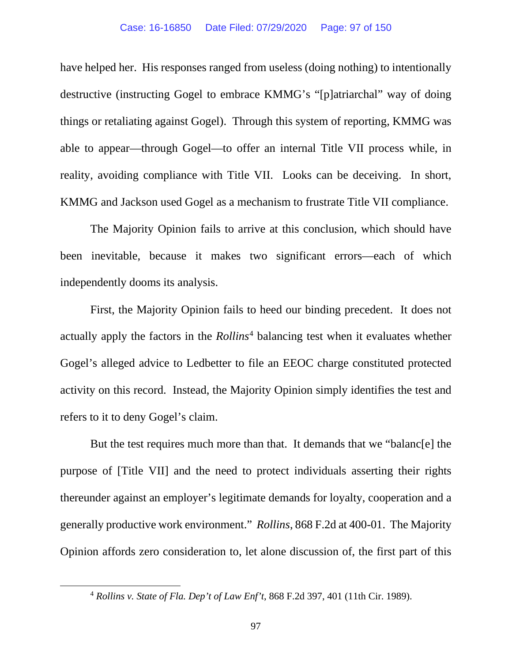have helped her. His responses ranged from useless (doing nothing) to intentionally destructive (instructing Gogel to embrace KMMG's "[p]atriarchal" way of doing things or retaliating against Gogel). Through this system of reporting, KMMG was able to appear—through Gogel—to offer an internal Title VII process while, in reality, avoiding compliance with Title VII. Looks can be deceiving. In short, KMMG and Jackson used Gogel as a mechanism to frustrate Title VII compliance.

The Majority Opinion fails to arrive at this conclusion, which should have been inevitable, because it makes two significant errors—each of which independently dooms its analysis.

First, the Majority Opinion fails to heed our binding precedent. It does not actually apply the factors in the *Rollins*[4](#page-96-0) balancing test when it evaluates whether Gogel's alleged advice to Ledbetter to file an EEOC charge constituted protected activity on this record. Instead, the Majority Opinion simply identifies the test and refers to it to deny Gogel's claim.

But the test requires much more than that. It demands that we "balanc[e] the purpose of [Title VII] and the need to protect individuals asserting their rights thereunder against an employer's legitimate demands for loyalty, cooperation and a generally productive work environment." *Rollins*, 868 F.2d at 400-01. The Majority Opinion affords zero consideration to, let alone discussion of, the first part of this

<span id="page-96-0"></span><sup>4</sup> *Rollins v. State of Fla. Dep't of Law Enf't*, 868 F.2d 397, 401 (11th Cir. 1989).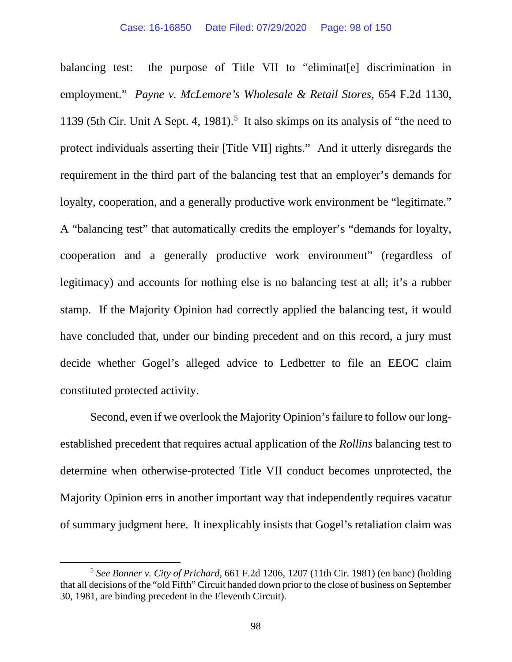balancing test: the purpose of Title VII to "eliminatell discrimination in employment." *Payne v. McLemore's Wholesale & Retail Stores*, 654 F.2d 1130, 1139 ([5](#page-97-0)th Cir. Unit A Sept. 4, 1981).<sup>5</sup> It also skimps on its analysis of "the need to protect individuals asserting their [Title VII] rights." And it utterly disregards the requirement in the third part of the balancing test that an employer's demands for loyalty, cooperation, and a generally productive work environment be "legitimate." A "balancing test" that automatically credits the employer's "demands for loyalty, cooperation and a generally productive work environment" (regardless of legitimacy) and accounts for nothing else is no balancing test at all; it's a rubber stamp. If the Majority Opinion had correctly applied the balancing test, it would have concluded that, under our binding precedent and on this record, a jury must decide whether Gogel's alleged advice to Ledbetter to file an EEOC claim constituted protected activity.

Second, even if we overlook the Majority Opinion's failure to follow our longestablished precedent that requires actual application of the *Rollins* balancing test to determine when otherwise-protected Title VII conduct becomes unprotected, the Majority Opinion errs in another important way that independently requires vacatur of summary judgment here. It inexplicably insists that Gogel's retaliation claim was

<span id="page-97-0"></span><sup>5</sup> *See Bonner v. City of Prichard*, 661 F.2d 1206, 1207 (11th Cir. 1981) (en banc) (holding that all decisions of the "old Fifth" Circuit handed down prior to the close of business on September 30, 1981, are binding precedent in the Eleventh Circuit).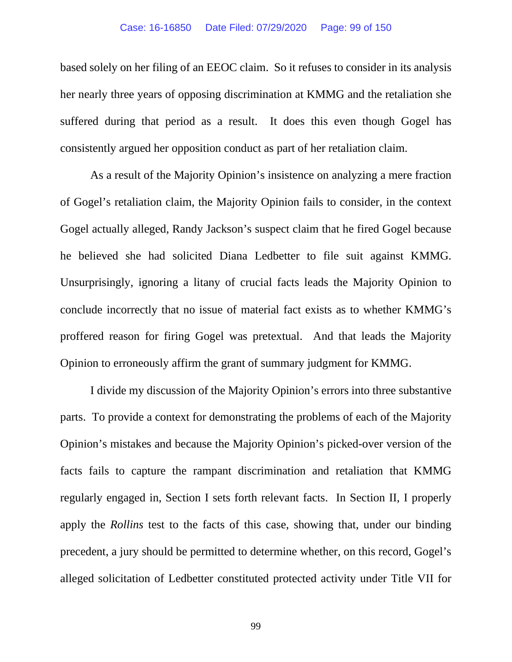based solely on her filing of an EEOC claim. So it refuses to consider in its analysis her nearly three years of opposing discrimination at KMMG and the retaliation she suffered during that period as a result. It does this even though Gogel has consistently argued her opposition conduct as part of her retaliation claim.

As a result of the Majority Opinion's insistence on analyzing a mere fraction of Gogel's retaliation claim, the Majority Opinion fails to consider, in the context Gogel actually alleged, Randy Jackson's suspect claim that he fired Gogel because he believed she had solicited Diana Ledbetter to file suit against KMMG. Unsurprisingly, ignoring a litany of crucial facts leads the Majority Opinion to conclude incorrectly that no issue of material fact exists as to whether KMMG's proffered reason for firing Gogel was pretextual. And that leads the Majority Opinion to erroneously affirm the grant of summary judgment for KMMG.

I divide my discussion of the Majority Opinion's errors into three substantive parts. To provide a context for demonstrating the problems of each of the Majority Opinion's mistakes and because the Majority Opinion's picked-over version of the facts fails to capture the rampant discrimination and retaliation that KMMG regularly engaged in, Section I sets forth relevant facts. In Section II, I properly apply the *Rollins* test to the facts of this case, showing that, under our binding precedent, a jury should be permitted to determine whether, on this record, Gogel's alleged solicitation of Ledbetter constituted protected activity under Title VII for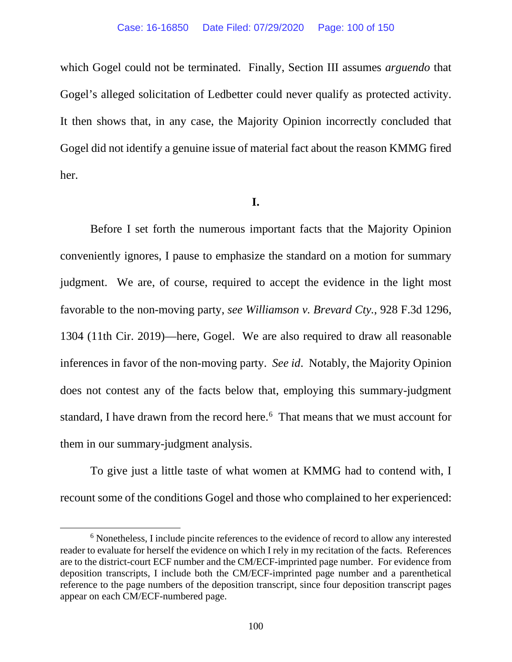which Gogel could not be terminated. Finally, Section III assumes *arguendo* that Gogel's alleged solicitation of Ledbetter could never qualify as protected activity. It then shows that, in any case, the Majority Opinion incorrectly concluded that Gogel did not identify a genuine issue of material fact about the reason KMMG fired her.

### **I.**

Before I set forth the numerous important facts that the Majority Opinion conveniently ignores, I pause to emphasize the standard on a motion for summary judgment. We are, of course, required to accept the evidence in the light most favorable to the non-moving party, *see Williamson v. Brevard Cty.*, 928 F.3d 1296, 1304 (11th Cir. 2019)—here, Gogel. We are also required to draw all reasonable inferences in favor of the non-moving party. *See id*. Notably, the Majority Opinion does not contest any of the facts below that, employing this summary-judgment standard, I have drawn from the record here.<sup>[6](#page-99-0)</sup> That means that we must account for them in our summary-judgment analysis.

To give just a little taste of what women at KMMG had to contend with, I recount some of the conditions Gogel and those who complained to her experienced:

<span id="page-99-0"></span><sup>6</sup> Nonetheless, I include pincite references to the evidence of record to allow any interested reader to evaluate for herself the evidence on which I rely in my recitation of the facts. References are to the district-court ECF number and the CM/ECF-imprinted page number. For evidence from deposition transcripts, I include both the CM/ECF-imprinted page number and a parenthetical reference to the page numbers of the deposition transcript, since four deposition transcript pages appear on each CM/ECF-numbered page.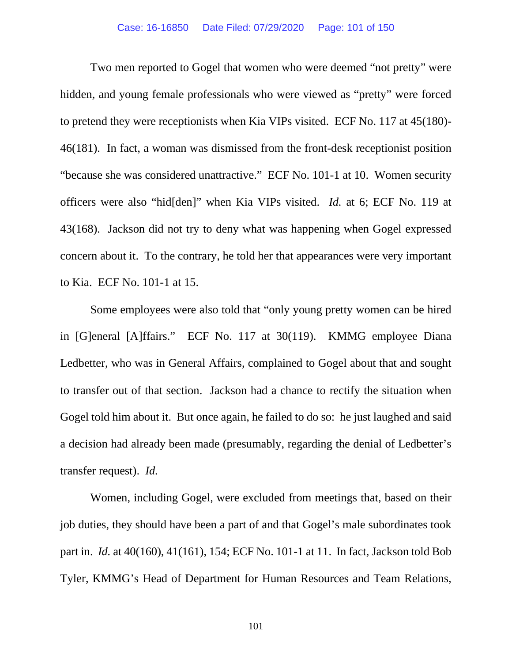Two men reported to Gogel that women who were deemed "not pretty" were hidden, and young female professionals who were viewed as "pretty" were forced to pretend they were receptionists when Kia VIPs visited. ECF No. 117 at 45(180)- 46(181). In fact, a woman was dismissed from the front-desk receptionist position "because she was considered unattractive." ECF No. 101-1 at 10. Women security officers were also "hid[den]" when Kia VIPs visited. *Id.* at 6; ECF No. 119 at 43(168). Jackson did not try to deny what was happening when Gogel expressed concern about it. To the contrary, he told her that appearances were very important to Kia. ECF No. 101-1 at 15.

Some employees were also told that "only young pretty women can be hired in [G]eneral [A]ffairs." ECF No. 117 at 30(119). KMMG employee Diana Ledbetter, who was in General Affairs, complained to Gogel about that and sought to transfer out of that section. Jackson had a chance to rectify the situation when Gogel told him about it. But once again, he failed to do so: he just laughed and said a decision had already been made (presumably, regarding the denial of Ledbetter's transfer request). *Id.*

Women, including Gogel, were excluded from meetings that, based on their job duties, they should have been a part of and that Gogel's male subordinates took part in. *Id.* at 40(160), 41(161), 154; ECF No. 101-1 at 11. In fact, Jackson told Bob Tyler, KMMG's Head of Department for Human Resources and Team Relations,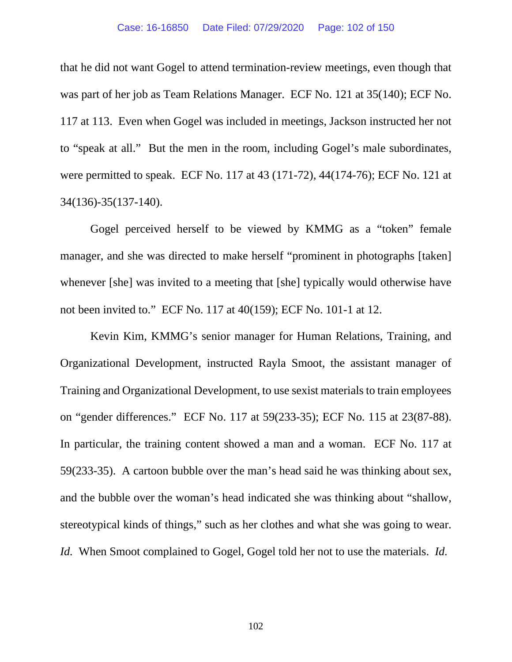that he did not want Gogel to attend termination-review meetings, even though that was part of her job as Team Relations Manager. ECF No. 121 at 35(140); ECF No. 117 at 113. Even when Gogel was included in meetings, Jackson instructed her not to "speak at all." But the men in the room, including Gogel's male subordinates, were permitted to speak. ECF No. 117 at 43 (171-72), 44(174-76); ECF No. 121 at 34(136)-35(137-140).

Gogel perceived herself to be viewed by KMMG as a "token" female manager, and she was directed to make herself "prominent in photographs [taken] whenever [she] was invited to a meeting that [she] typically would otherwise have not been invited to." ECF No. 117 at 40(159); ECF No. 101-1 at 12.

Kevin Kim, KMMG's senior manager for Human Relations, Training, and Organizational Development, instructed Rayla Smoot, the assistant manager of Training and Organizational Development, to use sexist materials to train employees on "gender differences." ECF No. 117 at 59(233-35); ECF No. 115 at 23(87-88). In particular, the training content showed a man and a woman. ECF No. 117 at 59(233-35). A cartoon bubble over the man's head said he was thinking about sex, and the bubble over the woman's head indicated she was thinking about "shallow, stereotypical kinds of things," such as her clothes and what she was going to wear. *Id.* When Smoot complained to Gogel, Gogel told her not to use the materials. *Id.*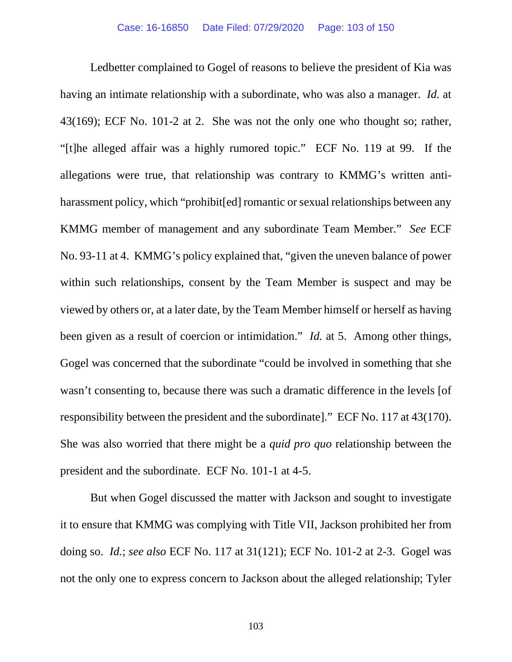Ledbetter complained to Gogel of reasons to believe the president of Kia was having an intimate relationship with a subordinate, who was also a manager. *Id.* at 43(169); ECF No. 101-2 at 2. She was not the only one who thought so; rather, "[t]he alleged affair was a highly rumored topic." ECF No. 119 at 99. If the allegations were true, that relationship was contrary to KMMG's written antiharassment policy, which "prohibit [ed] romantic or sexual relationships between any KMMG member of management and any subordinate Team Member." *See* ECF No. 93-11 at 4. KMMG's policy explained that, "given the uneven balance of power within such relationships, consent by the Team Member is suspect and may be viewed by others or, at a later date, by the Team Member himself or herself as having been given as a result of coercion or intimidation." *Id.* at 5. Among other things, Gogel was concerned that the subordinate "could be involved in something that she wasn't consenting to, because there was such a dramatic difference in the levels [of responsibility between the president and the subordinate]." ECF No. 117 at 43(170). She was also worried that there might be a *quid pro quo* relationship between the president and the subordinate. ECF No. 101-1 at 4-5.

But when Gogel discussed the matter with Jackson and sought to investigate it to ensure that KMMG was complying with Title VII, Jackson prohibited her from doing so. *Id.*; *see also* ECF No. 117 at 31(121); ECF No. 101-2 at 2-3. Gogel was not the only one to express concern to Jackson about the alleged relationship; Tyler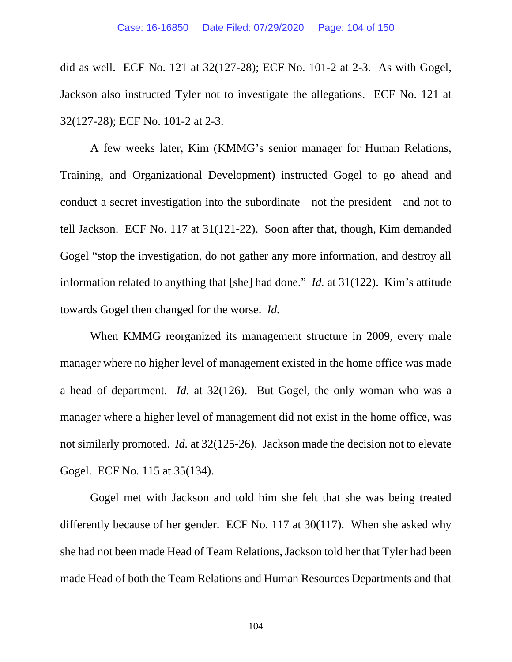did as well. ECF No. 121 at 32(127-28); ECF No. 101-2 at 2-3. As with Gogel, Jackson also instructed Tyler not to investigate the allegations. ECF No. 121 at 32(127-28); ECF No. 101-2 at 2-3.

A few weeks later, Kim (KMMG's senior manager for Human Relations, Training, and Organizational Development) instructed Gogel to go ahead and conduct a secret investigation into the subordinate—not the president—and not to tell Jackson. ECF No. 117 at 31(121-22). Soon after that, though, Kim demanded Gogel "stop the investigation, do not gather any more information, and destroy all information related to anything that [she] had done." *Id.* at 31(122). Kim's attitude towards Gogel then changed for the worse. *Id.*

When KMMG reorganized its management structure in 2009, every male manager where no higher level of management existed in the home office was made a head of department. *Id.* at 32(126). But Gogel, the only woman who was a manager where a higher level of management did not exist in the home office, was not similarly promoted. *Id.* at 32(125-26). Jackson made the decision not to elevate Gogel. ECF No. 115 at 35(134).

Gogel met with Jackson and told him she felt that she was being treated differently because of her gender. ECF No. 117 at 30(117). When she asked why she had not been made Head of Team Relations, Jackson told her that Tyler had been made Head of both the Team Relations and Human Resources Departments and that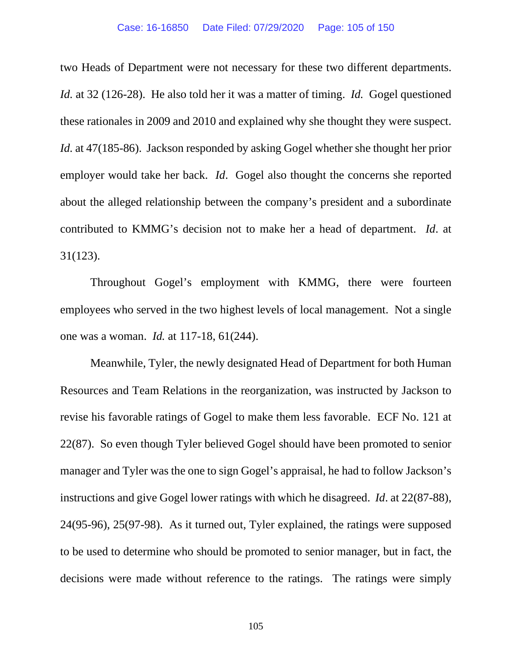two Heads of Department were not necessary for these two different departments. *Id.* at 32 (126-28). He also told her it was a matter of timing. *Id.* Gogel questioned these rationales in 2009 and 2010 and explained why she thought they were suspect. *Id.* at 47(185-86). Jackson responded by asking Gogel whether she thought her prior employer would take her back. *Id*. Gogel also thought the concerns she reported about the alleged relationship between the company's president and a subordinate contributed to KMMG's decision not to make her a head of department. *Id*. at 31(123).

Throughout Gogel's employment with KMMG, there were fourteen employees who served in the two highest levels of local management. Not a single one was a woman. *Id.* at 117-18, 61(244).

Meanwhile, Tyler, the newly designated Head of Department for both Human Resources and Team Relations in the reorganization, was instructed by Jackson to revise his favorable ratings of Gogel to make them less favorable. ECF No. 121 at 22(87). So even though Tyler believed Gogel should have been promoted to senior manager and Tyler was the one to sign Gogel's appraisal, he had to follow Jackson's instructions and give Gogel lower ratings with which he disagreed. *Id*. at 22(87-88), 24(95-96), 25(97-98). As it turned out, Tyler explained, the ratings were supposed to be used to determine who should be promoted to senior manager, but in fact, the decisions were made without reference to the ratings. The ratings were simply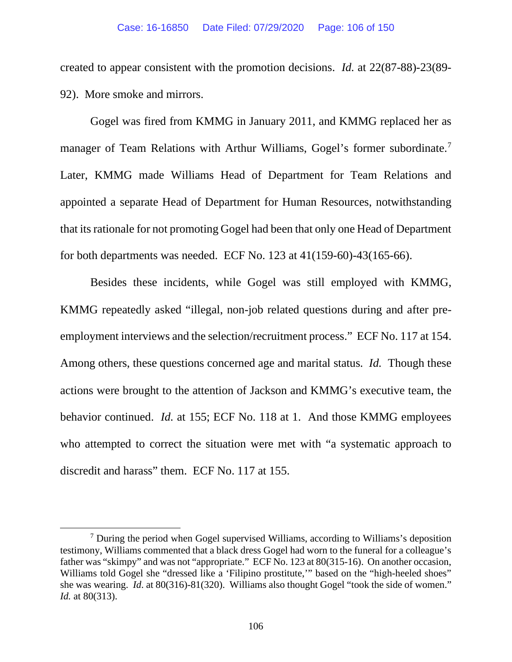created to appear consistent with the promotion decisions. *Id.* at 22(87-88)-23(89- 92). More smoke and mirrors.

Gogel was fired from KMMG in January 2011, and KMMG replaced her as manager of Team Relations with Arthur Williams, Gogel's former subordinate.<sup>7</sup> Later, KMMG made Williams Head of Department for Team Relations and appointed a separate Head of Department for Human Resources, notwithstanding that its rationale for not promoting Gogel had been that only one Head of Department for both departments was needed. ECF No. 123 at 41(159-60)-43(165-66).

Besides these incidents, while Gogel was still employed with KMMG, KMMG repeatedly asked "illegal, non-job related questions during and after preemployment interviews and the selection/recruitment process." ECF No. 117 at 154. Among others, these questions concerned age and marital status. *Id.* Though these actions were brought to the attention of Jackson and KMMG's executive team, the behavior continued. *Id.* at 155; ECF No. 118 at 1. And those KMMG employees who attempted to correct the situation were met with "a systematic approach to discredit and harass" them. ECF No. 117 at 155.

<span id="page-105-0"></span><sup>7</sup> During the period when Gogel supervised Williams, according to Williams's deposition testimony, Williams commented that a black dress Gogel had worn to the funeral for a colleague's father was "skimpy" and was not "appropriate." ECF No. 123 at 80(315-16). On another occasion, Williams told Gogel she "dressed like a 'Filipino prostitute,'" based on the "high-heeled shoes" she was wearing. *Id*. at 80(316)-81(320). Williams also thought Gogel "took the side of women." *Id.* at 80(313).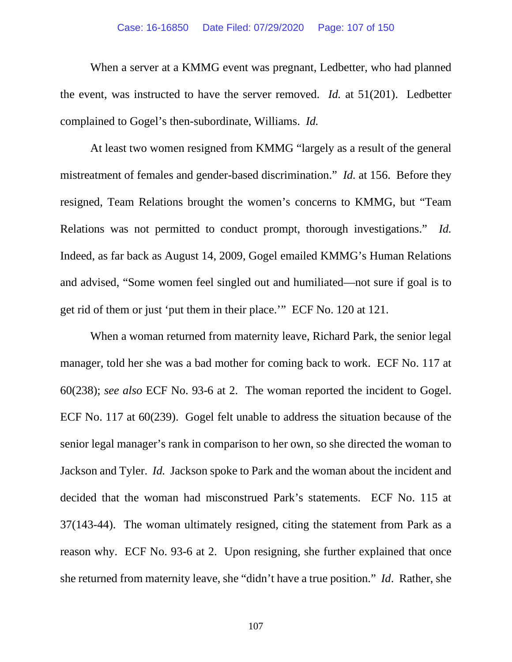#### Case: 16-16850 Date Filed: 07/29/2020 Page: 107 of 150

When a server at a KMMG event was pregnant, Ledbetter, who had planned the event, was instructed to have the server removed. *Id.* at 51(201). Ledbetter complained to Gogel's then-subordinate, Williams. *Id.*

At least two women resigned from KMMG "largely as a result of the general mistreatment of females and gender-based discrimination." *Id.* at 156. Before they resigned, Team Relations brought the women's concerns to KMMG, but "Team Relations was not permitted to conduct prompt, thorough investigations." *Id.* Indeed, as far back as August 14, 2009, Gogel emailed KMMG's Human Relations and advised, "Some women feel singled out and humiliated—not sure if goal is to get rid of them or just 'put them in their place.'" ECF No. 120 at 121.

When a woman returned from maternity leave, Richard Park, the senior legal manager, told her she was a bad mother for coming back to work. ECF No. 117 at 60(238); *see also* ECF No. 93-6 at 2. The woman reported the incident to Gogel. ECF No. 117 at 60(239). Gogel felt unable to address the situation because of the senior legal manager's rank in comparison to her own, so she directed the woman to Jackson and Tyler. *Id.* Jackson spoke to Park and the woman about the incident and decided that the woman had misconstrued Park's statements. ECF No. 115 at 37(143-44). The woman ultimately resigned, citing the statement from Park as a reason why. ECF No. 93-6 at 2. Upon resigning, she further explained that once she returned from maternity leave, she "didn't have a true position." *Id*. Rather, she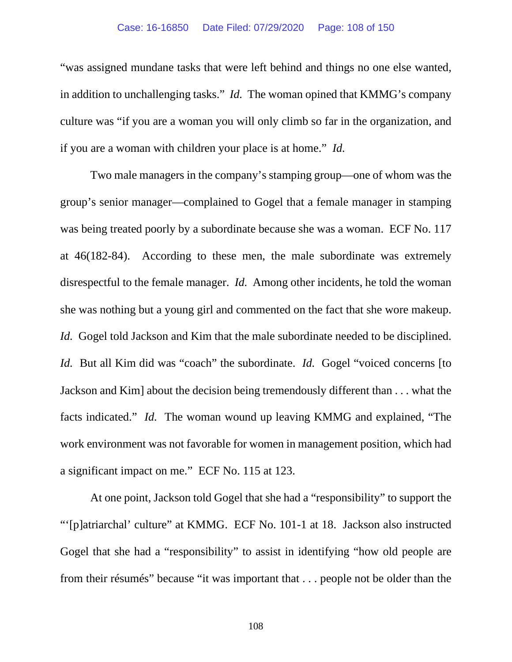### Case: 16-16850 Date Filed: 07/29/2020 Page: 108 of 150

"was assigned mundane tasks that were left behind and things no one else wanted, in addition to unchallenging tasks." *Id.* The woman opined that KMMG's company culture was "if you are a woman you will only climb so far in the organization, and if you are a woman with children your place is at home." *Id.*

Two male managers in the company's stamping group—one of whom was the group's senior manager—complained to Gogel that a female manager in stamping was being treated poorly by a subordinate because she was a woman. ECF No. 117 at 46(182-84). According to these men, the male subordinate was extremely disrespectful to the female manager. *Id.* Among other incidents, he told the woman she was nothing but a young girl and commented on the fact that she wore makeup. *Id.* Gogel told Jackson and Kim that the male subordinate needed to be disciplined. *Id.* But all Kim did was "coach" the subordinate. *Id.* Gogel "voiced concerns [to Jackson and Kim] about the decision being tremendously different than . . . what the facts indicated." *Id.* The woman wound up leaving KMMG and explained, "The work environment was not favorable for women in management position, which had a significant impact on me." ECF No. 115 at 123.

At one point, Jackson told Gogel that she had a "responsibility" to support the "'[p]atriarchal' culture" at KMMG. ECF No. 101-1 at 18. Jackson also instructed Gogel that she had a "responsibility" to assist in identifying "how old people are from their résumés" because "it was important that . . . people not be older than the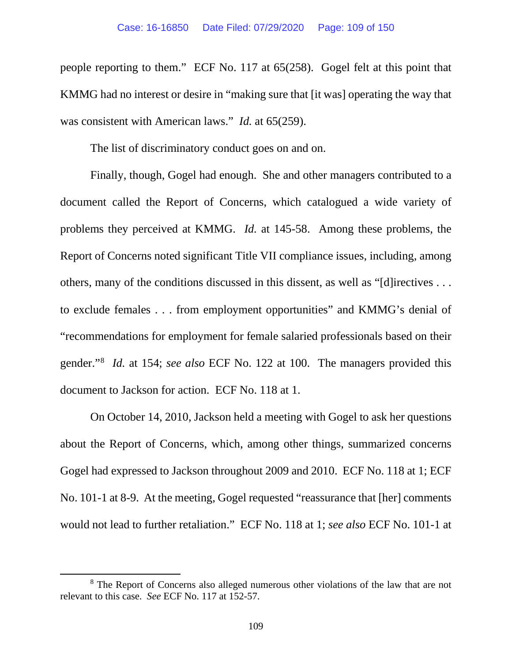people reporting to them." ECF No. 117 at 65(258). Gogel felt at this point that KMMG had no interest or desire in "making sure that [it was] operating the way that was consistent with American laws." *Id.* at 65(259).

The list of discriminatory conduct goes on and on.

Finally, though, Gogel had enough. She and other managers contributed to a document called the Report of Concerns, which catalogued a wide variety of problems they perceived at KMMG. *Id.* at 145-58. Among these problems, the Report of Concerns noted significant Title VII compliance issues, including, among others, many of the conditions discussed in this dissent, as well as "[d]irectives . . . to exclude females . . . from employment opportunities" and KMMG's denial of "recommendations for employment for female salaried professionals based on their gender."[8](#page-108-0) *Id.* at 154; *see also* ECF No. 122 at 100. The managers provided this document to Jackson for action. ECF No. 118 at 1.

On October 14, 2010, Jackson held a meeting with Gogel to ask her questions about the Report of Concerns, which, among other things, summarized concerns Gogel had expressed to Jackson throughout 2009 and 2010. ECF No. 118 at 1; ECF No. 101-1 at 8-9. At the meeting, Gogel requested "reassurance that [her] comments would not lead to further retaliation." ECF No. 118 at 1; *see also* ECF No. 101-1 at

<span id="page-108-0"></span><sup>&</sup>lt;sup>8</sup> The Report of Concerns also alleged numerous other violations of the law that are not relevant to this case. *See* ECF No. 117 at 152-57.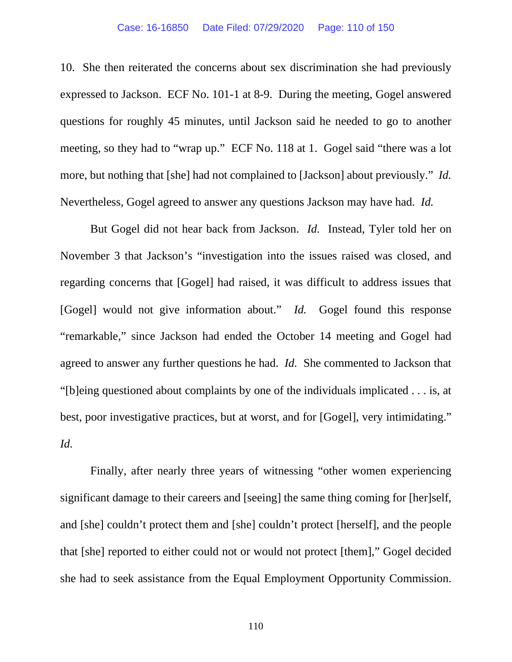### Case: 16-16850 Date Filed: 07/29/2020 Page: 110 of 150

10. She then reiterated the concerns about sex discrimination she had previously expressed to Jackson. ECF No. 101-1 at 8-9. During the meeting, Gogel answered questions for roughly 45 minutes, until Jackson said he needed to go to another meeting, so they had to "wrap up." ECF No. 118 at 1. Gogel said "there was a lot more, but nothing that [she] had not complained to [Jackson] about previously." *Id.* Nevertheless, Gogel agreed to answer any questions Jackson may have had. *Id.*

But Gogel did not hear back from Jackson. *Id.* Instead, Tyler told her on November 3 that Jackson's "investigation into the issues raised was closed, and regarding concerns that [Gogel] had raised, it was difficult to address issues that [Gogel] would not give information about." *Id.* Gogel found this response "remarkable," since Jackson had ended the October 14 meeting and Gogel had agreed to answer any further questions he had. *Id.* She commented to Jackson that "[b]eing questioned about complaints by one of the individuals implicated . . . is, at best, poor investigative practices, but at worst, and for [Gogel], very intimidating." *Id.*

Finally, after nearly three years of witnessing "other women experiencing significant damage to their careers and [seeing] the same thing coming for [her]self, and [she] couldn't protect them and [she] couldn't protect [herself], and the people that [she] reported to either could not or would not protect [them]," Gogel decided she had to seek assistance from the Equal Employment Opportunity Commission.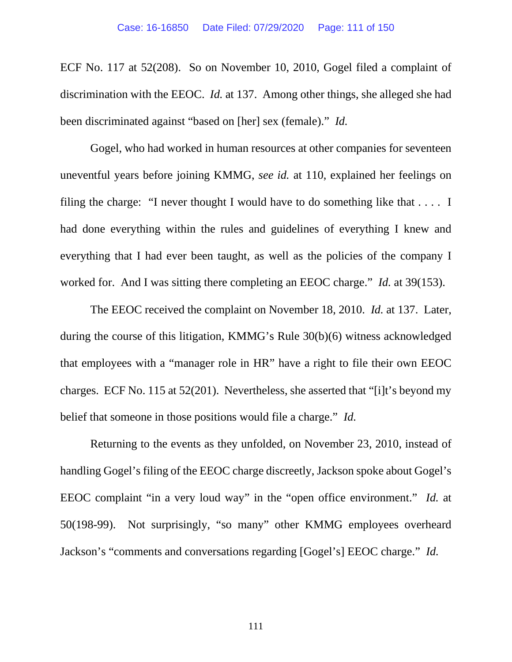ECF No. 117 at 52(208). So on November 10, 2010, Gogel filed a complaint of discrimination with the EEOC. *Id.* at 137. Among other things, she alleged she had been discriminated against "based on [her] sex (female)." *Id.*

Gogel, who had worked in human resources at other companies for seventeen uneventful years before joining KMMG, *see id.* at 110, explained her feelings on filing the charge: "I never thought I would have to do something like that  $\dots$ . I had done everything within the rules and guidelines of everything I knew and everything that I had ever been taught, as well as the policies of the company I worked for. And I was sitting there completing an EEOC charge." *Id.* at 39(153).

The EEOC received the complaint on November 18, 2010. *Id.* at 137. Later, during the course of this litigation, KMMG's Rule 30(b)(6) witness acknowledged that employees with a "manager role in HR" have a right to file their own EEOC charges. ECF No. 115 at 52(201). Nevertheless, she asserted that "[i]t's beyond my belief that someone in those positions would file a charge." *Id.*

Returning to the events as they unfolded, on November 23, 2010, instead of handling Gogel's filing of the EEOC charge discreetly, Jackson spoke about Gogel's EEOC complaint "in a very loud way" in the "open office environment." *Id.* at 50(198-99). Not surprisingly, "so many" other KMMG employees overheard Jackson's "comments and conversations regarding [Gogel's] EEOC charge." *Id.*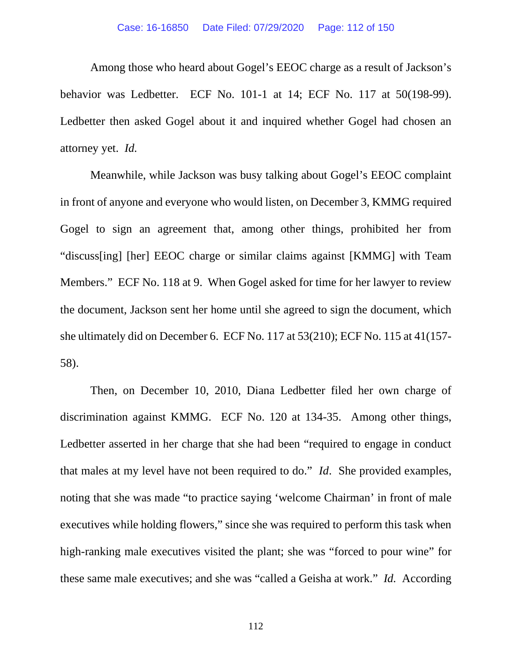Among those who heard about Gogel's EEOC charge as a result of Jackson's behavior was Ledbetter. ECF No. 101-1 at 14; ECF No. 117 at 50(198-99). Ledbetter then asked Gogel about it and inquired whether Gogel had chosen an attorney yet. *Id.*

Meanwhile, while Jackson was busy talking about Gogel's EEOC complaint in front of anyone and everyone who would listen, on December 3, KMMG required Gogel to sign an agreement that, among other things, prohibited her from "discuss[ing] [her] EEOC charge or similar claims against [KMMG] with Team Members." ECF No. 118 at 9. When Gogel asked for time for her lawyer to review the document, Jackson sent her home until she agreed to sign the document, which she ultimately did on December 6. ECF No. 117 at 53(210); ECF No. 115 at 41(157- 58).

Then, on December 10, 2010, Diana Ledbetter filed her own charge of discrimination against KMMG. ECF No. 120 at 134-35. Among other things, Ledbetter asserted in her charge that she had been "required to engage in conduct that males at my level have not been required to do." *Id*. She provided examples, noting that she was made "to practice saying 'welcome Chairman' in front of male executives while holding flowers," since she was required to perform this task when high-ranking male executives visited the plant; she was "forced to pour wine" for these same male executives; and she was "called a Geisha at work." *Id.* According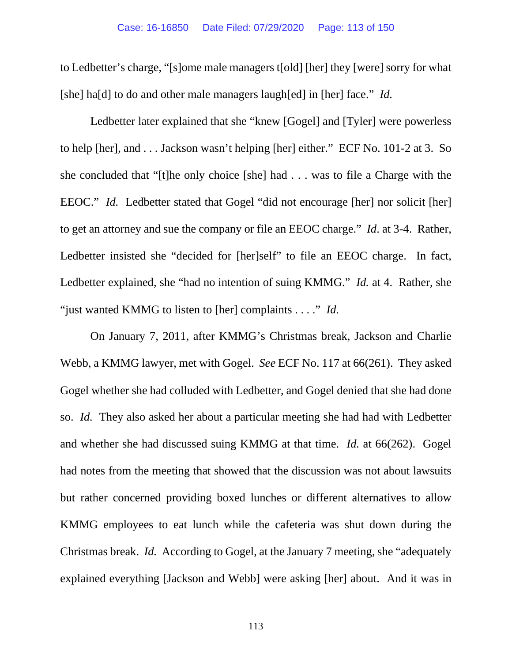to Ledbetter's charge, "[s]ome male managers t[old] [her] they [were] sorry for what [she] ha[d] to do and other male managers laugh[ed] in [her] face." *Id.* 

Ledbetter later explained that she "knew [Gogel] and [Tyler] were powerless to help [her], and . . . Jackson wasn't helping [her] either." ECF No. 101-2 at 3. So she concluded that "[t]he only choice [she] had . . . was to file a Charge with the EEOC." *Id.* Ledbetter stated that Gogel "did not encourage [her] nor solicit [her] to get an attorney and sue the company or file an EEOC charge." *Id*. at 3-4. Rather, Ledbetter insisted she "decided for [her]self" to file an EEOC charge. In fact, Ledbetter explained, she "had no intention of suing KMMG." *Id.* at 4. Rather, she "just wanted KMMG to listen to [her] complaints . . . ." *Id.*

On January 7, 2011, after KMMG's Christmas break, Jackson and Charlie Webb, a KMMG lawyer, met with Gogel. *See* ECF No. 117 at 66(261). They asked Gogel whether she had colluded with Ledbetter, and Gogel denied that she had done so. *Id.* They also asked her about a particular meeting she had had with Ledbetter and whether she had discussed suing KMMG at that time. *Id.* at 66(262). Gogel had notes from the meeting that showed that the discussion was not about lawsuits but rather concerned providing boxed lunches or different alternatives to allow KMMG employees to eat lunch while the cafeteria was shut down during the Christmas break. *Id.* According to Gogel, at the January 7 meeting, she "adequately explained everything [Jackson and Webb] were asking [her] about. And it was in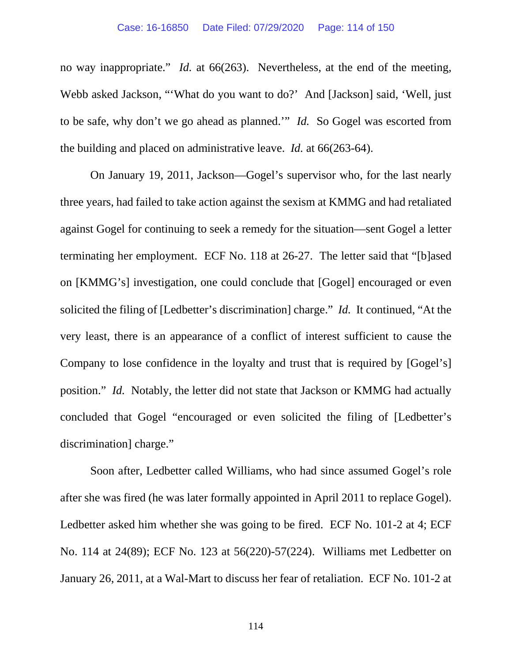### Case: 16-16850 Date Filed: 07/29/2020 Page: 114 of 150

no way inappropriate." *Id.* at 66(263). Nevertheless, at the end of the meeting, Webb asked Jackson, "'What do you want to do?' And [Jackson] said, 'Well, just to be safe, why don't we go ahead as planned.'" *Id.* So Gogel was escorted from the building and placed on administrative leave. *Id.* at 66(263-64).

On January 19, 2011, Jackson—Gogel's supervisor who, for the last nearly three years, had failed to take action against the sexism at KMMG and had retaliated against Gogel for continuing to seek a remedy for the situation—sent Gogel a letter terminating her employment. ECF No. 118 at 26-27. The letter said that "[b]ased on [KMMG's] investigation, one could conclude that [Gogel] encouraged or even solicited the filing of [Ledbetter's discrimination] charge." *Id.* It continued, "At the very least, there is an appearance of a conflict of interest sufficient to cause the Company to lose confidence in the loyalty and trust that is required by [Gogel's] position." *Id.* Notably, the letter did not state that Jackson or KMMG had actually concluded that Gogel "encouraged or even solicited the filing of [Ledbetter's discrimination] charge."

Soon after, Ledbetter called Williams, who had since assumed Gogel's role after she was fired (he was later formally appointed in April 2011 to replace Gogel). Ledbetter asked him whether she was going to be fired. ECF No. 101-2 at 4; ECF No. 114 at 24(89); ECF No. 123 at 56(220)-57(224). Williams met Ledbetter on January 26, 2011, at a Wal-Mart to discuss her fear of retaliation. ECF No. 101-2 at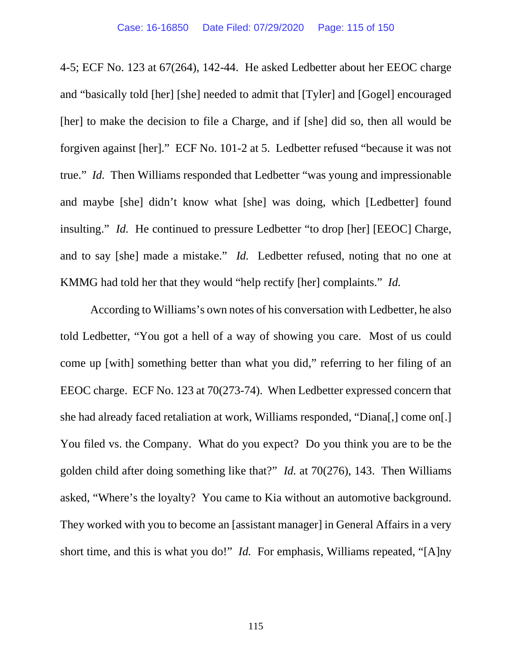4-5; ECF No. 123 at 67(264), 142-44. He asked Ledbetter about her EEOC charge and "basically told [her] [she] needed to admit that [Tyler] and [Gogel] encouraged [her] to make the decision to file a Charge, and if [she] did so, then all would be forgiven against [her]." ECF No. 101-2 at 5. Ledbetter refused "because it was not true." *Id.* Then Williams responded that Ledbetter "was young and impressionable and maybe [she] didn't know what [she] was doing, which [Ledbetter] found insulting." *Id.* He continued to pressure Ledbetter "to drop [her] [EEOC] Charge, and to say [she] made a mistake." *Id.* Ledbetter refused, noting that no one at KMMG had told her that they would "help rectify [her] complaints." *Id.*

According to Williams's own notes of his conversation with Ledbetter, he also told Ledbetter, "You got a hell of a way of showing you care. Most of us could come up [with] something better than what you did," referring to her filing of an EEOC charge. ECF No. 123 at 70(273-74). When Ledbetter expressed concern that she had already faced retaliation at work, Williams responded, "Diana[,] come on[.] You filed vs. the Company. What do you expect? Do you think you are to be the golden child after doing something like that?" *Id.* at 70(276), 143. Then Williams asked, "Where's the loyalty? You came to Kia without an automotive background. They worked with you to become an [assistant manager] in General Affairs in a very short time, and this is what you do!" *Id.* For emphasis, Williams repeated, "[A]ny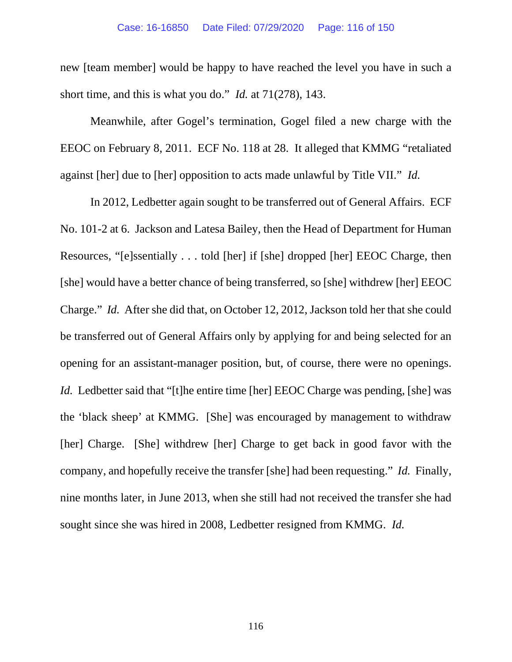new [team member] would be happy to have reached the level you have in such a short time, and this is what you do." *Id.* at 71(278), 143.

Meanwhile, after Gogel's termination, Gogel filed a new charge with the EEOC on February 8, 2011. ECF No. 118 at 28. It alleged that KMMG "retaliated against [her] due to [her] opposition to acts made unlawful by Title VII." *Id.*

In 2012, Ledbetter again sought to be transferred out of General Affairs. ECF No. 101-2 at 6. Jackson and Latesa Bailey, then the Head of Department for Human Resources, "[e]ssentially . . . told [her] if [she] dropped [her] EEOC Charge, then [she] would have a better chance of being transferred, so [she] withdrew [her] EEOC Charge." *Id.* After she did that, on October 12, 2012, Jackson told her that she could be transferred out of General Affairs only by applying for and being selected for an opening for an assistant-manager position, but, of course, there were no openings. *Id.* Ledbetter said that "[t]he entire time [her] EEOC Charge was pending, [she] was the 'black sheep' at KMMG. [She] was encouraged by management to withdraw [her] Charge. [She] withdrew [her] Charge to get back in good favor with the company, and hopefully receive the transfer [she] had been requesting." *Id.* Finally, nine months later, in June 2013, when she still had not received the transfer she had sought since she was hired in 2008, Ledbetter resigned from KMMG. *Id.*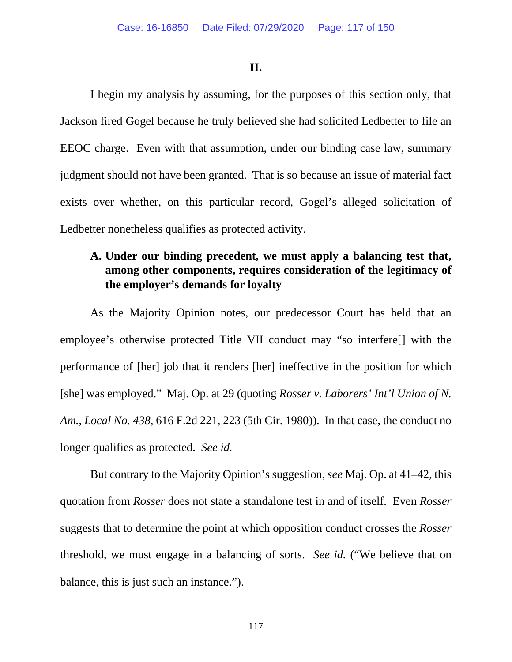### **II.**

I begin my analysis by assuming, for the purposes of this section only, that Jackson fired Gogel because he truly believed she had solicited Ledbetter to file an EEOC charge. Even with that assumption, under our binding case law, summary judgment should not have been granted. That is so because an issue of material fact exists over whether, on this particular record, Gogel's alleged solicitation of Ledbetter nonetheless qualifies as protected activity.

## **A. Under our binding precedent, we must apply a balancing test that, among other components, requires consideration of the legitimacy of the employer's demands for loyalty**

As the Majority Opinion notes, our predecessor Court has held that an employee's otherwise protected Title VII conduct may "so interfere[] with the performance of [her] job that it renders [her] ineffective in the position for which [she] was employed." Maj. Op. at 29 (quoting *Rosser v. Laborers' Int'l Union of N. Am., Local No. 438*, 616 F.2d 221, 223 (5th Cir. 1980)). In that case, the conduct no longer qualifies as protected. *See id.*

But contrary to the Majority Opinion's suggestion, *see* Maj. Op. at 41–42, this quotation from *Rosser* does not state a standalone test in and of itself. Even *Rosser* suggests that to determine the point at which opposition conduct crosses the *Rosser* threshold, we must engage in a balancing of sorts. *See id.* ("We believe that on balance, this is just such an instance.").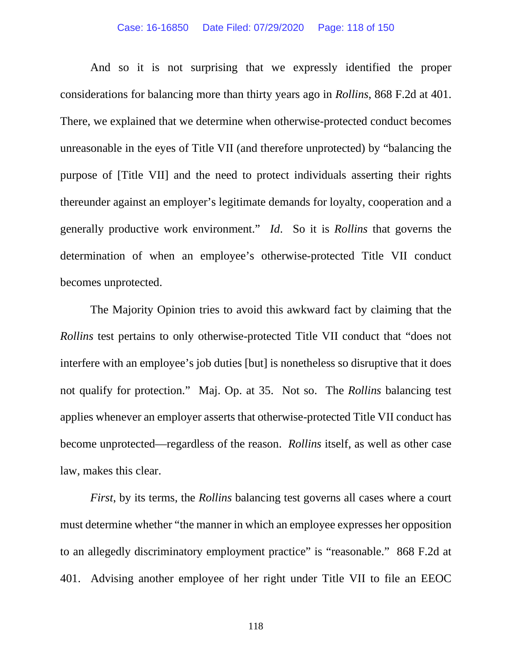### Case: 16-16850 Date Filed: 07/29/2020 Page: 118 of 150

And so it is not surprising that we expressly identified the proper considerations for balancing more than thirty years ago in *Rollins*, 868 F.2d at 401. There, we explained that we determine when otherwise-protected conduct becomes unreasonable in the eyes of Title VII (and therefore unprotected) by "balancing the purpose of [Title VII] and the need to protect individuals asserting their rights thereunder against an employer's legitimate demands for loyalty, cooperation and a generally productive work environment." *Id*. So it is *Rollins* that governs the determination of when an employee's otherwise-protected Title VII conduct becomes unprotected.

The Majority Opinion tries to avoid this awkward fact by claiming that the *Rollins* test pertains to only otherwise-protected Title VII conduct that "does not interfere with an employee's job duties [but] is nonetheless so disruptive that it does not qualify for protection." Maj. Op. at 35. Not so. The *Rollins* balancing test applies whenever an employer asserts that otherwise-protected Title VII conduct has become unprotected—regardless of the reason. *Rollins* itself, as well as other case law, makes this clear.

*First*, by its terms, the *Rollins* balancing test governs all cases where a court must determine whether "the manner in which an employee expresses her opposition to an allegedly discriminatory employment practice" is "reasonable." 868 F.2d at 401. Advising another employee of her right under Title VII to file an EEOC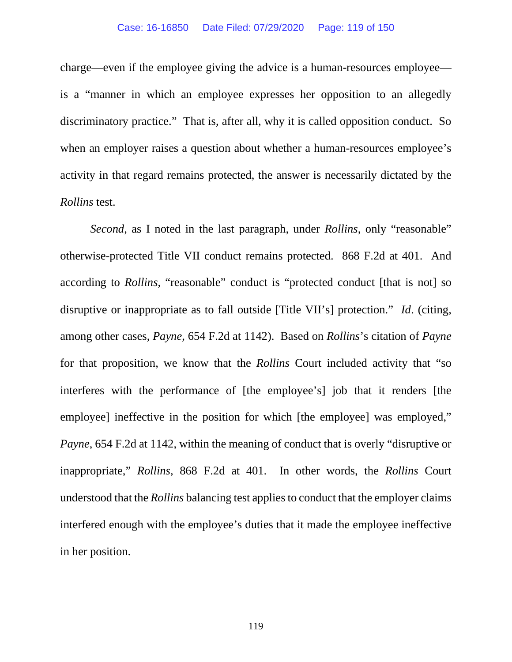### Case: 16-16850 Date Filed: 07/29/2020 Page: 119 of 150

charge—even if the employee giving the advice is a human-resources employee is a "manner in which an employee expresses her opposition to an allegedly discriminatory practice." That is, after all, why it is called opposition conduct. So when an employer raises a question about whether a human-resources employee's activity in that regard remains protected, the answer is necessarily dictated by the *Rollins* test.

*Second*, as I noted in the last paragraph, under *Rollins*, only "reasonable" otherwise-protected Title VII conduct remains protected. 868 F.2d at 401. And according to *Rollins*, "reasonable" conduct is "protected conduct [that is not] so disruptive or inappropriate as to fall outside [Title VII's] protection." *Id*. (citing, among other cases, *Payne*, 654 F.2d at 1142). Based on *Rollins*'s citation of *Payne* for that proposition, we know that the *Rollins* Court included activity that "so interferes with the performance of [the employee's] job that it renders [the employee] ineffective in the position for which [the employee] was employed," *Payne*, 654 F.2d at 1142, within the meaning of conduct that is overly "disruptive or inappropriate," *Rollins*, 868 F.2d at 401. In other words, the *Rollins* Court understood that the *Rollins* balancing test applies to conduct that the employer claims interfered enough with the employee's duties that it made the employee ineffective in her position.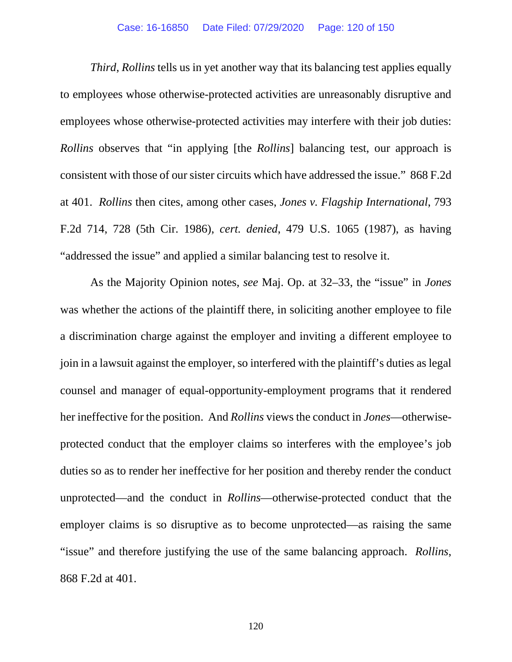### Case: 16-16850 Date Filed: 07/29/2020 Page: 120 of 150

*Third*, *Rollins* tells us in yet another way that its balancing test applies equally to employees whose otherwise-protected activities are unreasonably disruptive and employees whose otherwise-protected activities may interfere with their job duties: *Rollins* observes that "in applying [the *Rollins*] balancing test, our approach is consistent with those of our sister circuits which have addressed the issue." 868 F.2d at 401. *Rollins* then cites, among other cases, *Jones v. Flagship International*, 793 F.2d 714, 728 (5th Cir. 1986), *cert. denied*, 479 U.S. 1065 (1987), as having "addressed the issue" and applied a similar balancing test to resolve it.

As the Majority Opinion notes, *see* Maj. Op. at 32–33, the "issue" in *Jones*  was whether the actions of the plaintiff there, in soliciting another employee to file a discrimination charge against the employer and inviting a different employee to join in a lawsuit against the employer, so interfered with the plaintiff's duties as legal counsel and manager of equal-opportunity-employment programs that it rendered her ineffective for the position. And *Rollins* views the conduct in *Jones*—otherwiseprotected conduct that the employer claims so interferes with the employee's job duties so as to render her ineffective for her position and thereby render the conduct unprotected—and the conduct in *Rollins*—otherwise-protected conduct that the employer claims is so disruptive as to become unprotected—as raising the same "issue" and therefore justifying the use of the same balancing approach. *Rollins*, 868 F.2d at 401.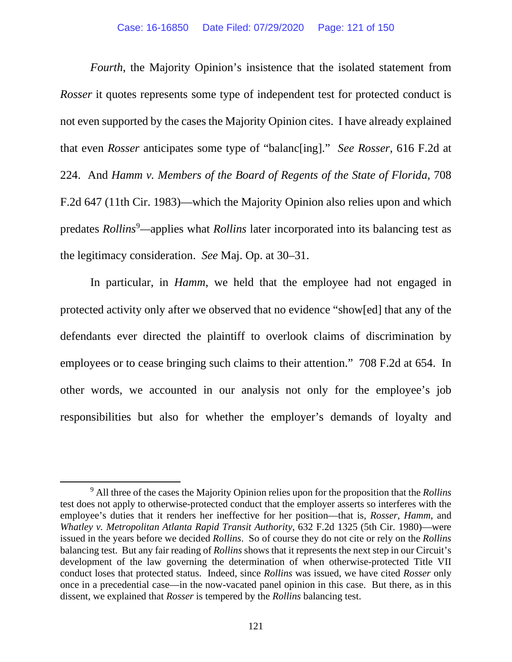*Fourth*, the Majority Opinion's insistence that the isolated statement from *Rosser* it quotes represents some type of independent test for protected conduct is not even supported by the cases the Majority Opinion cites. I have already explained that even *Rosser* anticipates some type of "balanc[ing]." *See Rosser*, 616 F.2d at 224. And *Hamm v. Members of the Board of Regents of the State of Florida*, 708 F.2d 647 (11th Cir. 1983)—which the Majority Opinion also relies upon and which predates *Rollins*<sup>[9](#page-120-0)</sup>—applies what *Rollins* later incorporated into its balancing test as the legitimacy consideration. *See* Maj. Op. at 30–31.

In particular, in *Hamm*, we held that the employee had not engaged in protected activity only after we observed that no evidence "show[ed] that any of the defendants ever directed the plaintiff to overlook claims of discrimination by employees or to cease bringing such claims to their attention." 708 F.2d at 654. In other words, we accounted in our analysis not only for the employee's job responsibilities but also for whether the employer's demands of loyalty and

<span id="page-120-0"></span><sup>9</sup> All three of the cases the Majority Opinion relies upon for the proposition that the *Rollins* test does not apply to otherwise-protected conduct that the employer asserts so interferes with the employee's duties that it renders her ineffective for her position—that is, *Rosser*, *Hamm*, and *Whatley v. Metropolitan Atlanta Rapid Transit Authority*, 632 F.2d 1325 (5th Cir. 1980)—were issued in the years before we decided *Rollins*. So of course they do not cite or rely on the *Rollins* balancing test. But any fair reading of *Rollins* shows that it represents the next step in our Circuit's development of the law governing the determination of when otherwise-protected Title VII conduct loses that protected status. Indeed, since *Rollins* was issued, we have cited *Rosser* only once in a precedential case—in the now-vacated panel opinion in this case. But there, as in this dissent, we explained that *Rosser* is tempered by the *Rollins* balancing test.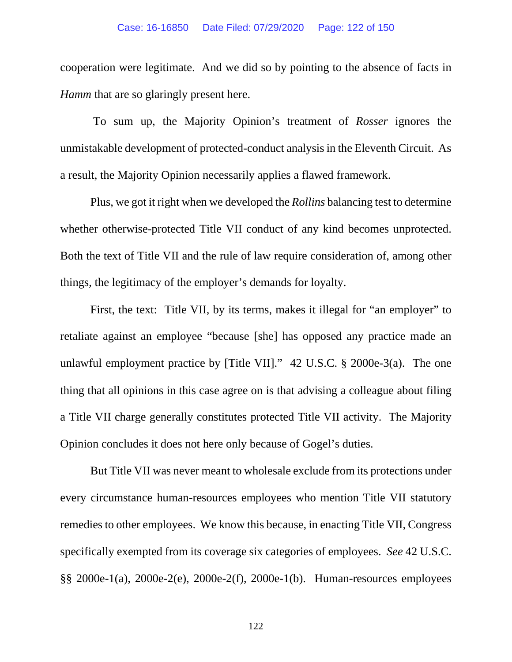### Case: 16-16850 Date Filed: 07/29/2020 Page: 122 of 150

cooperation were legitimate. And we did so by pointing to the absence of facts in *Hamm* that are so glaringly present here.

To sum up, the Majority Opinion's treatment of *Rosser* ignores the unmistakable development of protected-conduct analysis in the Eleventh Circuit. As a result, the Majority Opinion necessarily applies a flawed framework.

Plus, we got it right when we developed the *Rollins* balancing test to determine whether otherwise-protected Title VII conduct of any kind becomes unprotected. Both the text of Title VII and the rule of law require consideration of, among other things, the legitimacy of the employer's demands for loyalty.

First, the text: Title VII, by its terms, makes it illegal for "an employer" to retaliate against an employee "because [she] has opposed any practice made an unlawful employment practice by [Title VII]." 42 U.S.C. § 2000e-3(a). The one thing that all opinions in this case agree on is that advising a colleague about filing a Title VII charge generally constitutes protected Title VII activity. The Majority Opinion concludes it does not here only because of Gogel's duties.

But Title VII was never meant to wholesale exclude from its protections under every circumstance human-resources employees who mention Title VII statutory remedies to other employees. We know this because, in enacting Title VII, Congress specifically exempted from its coverage six categories of employees. *See* 42 U.S.C. §§ 2000e-1(a), 2000e-2(e), 2000e-2(f), 2000e-1(b). Human-resources employees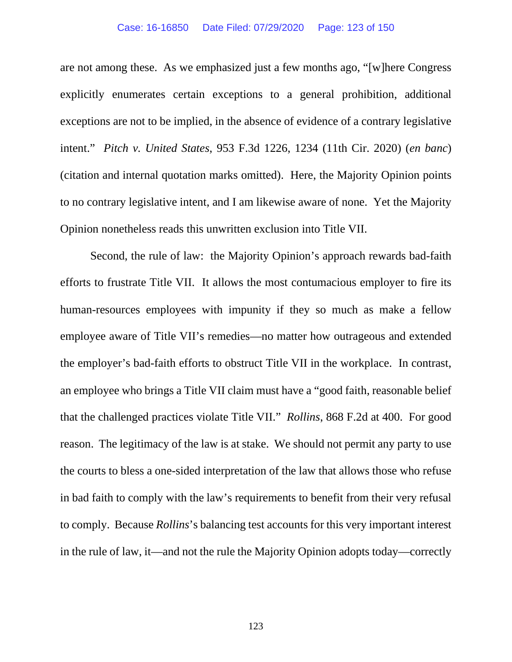### Case: 16-16850 Date Filed: 07/29/2020 Page: 123 of 150

are not among these. As we emphasized just a few months ago, "[w]here Congress explicitly enumerates certain exceptions to a general prohibition, additional exceptions are not to be implied, in the absence of evidence of a contrary legislative intent." *Pitch v. United States*, 953 F.3d 1226, 1234 (11th Cir. 2020) (*en banc*) (citation and internal quotation marks omitted). Here, the Majority Opinion points to no contrary legislative intent, and I am likewise aware of none. Yet the Majority Opinion nonetheless reads this unwritten exclusion into Title VII.

Second, the rule of law: the Majority Opinion's approach rewards bad-faith efforts to frustrate Title VII. It allows the most contumacious employer to fire its human-resources employees with impunity if they so much as make a fellow employee aware of Title VII's remedies—no matter how outrageous and extended the employer's bad-faith efforts to obstruct Title VII in the workplace. In contrast, an employee who brings a Title VII claim must have a "good faith, reasonable belief that the challenged practices violate Title VII." *Rollins*, 868 F.2d at 400. For good reason. The legitimacy of the law is at stake. We should not permit any party to use the courts to bless a one-sided interpretation of the law that allows those who refuse in bad faith to comply with the law's requirements to benefit from their very refusal to comply. Because *Rollins*'s balancing test accounts for this very important interest in the rule of law, it—and not the rule the Majority Opinion adopts today—correctly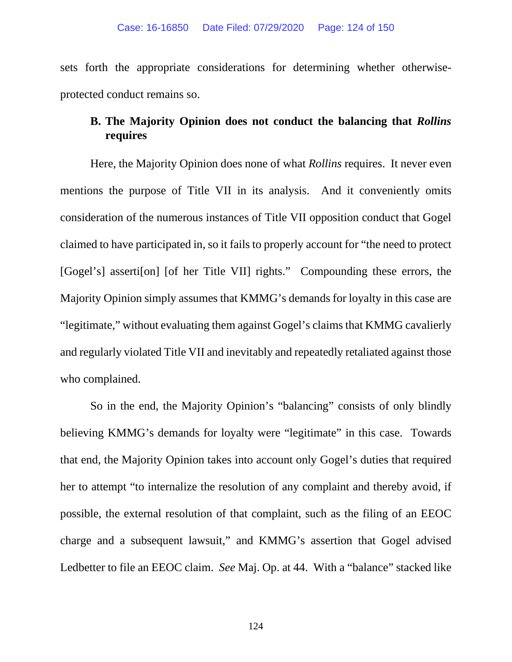sets forth the appropriate considerations for determining whether otherwiseprotected conduct remains so.

## **B. The Majority Opinion does not conduct the balancing that** *Rollins* **requires**

Here, the Majority Opinion does none of what *Rollins* requires. It never even mentions the purpose of Title VII in its analysis. And it conveniently omits consideration of the numerous instances of Title VII opposition conduct that Gogel claimed to have participated in, so it fails to properly account for "the need to protect [Gogel's] asserti[on] [of her Title VII] rights." Compounding these errors, the Majority Opinion simply assumes that KMMG's demands for loyalty in this case are "legitimate," without evaluating them against Gogel's claims that KMMG cavalierly and regularly violated Title VII and inevitably and repeatedly retaliated against those who complained.

So in the end, the Majority Opinion's "balancing" consists of only blindly believing KMMG's demands for loyalty were "legitimate" in this case. Towards that end, the Majority Opinion takes into account only Gogel's duties that required her to attempt "to internalize the resolution of any complaint and thereby avoid, if possible, the external resolution of that complaint, such as the filing of an EEOC charge and a subsequent lawsuit," and KMMG's assertion that Gogel advised Ledbetter to file an EEOC claim. *See* Maj. Op. at 44. With a "balance" stacked like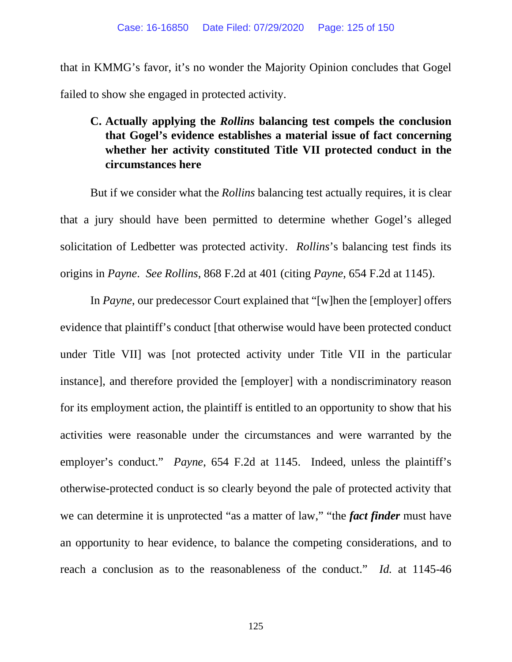that in KMMG's favor, it's no wonder the Majority Opinion concludes that Gogel failed to show she engaged in protected activity.

**C. Actually applying the** *Rollins* **balancing test compels the conclusion that Gogel's evidence establishes a material issue of fact concerning whether her activity constituted Title VII protected conduct in the circumstances here**

But if we consider what the *Rollins* balancing test actually requires, it is clear that a jury should have been permitted to determine whether Gogel's alleged solicitation of Ledbetter was protected activity. *Rollins*'s balancing test finds its origins in *Payne*. *See Rollins*, 868 F.2d at 401 (citing *Payne*, 654 F.2d at 1145).

In *Payne*, our predecessor Court explained that "[w]hen the [employer] offers evidence that plaintiff's conduct [that otherwise would have been protected conduct under Title VII] was [not protected activity under Title VII in the particular instance], and therefore provided the [employer] with a nondiscriminatory reason for its employment action, the plaintiff is entitled to an opportunity to show that his activities were reasonable under the circumstances and were warranted by the employer's conduct." *Payne*, 654 F.2d at 1145. Indeed, unless the plaintiff's otherwise-protected conduct is so clearly beyond the pale of protected activity that we can determine it is unprotected "as a matter of law," "the *fact finder* must have an opportunity to hear evidence, to balance the competing considerations, and to reach a conclusion as to the reasonableness of the conduct." *Id.* at 1145-46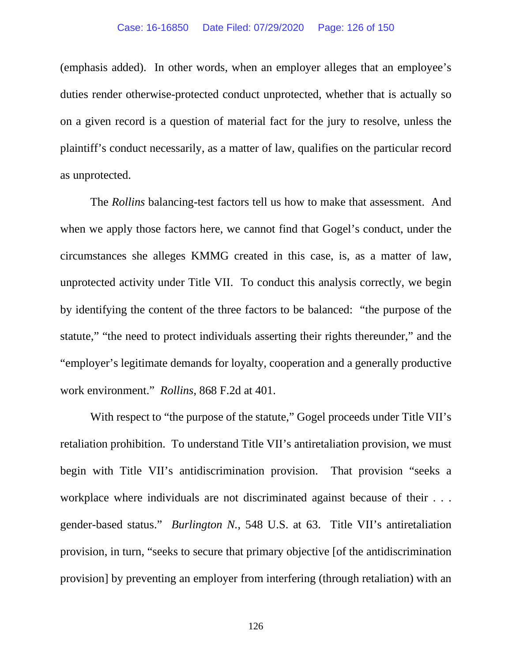(emphasis added). In other words, when an employer alleges that an employee's duties render otherwise-protected conduct unprotected, whether that is actually so on a given record is a question of material fact for the jury to resolve, unless the plaintiff's conduct necessarily, as a matter of law, qualifies on the particular record as unprotected.

The *Rollins* balancing-test factors tell us how to make that assessment. And when we apply those factors here, we cannot find that Gogel's conduct, under the circumstances she alleges KMMG created in this case, is, as a matter of law, unprotected activity under Title VII. To conduct this analysis correctly, we begin by identifying the content of the three factors to be balanced: "the purpose of the statute," "the need to protect individuals asserting their rights thereunder," and the "employer's legitimate demands for loyalty, cooperation and a generally productive work environment." *Rollins*, 868 F.2d at 401.

With respect to "the purpose of the statute," Gogel proceeds under Title VII's retaliation prohibition. To understand Title VII's antiretaliation provision, we must begin with Title VII's antidiscrimination provision. That provision "seeks a workplace where individuals are not discriminated against because of their . . . gender-based status." *Burlington N.*, 548 U.S. at 63. Title VII's antiretaliation provision, in turn, "seeks to secure that primary objective [of the antidiscrimination provision] by preventing an employer from interfering (through retaliation) with an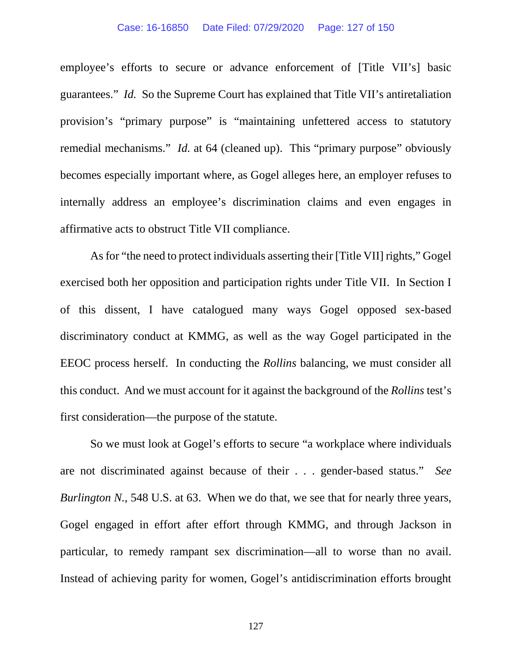### Case: 16-16850 Date Filed: 07/29/2020 Page: 127 of 150

employee's efforts to secure or advance enforcement of [Title VII's] basic guarantees." *Id.* So the Supreme Court has explained that Title VII's antiretaliation provision's "primary purpose" is "maintaining unfettered access to statutory remedial mechanisms." *Id.* at 64 (cleaned up). This "primary purpose" obviously becomes especially important where, as Gogel alleges here, an employer refuses to internally address an employee's discrimination claims and even engages in affirmative acts to obstruct Title VII compliance.

As for "the need to protect individuals asserting their [Title VII] rights," Gogel exercised both her opposition and participation rights under Title VII. In Section I of this dissent, I have catalogued many ways Gogel opposed sex-based discriminatory conduct at KMMG, as well as the way Gogel participated in the EEOC process herself. In conducting the *Rollins* balancing, we must consider all this conduct. And we must account for it against the background of the *Rollins* test's first consideration—the purpose of the statute.

So we must look at Gogel's efforts to secure "a workplace where individuals are not discriminated against because of their . . . gender-based status." *See Burlington N.*, 548 U.S. at 63. When we do that, we see that for nearly three years, Gogel engaged in effort after effort through KMMG, and through Jackson in particular, to remedy rampant sex discrimination—all to worse than no avail. Instead of achieving parity for women, Gogel's antidiscrimination efforts brought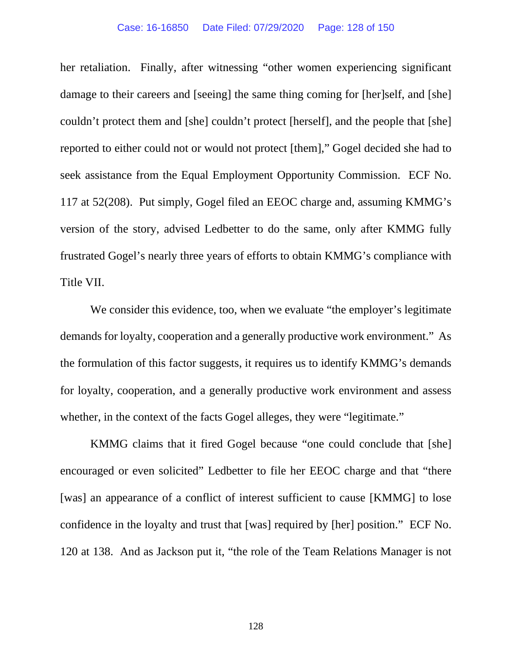her retaliation. Finally, after witnessing "other women experiencing significant damage to their careers and [seeing] the same thing coming for [her]self, and [she] couldn't protect them and [she] couldn't protect [herself], and the people that [she] reported to either could not or would not protect [them]," Gogel decided she had to seek assistance from the Equal Employment Opportunity Commission. ECF No. 117 at 52(208). Put simply, Gogel filed an EEOC charge and, assuming KMMG's version of the story, advised Ledbetter to do the same, only after KMMG fully frustrated Gogel's nearly three years of efforts to obtain KMMG's compliance with Title VII.

We consider this evidence, too, when we evaluate "the employer's legitimate" demands for loyalty, cooperation and a generally productive work environment." As the formulation of this factor suggests, it requires us to identify KMMG's demands for loyalty, cooperation, and a generally productive work environment and assess whether, in the context of the facts Gogel alleges, they were "legitimate."

KMMG claims that it fired Gogel because "one could conclude that [she] encouraged or even solicited" Ledbetter to file her EEOC charge and that "there [was] an appearance of a conflict of interest sufficient to cause [KMMG] to lose confidence in the loyalty and trust that [was] required by [her] position." ECF No. 120 at 138. And as Jackson put it, "the role of the Team Relations Manager is not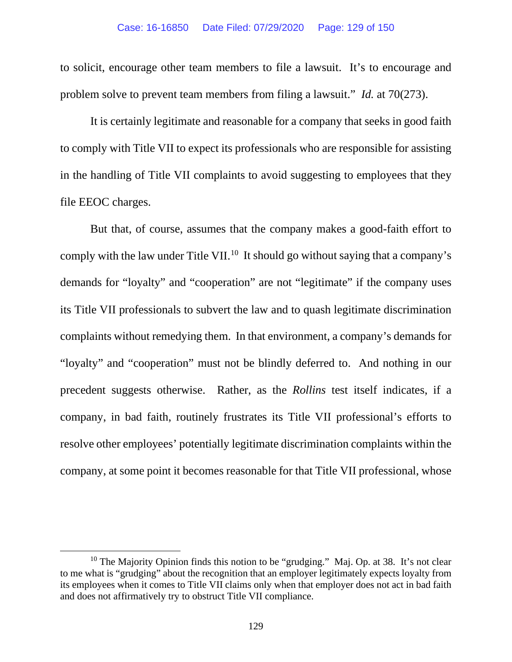to solicit, encourage other team members to file a lawsuit. It's to encourage and problem solve to prevent team members from filing a lawsuit." *Id.* at 70(273).

It is certainly legitimate and reasonable for a company that seeks in good faith to comply with Title VII to expect its professionals who are responsible for assisting in the handling of Title VII complaints to avoid suggesting to employees that they file EEOC charges.

But that, of course, assumes that the company makes a good-faith effort to comply with the law under Title VII.<sup>[10](#page-128-0)</sup> It should go without saying that a company's demands for "loyalty" and "cooperation" are not "legitimate" if the company uses its Title VII professionals to subvert the law and to quash legitimate discrimination complaints without remedying them. In that environment, a company's demands for "loyalty" and "cooperation" must not be blindly deferred to. And nothing in our precedent suggests otherwise. Rather, as the *Rollins* test itself indicates, if a company, in bad faith, routinely frustrates its Title VII professional's efforts to resolve other employees' potentially legitimate discrimination complaints within the company, at some point it becomes reasonable for that Title VII professional, whose

<span id="page-128-0"></span><sup>&</sup>lt;sup>10</sup> The Majority Opinion finds this notion to be "grudging." Maj. Op. at 38. It's not clear to me what is "grudging" about the recognition that an employer legitimately expects loyalty from its employees when it comes to Title VII claims only when that employer does not act in bad faith and does not affirmatively try to obstruct Title VII compliance.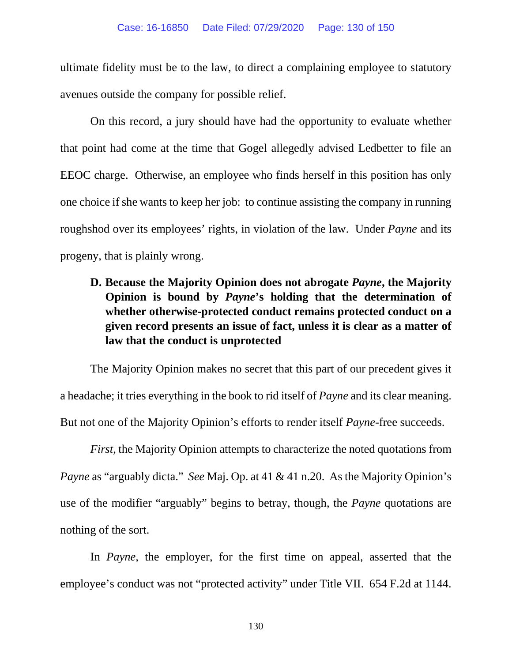ultimate fidelity must be to the law, to direct a complaining employee to statutory avenues outside the company for possible relief.

On this record, a jury should have had the opportunity to evaluate whether that point had come at the time that Gogel allegedly advised Ledbetter to file an EEOC charge. Otherwise, an employee who finds herself in this position has only one choice if she wants to keep her job: to continue assisting the company in running roughshod over its employees' rights, in violation of the law. Under *Payne* and its progeny, that is plainly wrong.

# **D. Because the Majority Opinion does not abrogate** *Payne***, the Majority Opinion is bound by** *Payne***'s holding that the determination of whether otherwise-protected conduct remains protected conduct on a given record presents an issue of fact, unless it is clear as a matter of law that the conduct is unprotected**

The Majority Opinion makes no secret that this part of our precedent gives it a headache; it tries everything in the book to rid itself of *Payne* and its clear meaning. But not one of the Majority Opinion's efforts to render itself *Payne-*free succeeds.

*First*, the Majority Opinion attempts to characterize the noted quotations from *Payne* as "arguably dicta." *See* Maj. Op. at 41 & 41 n.20. As the Majority Opinion's use of the modifier "arguably" begins to betray, though, the *Payne* quotations are nothing of the sort.

In *Payne*, the employer, for the first time on appeal, asserted that the employee's conduct was not "protected activity" under Title VII. 654 F.2d at 1144.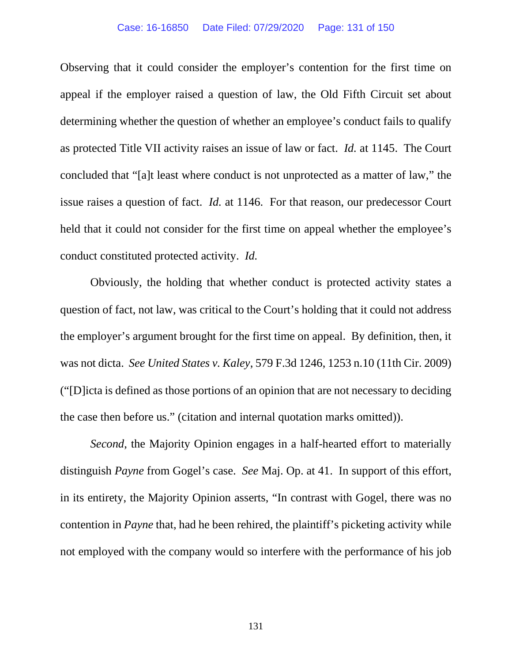### Case: 16-16850 Date Filed: 07/29/2020 Page: 131 of 150

Observing that it could consider the employer's contention for the first time on appeal if the employer raised a question of law, the Old Fifth Circuit set about determining whether the question of whether an employee's conduct fails to qualify as protected Title VII activity raises an issue of law or fact. *Id.* at 1145. The Court concluded that "[a]t least where conduct is not unprotected as a matter of law," the issue raises a question of fact. *Id.* at 1146. For that reason, our predecessor Court held that it could not consider for the first time on appeal whether the employee's conduct constituted protected activity. *Id.*

Obviously, the holding that whether conduct is protected activity states a question of fact, not law, was critical to the Court's holding that it could not address the employer's argument brought for the first time on appeal. By definition, then, it was not dicta. *See United States v. Kaley*, 579 F.3d 1246, 1253 n.10 (11th Cir. 2009) ("[D]icta is defined as those portions of an opinion that are not necessary to deciding the case then before us." (citation and internal quotation marks omitted)).

*Second*, the Majority Opinion engages in a half-hearted effort to materially distinguish *Payne* from Gogel's case. *See* Maj. Op. at 41. In support of this effort, in its entirety, the Majority Opinion asserts, "In contrast with Gogel, there was no contention in *Payne* that, had he been rehired, the plaintiff's picketing activity while not employed with the company would so interfere with the performance of his job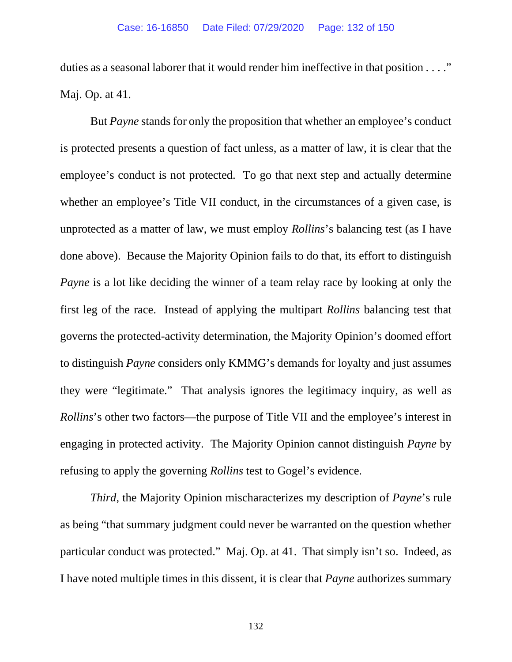duties as a seasonal laborer that it would render him ineffective in that position . . . ." Maj. Op. at 41.

But *Payne* stands for only the proposition that whether an employee's conduct is protected presents a question of fact unless, as a matter of law, it is clear that the employee's conduct is not protected. To go that next step and actually determine whether an employee's Title VII conduct, in the circumstances of a given case, is unprotected as a matter of law, we must employ *Rollins*'s balancing test (as I have done above). Because the Majority Opinion fails to do that, its effort to distinguish *Payne* is a lot like deciding the winner of a team relay race by looking at only the first leg of the race. Instead of applying the multipart *Rollins* balancing test that governs the protected-activity determination, the Majority Opinion's doomed effort to distinguish *Payne* considers only KMMG's demands for loyalty and just assumes they were "legitimate." That analysis ignores the legitimacy inquiry, as well as *Rollins*'s other two factors—the purpose of Title VII and the employee's interest in engaging in protected activity. The Majority Opinion cannot distinguish *Payne* by refusing to apply the governing *Rollins* test to Gogel's evidence.

*Third*, the Majority Opinion mischaracterizes my description of *Payne*'s rule as being "that summary judgment could never be warranted on the question whether particular conduct was protected." Maj. Op. at 41. That simply isn't so. Indeed, as I have noted multiple times in this dissent, it is clear that *Payne* authorizes summary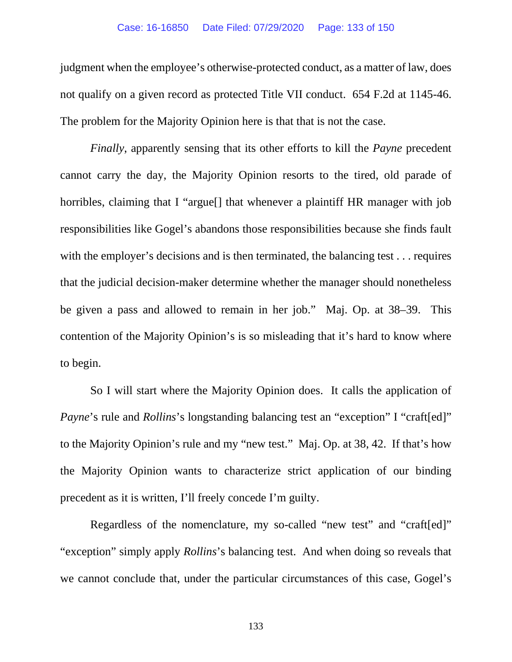### Case: 16-16850 Date Filed: 07/29/2020 Page: 133 of 150

judgment when the employee's otherwise-protected conduct, as a matter of law, does not qualify on a given record as protected Title VII conduct. 654 F.2d at 1145-46. The problem for the Majority Opinion here is that that is not the case.

*Finally*, apparently sensing that its other efforts to kill the *Payne* precedent cannot carry the day, the Majority Opinion resorts to the tired, old parade of horribles, claiming that I "argue<sup>[]</sup> that whenever a plaintiff HR manager with job responsibilities like Gogel's abandons those responsibilities because she finds fault with the employer's decisions and is then terminated, the balancing test . . . requires that the judicial decision-maker determine whether the manager should nonetheless be given a pass and allowed to remain in her job." Maj. Op. at 38–39. This contention of the Majority Opinion's is so misleading that it's hard to know where to begin.

So I will start where the Majority Opinion does. It calls the application of *Payne*'s rule and *Rollins*'s longstanding balancing test an "exception" I "craft[ed]" to the Majority Opinion's rule and my "new test." Maj. Op. at 38, 42. If that's how the Majority Opinion wants to characterize strict application of our binding precedent as it is written, I'll freely concede I'm guilty.

Regardless of the nomenclature, my so-called "new test" and "craft[ed]" "exception" simply apply *Rollins*'s balancing test. And when doing so reveals that we cannot conclude that, under the particular circumstances of this case, Gogel's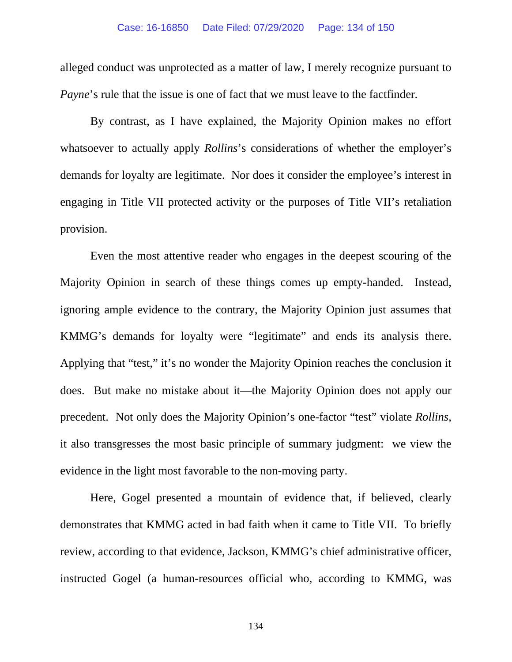alleged conduct was unprotected as a matter of law, I merely recognize pursuant to *Payne*'s rule that the issue is one of fact that we must leave to the factfinder.

By contrast, as I have explained, the Majority Opinion makes no effort whatsoever to actually apply *Rollins*'s considerations of whether the employer's demands for loyalty are legitimate. Nor does it consider the employee's interest in engaging in Title VII protected activity or the purposes of Title VII's retaliation provision.

Even the most attentive reader who engages in the deepest scouring of the Majority Opinion in search of these things comes up empty-handed. Instead, ignoring ample evidence to the contrary, the Majority Opinion just assumes that KMMG's demands for loyalty were "legitimate" and ends its analysis there. Applying that "test," it's no wonder the Majority Opinion reaches the conclusion it does. But make no mistake about it—the Majority Opinion does not apply our precedent. Not only does the Majority Opinion's one-factor "test" violate *Rollins*, it also transgresses the most basic principle of summary judgment: we view the evidence in the light most favorable to the non-moving party.

Here, Gogel presented a mountain of evidence that, if believed, clearly demonstrates that KMMG acted in bad faith when it came to Title VII. To briefly review, according to that evidence, Jackson, KMMG's chief administrative officer, instructed Gogel (a human-resources official who, according to KMMG, was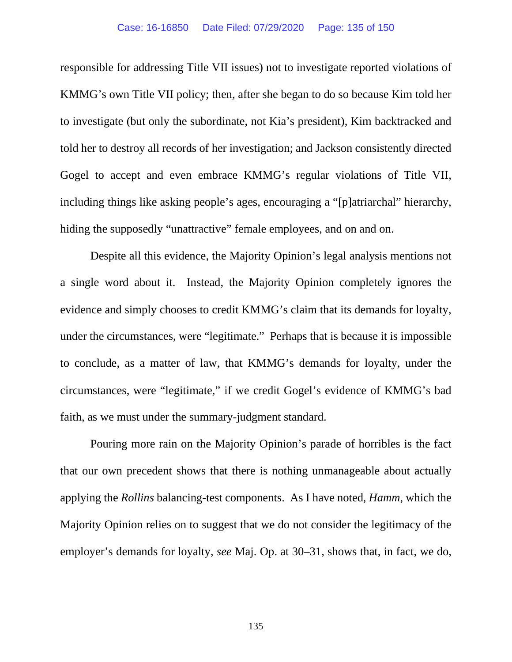responsible for addressing Title VII issues) not to investigate reported violations of KMMG's own Title VII policy; then, after she began to do so because Kim told her to investigate (but only the subordinate, not Kia's president), Kim backtracked and told her to destroy all records of her investigation; and Jackson consistently directed Gogel to accept and even embrace KMMG's regular violations of Title VII, including things like asking people's ages, encouraging a "[p]atriarchal" hierarchy, hiding the supposedly "unattractive" female employees, and on and on.

Despite all this evidence, the Majority Opinion's legal analysis mentions not a single word about it. Instead, the Majority Opinion completely ignores the evidence and simply chooses to credit KMMG's claim that its demands for loyalty, under the circumstances, were "legitimate." Perhaps that is because it is impossible to conclude, as a matter of law, that KMMG's demands for loyalty, under the circumstances, were "legitimate," if we credit Gogel's evidence of KMMG's bad faith, as we must under the summary-judgment standard.

Pouring more rain on the Majority Opinion's parade of horribles is the fact that our own precedent shows that there is nothing unmanageable about actually applying the *Rollins* balancing-test components. As I have noted, *Hamm*, which the Majority Opinion relies on to suggest that we do not consider the legitimacy of the employer's demands for loyalty, *see* Maj. Op. at 30–31, shows that, in fact, we do,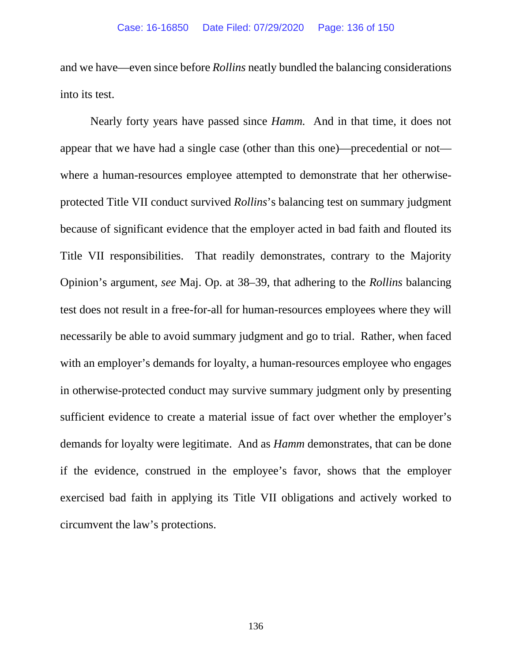and we have—even since before *Rollins* neatly bundled the balancing considerations into its test.

Nearly forty years have passed since *Hamm.* And in that time, it does not appear that we have had a single case (other than this one)—precedential or not where a human-resources employee attempted to demonstrate that her otherwiseprotected Title VII conduct survived *Rollins*'s balancing test on summary judgment because of significant evidence that the employer acted in bad faith and flouted its Title VII responsibilities. That readily demonstrates, contrary to the Majority Opinion's argument, *see* Maj. Op. at 38–39, that adhering to the *Rollins* balancing test does not result in a free-for-all for human-resources employees where they will necessarily be able to avoid summary judgment and go to trial. Rather, when faced with an employer's demands for loyalty, a human-resources employee who engages in otherwise-protected conduct may survive summary judgment only by presenting sufficient evidence to create a material issue of fact over whether the employer's demands for loyalty were legitimate. And as *Hamm* demonstrates, that can be done if the evidence, construed in the employee's favor, shows that the employer exercised bad faith in applying its Title VII obligations and actively worked to circumvent the law's protections.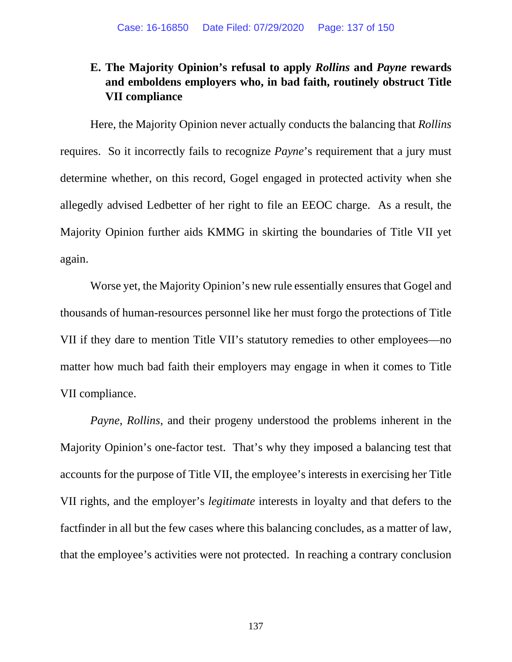# **E. The Majority Opinion's refusal to apply** *Rollins* **and** *Payne* **rewards and emboldens employers who, in bad faith, routinely obstruct Title VII compliance**

Here, the Majority Opinion never actually conducts the balancing that *Rollins* requires. So it incorrectly fails to recognize *Payne*'s requirement that a jury must determine whether, on this record, Gogel engaged in protected activity when she allegedly advised Ledbetter of her right to file an EEOC charge. As a result, the Majority Opinion further aids KMMG in skirting the boundaries of Title VII yet again.

Worse yet, the Majority Opinion's new rule essentially ensures that Gogel and thousands of human-resources personnel like her must forgo the protections of Title VII if they dare to mention Title VII's statutory remedies to other employees—no matter how much bad faith their employers may engage in when it comes to Title VII compliance.

*Payne*, *Rollins*, and their progeny understood the problems inherent in the Majority Opinion's one-factor test. That's why they imposed a balancing test that accounts for the purpose of Title VII, the employee's interests in exercising her Title VII rights, and the employer's *legitimate* interests in loyalty and that defers to the factfinder in all but the few cases where this balancing concludes, as a matter of law, that the employee's activities were not protected. In reaching a contrary conclusion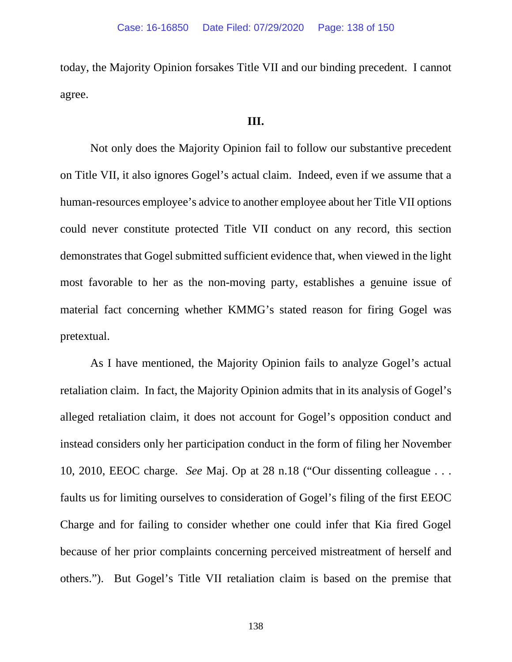today, the Majority Opinion forsakes Title VII and our binding precedent. I cannot agree.

### **III.**

Not only does the Majority Opinion fail to follow our substantive precedent on Title VII, it also ignores Gogel's actual claim. Indeed, even if we assume that a human-resources employee's advice to another employee about her Title VII options could never constitute protected Title VII conduct on any record, this section demonstrates that Gogel submitted sufficient evidence that, when viewed in the light most favorable to her as the non-moving party, establishes a genuine issue of material fact concerning whether KMMG's stated reason for firing Gogel was pretextual.

As I have mentioned, the Majority Opinion fails to analyze Gogel's actual retaliation claim. In fact, the Majority Opinion admits that in its analysis of Gogel's alleged retaliation claim, it does not account for Gogel's opposition conduct and instead considers only her participation conduct in the form of filing her November 10, 2010, EEOC charge. *See* Maj. Op at 28 n.18 ("Our dissenting colleague . . . faults us for limiting ourselves to consideration of Gogel's filing of the first EEOC Charge and for failing to consider whether one could infer that Kia fired Gogel because of her prior complaints concerning perceived mistreatment of herself and others."). But Gogel's Title VII retaliation claim is based on the premise that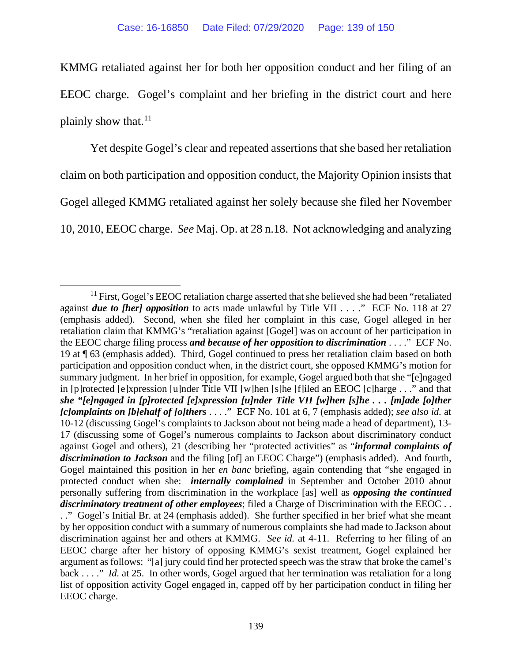KMMG retaliated against her for both her opposition conduct and her filing of an EEOC charge. Gogel's complaint and her briefing in the district court and here plainly show that. $11$ 

Yet despite Gogel's clear and repeated assertions that she based her retaliation claim on both participation and opposition conduct, the Majority Opinion insists that Gogel alleged KMMG retaliated against her solely because she filed her November 10, 2010, EEOC charge. *See* Maj. Op. at 28 n.18. Not acknowledging and analyzing

<span id="page-138-0"></span> $11$  First, Gogel's EEOC retaliation charge asserted that she believed she had been "retaliated" against *due to [her] opposition* to acts made unlawful by Title VII . . . ." ECF No. 118 at 27 (emphasis added). Second, when she filed her complaint in this case, Gogel alleged in her retaliation claim that KMMG's "retaliation against [Gogel] was on account of her participation in the EEOC charge filing process *and because of her opposition to discrimination* . . . ." ECF No. 19 at ¶ 63 (emphasis added). Third, Gogel continued to press her retaliation claim based on both participation and opposition conduct when, in the district court, she opposed KMMG's motion for summary judgment. In her brief in opposition, for example, Gogel argued both that she "[e]ngaged in [p]rotected [e]xpression [u]nder Title VII [w]hen [s]he [f]iled an EEOC [c]harge . . ." and that *she "[e]ngaged in [p]rotected [e]xpression [u]nder Title VII [w]hen [s]he . . . [m]ade [o]ther [c]omplaints on [b]ehalf of [o]thers* . . . ." ECF No. 101 at 6, 7 (emphasis added); *see also id.* at 10-12 (discussing Gogel's complaints to Jackson about not being made a head of department), 13- 17 (discussing some of Gogel's numerous complaints to Jackson about discriminatory conduct against Gogel and others), 21 (describing her "protected activities" as "*informal complaints of discrimination to Jackson* and the filing [of] an EEOC Charge") (emphasis added). And fourth, Gogel maintained this position in her *en banc* briefing, again contending that "she engaged in protected conduct when she: *internally complained* in September and October 2010 about personally suffering from discrimination in the workplace [as] well as *opposing the continued discriminatory treatment of other employees*; filed a Charge of Discrimination with the EEOC . . . ." Gogel's Initial Br. at 24 (emphasis added). She further specified in her brief what she meant by her opposition conduct with a summary of numerous complaints she had made to Jackson about discrimination against her and others at KMMG. *See id.* at 4-11. Referring to her filing of an EEOC charge after her history of opposing KMMG's sexist treatment, Gogel explained her argument as follows: "[a] jury could find her protected speech was the straw that broke the camel's back . . . ." *Id.* at 25. In other words, Gogel argued that her termination was retaliation for a long list of opposition activity Gogel engaged in, capped off by her participation conduct in filing her EEOC charge.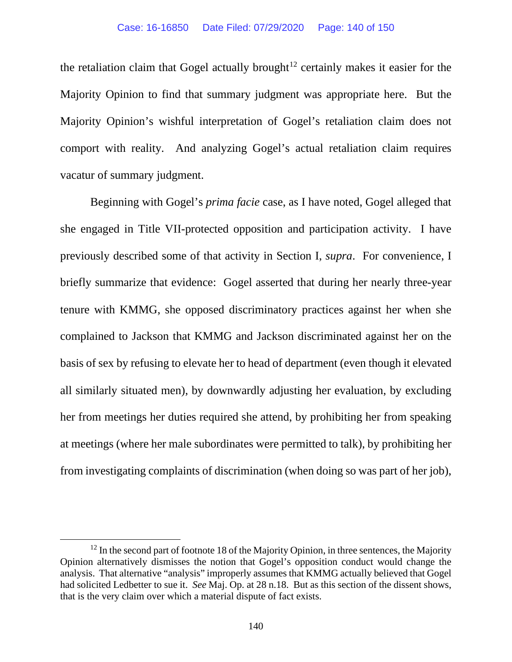the retaliation claim that Gogel actually brought<sup>[12](#page-139-0)</sup> certainly makes it easier for the Majority Opinion to find that summary judgment was appropriate here. But the Majority Opinion's wishful interpretation of Gogel's retaliation claim does not comport with reality. And analyzing Gogel's actual retaliation claim requires vacatur of summary judgment.

Beginning with Gogel's *prima facie* case, as I have noted, Gogel alleged that she engaged in Title VII-protected opposition and participation activity. I have previously described some of that activity in Section I, *supra*. For convenience, I briefly summarize that evidence: Gogel asserted that during her nearly three-year tenure with KMMG, she opposed discriminatory practices against her when she complained to Jackson that KMMG and Jackson discriminated against her on the basis of sex by refusing to elevate her to head of department (even though it elevated all similarly situated men), by downwardly adjusting her evaluation, by excluding her from meetings her duties required she attend, by prohibiting her from speaking at meetings (where her male subordinates were permitted to talk), by prohibiting her from investigating complaints of discrimination (when doing so was part of her job),

<span id="page-139-0"></span> $12$  In the second part of footnote 18 of the Majority Opinion, in three sentences, the Majority Opinion alternatively dismisses the notion that Gogel's opposition conduct would change the analysis. That alternative "analysis" improperly assumes that KMMG actually believed that Gogel had solicited Ledbetter to sue it. *See* Maj. Op. at 28 n.18. But as this section of the dissent shows, that is the very claim over which a material dispute of fact exists.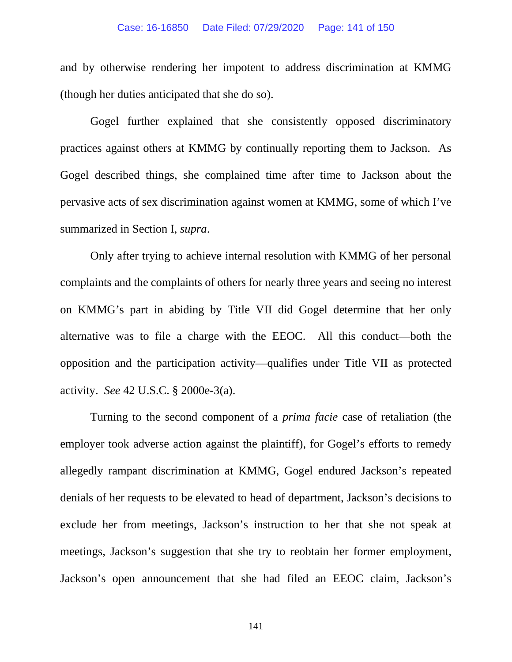### Case: 16-16850 Date Filed: 07/29/2020 Page: 141 of 150

and by otherwise rendering her impotent to address discrimination at KMMG (though her duties anticipated that she do so).

Gogel further explained that she consistently opposed discriminatory practices against others at KMMG by continually reporting them to Jackson. As Gogel described things, she complained time after time to Jackson about the pervasive acts of sex discrimination against women at KMMG, some of which I've summarized in Section I, *supra*.

Only after trying to achieve internal resolution with KMMG of her personal complaints and the complaints of others for nearly three years and seeing no interest on KMMG's part in abiding by Title VII did Gogel determine that her only alternative was to file a charge with the EEOC. All this conduct—both the opposition and the participation activity—qualifies under Title VII as protected activity. *See* 42 U.S.C. § 2000e-3(a).

Turning to the second component of a *prima facie* case of retaliation (the employer took adverse action against the plaintiff), for Gogel's efforts to remedy allegedly rampant discrimination at KMMG, Gogel endured Jackson's repeated denials of her requests to be elevated to head of department, Jackson's decisions to exclude her from meetings, Jackson's instruction to her that she not speak at meetings, Jackson's suggestion that she try to reobtain her former employment, Jackson's open announcement that she had filed an EEOC claim, Jackson's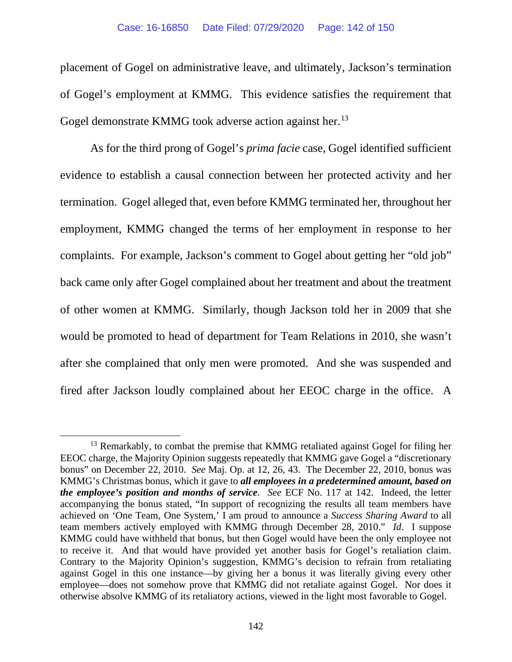placement of Gogel on administrative leave, and ultimately, Jackson's termination of Gogel's employment at KMMG. This evidence satisfies the requirement that Gogel demonstrate KMMG took adverse action against her.<sup>[13](#page-141-0)</sup>

As for the third prong of Gogel's *prima facie* case, Gogel identified sufficient evidence to establish a causal connection between her protected activity and her termination. Gogel alleged that, even before KMMG terminated her, throughout her employment, KMMG changed the terms of her employment in response to her complaints. For example, Jackson's comment to Gogel about getting her "old job" back came only after Gogel complained about her treatment and about the treatment of other women at KMMG. Similarly, though Jackson told her in 2009 that she would be promoted to head of department for Team Relations in 2010, she wasn't after she complained that only men were promoted. And she was suspended and fired after Jackson loudly complained about her EEOC charge in the office. A

<span id="page-141-0"></span><sup>&</sup>lt;sup>13</sup> Remarkably, to combat the premise that KMMG retaliated against Gogel for filing her EEOC charge, the Majority Opinion suggests repeatedly that KMMG gave Gogel a "discretionary bonus" on December 22, 2010. *See* Maj. Op. at 12, 26, 43. The December 22, 2010, bonus was KMMG's Christmas bonus, which it gave to *all employees in a predetermined amount, based on the employee's position and months of service*. *See* ECF No. 117 at 142. Indeed, the letter accompanying the bonus stated, "In support of recognizing the results all team members have achieved on 'One Team, One System,' I am proud to announce a *Success Sharing Award* to all team members actively employed with KMMG through December 28, 2010." *Id*. I suppose KMMG could have withheld that bonus, but then Gogel would have been the only employee not to receive it. And that would have provided yet another basis for Gogel's retaliation claim. Contrary to the Majority Opinion's suggestion, KMMG's decision to refrain from retaliating against Gogel in this one instance—by giving her a bonus it was literally giving every other employee—does not somehow prove that KMMG did not retaliate against Gogel. Nor does it otherwise absolve KMMG of its retaliatory actions, viewed in the light most favorable to Gogel.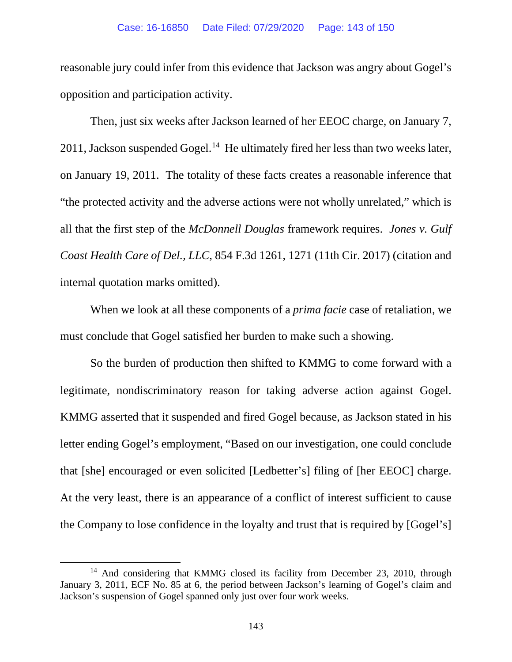reasonable jury could infer from this evidence that Jackson was angry about Gogel's opposition and participation activity.

Then, just six weeks after Jackson learned of her EEOC charge, on January 7, 2011, Jackson suspended Gogel.<sup>14</sup> He ultimately fired her less than two weeks later, on January 19, 2011. The totality of these facts creates a reasonable inference that "the protected activity and the adverse actions were not wholly unrelated," which is all that the first step of the *McDonnell Douglas* framework requires. *Jones v. Gulf Coast Health Care of Del., LLC*, 854 F.3d 1261, 1271 (11th Cir. 2017) (citation and internal quotation marks omitted).

When we look at all these components of a *prima facie* case of retaliation, we must conclude that Gogel satisfied her burden to make such a showing.

So the burden of production then shifted to KMMG to come forward with a legitimate, nondiscriminatory reason for taking adverse action against Gogel. KMMG asserted that it suspended and fired Gogel because, as Jackson stated in his letter ending Gogel's employment, "Based on our investigation, one could conclude that [she] encouraged or even solicited [Ledbetter's] filing of [her EEOC] charge. At the very least, there is an appearance of a conflict of interest sufficient to cause the Company to lose confidence in the loyalty and trust that is required by [Gogel's]

<span id="page-142-0"></span><sup>&</sup>lt;sup>14</sup> And considering that KMMG closed its facility from December 23, 2010, through January 3, 2011, ECF No. 85 at 6, the period between Jackson's learning of Gogel's claim and Jackson's suspension of Gogel spanned only just over four work weeks.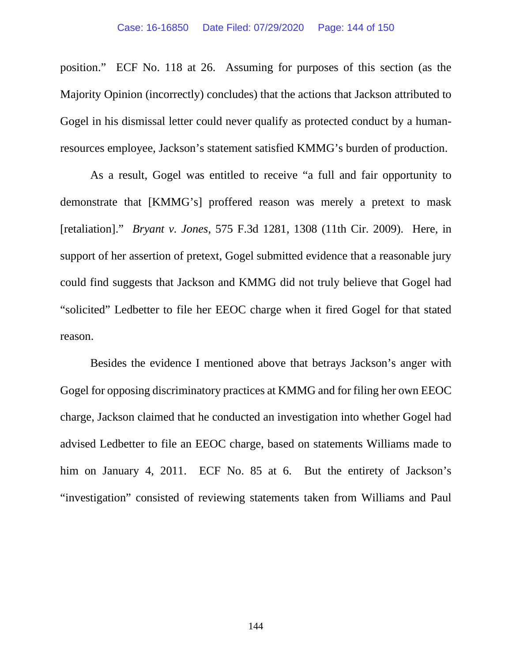position." ECF No. 118 at 26. Assuming for purposes of this section (as the Majority Opinion (incorrectly) concludes) that the actions that Jackson attributed to Gogel in his dismissal letter could never qualify as protected conduct by a humanresources employee, Jackson's statement satisfied KMMG's burden of production.

As a result, Gogel was entitled to receive "a full and fair opportunity to demonstrate that [KMMG's] proffered reason was merely a pretext to mask [retaliation]." *Bryant v. Jones*, 575 F.3d 1281, 1308 (11th Cir. 2009). Here, in support of her assertion of pretext, Gogel submitted evidence that a reasonable jury could find suggests that Jackson and KMMG did not truly believe that Gogel had "solicited" Ledbetter to file her EEOC charge when it fired Gogel for that stated reason.

Besides the evidence I mentioned above that betrays Jackson's anger with Gogel for opposing discriminatory practices at KMMG and for filing her own EEOC charge, Jackson claimed that he conducted an investigation into whether Gogel had advised Ledbetter to file an EEOC charge, based on statements Williams made to him on January 4, 2011. ECF No. 85 at 6. But the entirety of Jackson's "investigation" consisted of reviewing statements taken from Williams and Paul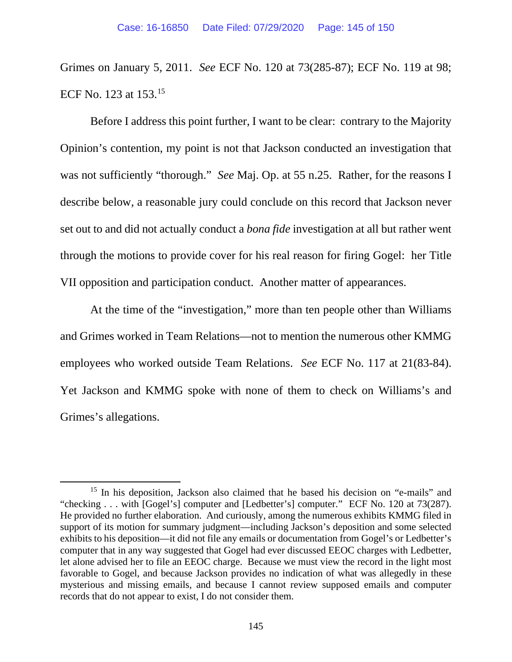Grimes on January 5, 2011. *See* ECF No. 120 at 73(285-87); ECF No. 119 at 98; ECF No. 123 at 153[.15](#page-144-0) 

Before I address this point further, I want to be clear: contrary to the Majority Opinion's contention, my point is not that Jackson conducted an investigation that was not sufficiently "thorough." *See* Maj. Op. at 55 n.25. Rather, for the reasons I describe below, a reasonable jury could conclude on this record that Jackson never set out to and did not actually conduct a *bona fide* investigation at all but rather went through the motions to provide cover for his real reason for firing Gogel: her Title VII opposition and participation conduct. Another matter of appearances.

At the time of the "investigation," more than ten people other than Williams and Grimes worked in Team Relations—not to mention the numerous other KMMG employees who worked outside Team Relations. *See* ECF No. 117 at 21(83-84). Yet Jackson and KMMG spoke with none of them to check on Williams's and Grimes's allegations.

<span id="page-144-0"></span><sup>&</sup>lt;sup>15</sup> In his deposition, Jackson also claimed that he based his decision on "e-mails" and "checking . . . with [Gogel's] computer and [Ledbetter's] computer." ECF No. 120 at 73(287). He provided no further elaboration. And curiously, among the numerous exhibits KMMG filed in support of its motion for summary judgment—including Jackson's deposition and some selected exhibits to his deposition—it did not file any emails or documentation from Gogel's or Ledbetter's computer that in any way suggested that Gogel had ever discussed EEOC charges with Ledbetter, let alone advised her to file an EEOC charge. Because we must view the record in the light most favorable to Gogel, and because Jackson provides no indication of what was allegedly in these mysterious and missing emails, and because I cannot review supposed emails and computer records that do not appear to exist, I do not consider them.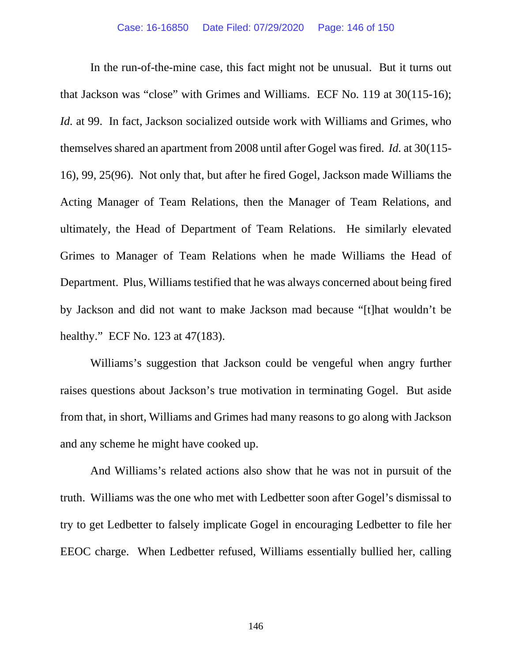In the run-of-the-mine case, this fact might not be unusual. But it turns out that Jackson was "close" with Grimes and Williams. ECF No. 119 at 30(115-16); *Id.* at 99. In fact, Jackson socialized outside work with Williams and Grimes, who themselves shared an apartment from 2008 until after Gogel was fired. *Id.* at 30(115- 16), 99, 25(96). Not only that, but after he fired Gogel, Jackson made Williams the Acting Manager of Team Relations, then the Manager of Team Relations, and ultimately, the Head of Department of Team Relations. He similarly elevated Grimes to Manager of Team Relations when he made Williams the Head of Department. Plus, Williams testified that he was always concerned about being fired by Jackson and did not want to make Jackson mad because "[t]hat wouldn't be healthy." ECF No. 123 at 47(183).

Williams's suggestion that Jackson could be vengeful when angry further raises questions about Jackson's true motivation in terminating Gogel. But aside from that, in short, Williams and Grimes had many reasons to go along with Jackson and any scheme he might have cooked up.

And Williams's related actions also show that he was not in pursuit of the truth. Williams was the one who met with Ledbetter soon after Gogel's dismissal to try to get Ledbetter to falsely implicate Gogel in encouraging Ledbetter to file her EEOC charge. When Ledbetter refused, Williams essentially bullied her, calling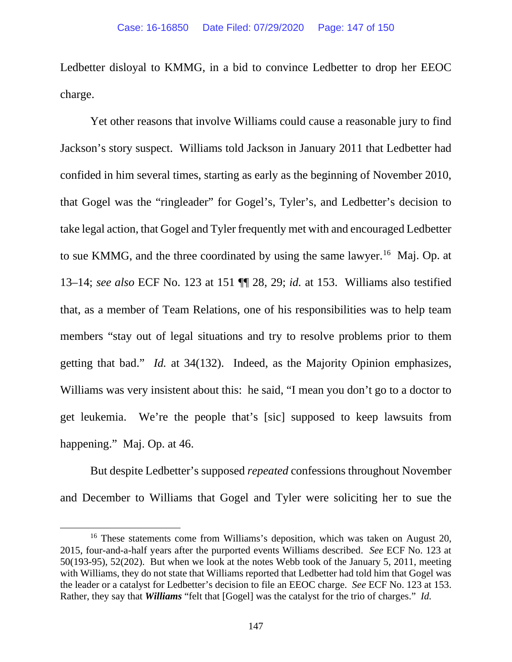Ledbetter disloyal to KMMG, in a bid to convince Ledbetter to drop her EEOC charge.

Yet other reasons that involve Williams could cause a reasonable jury to find Jackson's story suspect. Williams told Jackson in January 2011 that Ledbetter had confided in him several times, starting as early as the beginning of November 2010, that Gogel was the "ringleader" for Gogel's, Tyler's, and Ledbetter's decision to take legal action, that Gogel and Tyler frequently met with and encouraged Ledbetter to sue KMMG, and the three coordinated by using the same lawyer.<sup>[16](#page-146-0)</sup> Maj. Op. at 13–14; *see also* ECF No. 123 at 151 ¶¶ 28, 29; *id.* at 153. Williams also testified that, as a member of Team Relations, one of his responsibilities was to help team members "stay out of legal situations and try to resolve problems prior to them getting that bad." *Id.* at 34(132). Indeed, as the Majority Opinion emphasizes, Williams was very insistent about this: he said, "I mean you don't go to a doctor to get leukemia. We're the people that's [sic] supposed to keep lawsuits from happening." Maj. Op. at 46.

But despite Ledbetter's supposed *repeated* confessions throughout November and December to Williams that Gogel and Tyler were soliciting her to sue the

<span id="page-146-0"></span><sup>&</sup>lt;sup>16</sup> These statements come from Williams's deposition, which was taken on August 20, 2015, four-and-a-half years after the purported events Williams described. *See* ECF No. 123 at 50(193-95), 52(202). But when we look at the notes Webb took of the January 5, 2011, meeting with Williams, they do not state that Williams reported that Ledbetter had told him that Gogel was the leader or a catalyst for Ledbetter's decision to file an EEOC charge. *See* ECF No. 123 at 153. Rather, they say that *Williams* "felt that [Gogel] was the catalyst for the trio of charges." *Id.*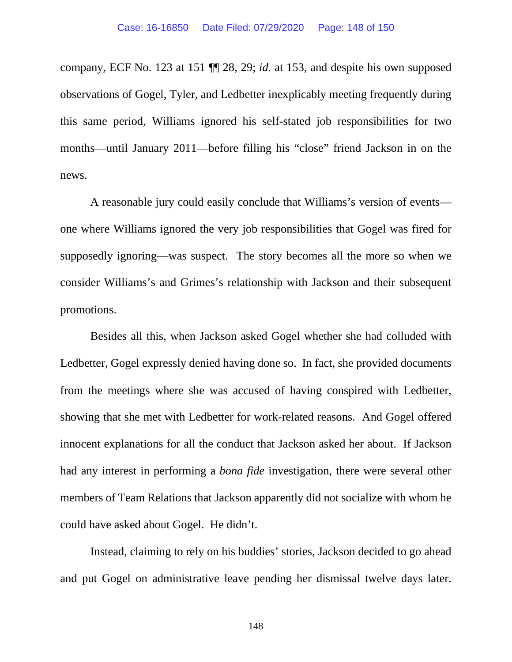company, ECF No. 123 at 151 ¶¶ 28, 29; *id.* at 153, and despite his own supposed observations of Gogel, Tyler, and Ledbetter inexplicably meeting frequently during this same period, Williams ignored his self-stated job responsibilities for two months—until January 2011—before filling his "close" friend Jackson in on the news.

A reasonable jury could easily conclude that Williams's version of events one where Williams ignored the very job responsibilities that Gogel was fired for supposedly ignoring—was suspect. The story becomes all the more so when we consider Williams's and Grimes's relationship with Jackson and their subsequent promotions.

Besides all this, when Jackson asked Gogel whether she had colluded with Ledbetter, Gogel expressly denied having done so. In fact, she provided documents from the meetings where she was accused of having conspired with Ledbetter, showing that she met with Ledbetter for work-related reasons. And Gogel offered innocent explanations for all the conduct that Jackson asked her about. If Jackson had any interest in performing a *bona fide* investigation, there were several other members of Team Relations that Jackson apparently did not socialize with whom he could have asked about Gogel. He didn't.

Instead, claiming to rely on his buddies' stories, Jackson decided to go ahead and put Gogel on administrative leave pending her dismissal twelve days later.

148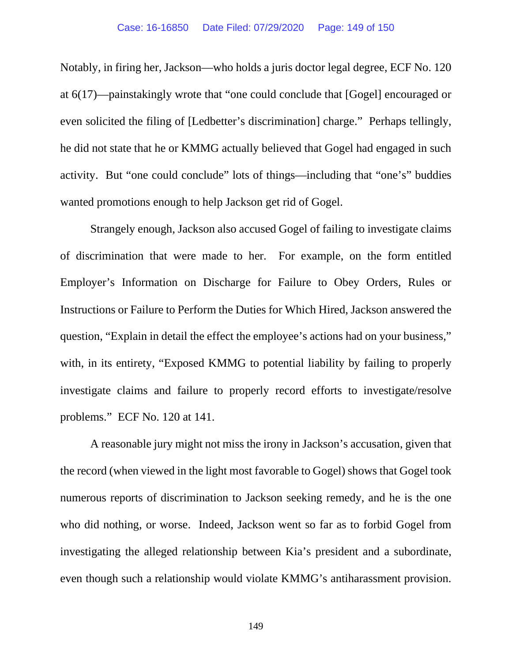## Case: 16-16850 Date Filed: 07/29/2020 Page: 149 of 150

Notably, in firing her, Jackson—who holds a juris doctor legal degree, ECF No. 120 at 6(17)—painstakingly wrote that "one could conclude that [Gogel] encouraged or even solicited the filing of [Ledbetter's discrimination] charge." Perhaps tellingly, he did not state that he or KMMG actually believed that Gogel had engaged in such activity. But "one could conclude" lots of things—including that "one's" buddies wanted promotions enough to help Jackson get rid of Gogel.

Strangely enough, Jackson also accused Gogel of failing to investigate claims of discrimination that were made to her. For example, on the form entitled Employer's Information on Discharge for Failure to Obey Orders, Rules or Instructions or Failure to Perform the Duties for Which Hired, Jackson answered the question, "Explain in detail the effect the employee's actions had on your business," with, in its entirety, "Exposed KMMG to potential liability by failing to properly investigate claims and failure to properly record efforts to investigate/resolve problems." ECF No. 120 at 141.

A reasonable jury might not miss the irony in Jackson's accusation, given that the record (when viewed in the light most favorable to Gogel) shows that Gogel took numerous reports of discrimination to Jackson seeking remedy, and he is the one who did nothing, or worse. Indeed, Jackson went so far as to forbid Gogel from investigating the alleged relationship between Kia's president and a subordinate, even though such a relationship would violate KMMG's antiharassment provision.

149